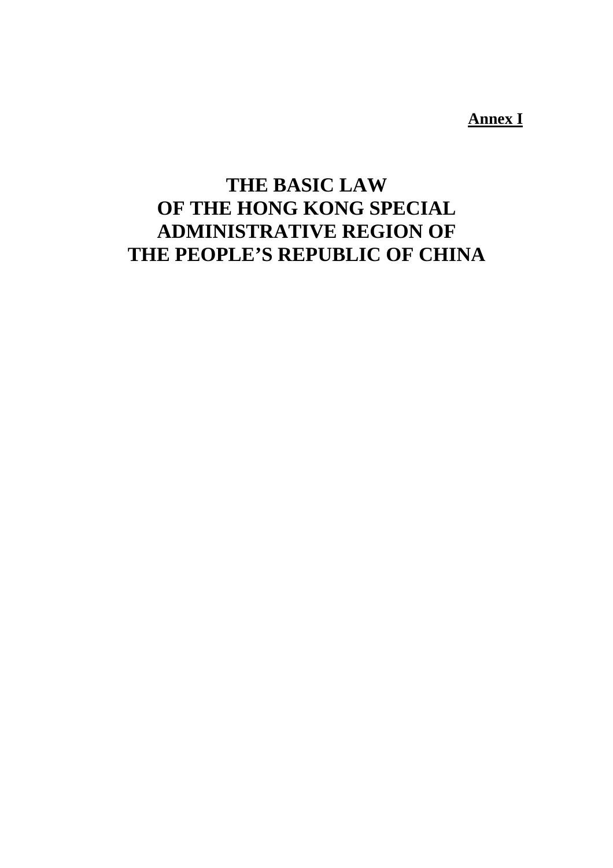**Annex I** 

# **THE BASIC LAW OF THE HONG KONG SPECIAL ADMINISTRATIVE REGION OF THE PEOPLE'S REPUBLIC OF CHINA**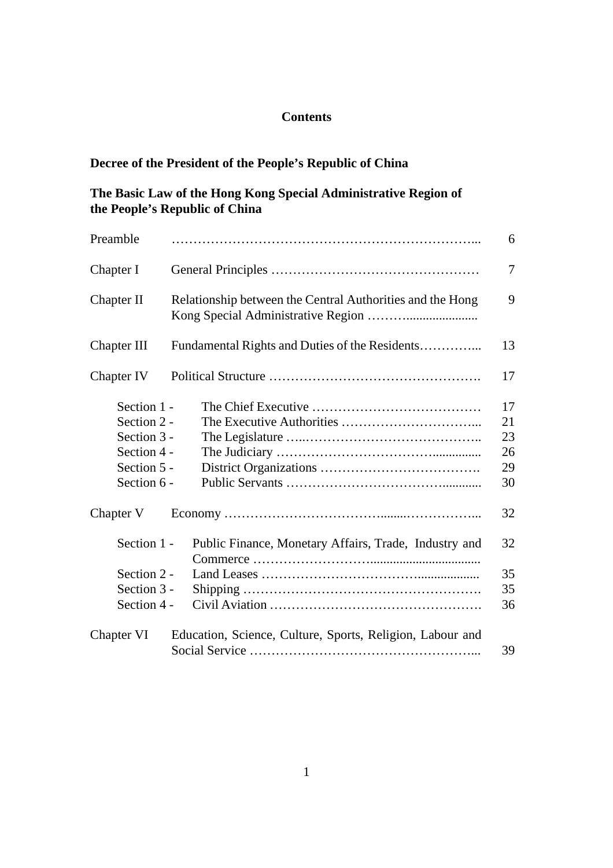### **Contents**

# **Decree of the President of the People's Republic of China**

# **The Basic Law of the Hong Kong Special Administrative Region of the People's Republic of China**

| Preamble                                                                               |                                                           | 6                                |
|----------------------------------------------------------------------------------------|-----------------------------------------------------------|----------------------------------|
| Chapter I                                                                              |                                                           | 7                                |
| Chapter II                                                                             | Relationship between the Central Authorities and the Hong | 9                                |
| Chapter III                                                                            | Fundamental Rights and Duties of the Residents            | 13                               |
| Chapter IV                                                                             |                                                           | 17                               |
| Section 1 -<br>Section 2 -<br>Section 3 -<br>Section 4 -<br>Section 5 -<br>Section 6 - |                                                           | 17<br>21<br>23<br>26<br>29<br>30 |
| Chapter V                                                                              |                                                           | 32                               |
| Section 1 -                                                                            | Public Finance, Monetary Affairs, Trade, Industry and     | 32                               |
| Section 2 -                                                                            |                                                           | 35                               |
| Section 3 -                                                                            |                                                           | 35                               |
| Section 4 -                                                                            |                                                           | 36                               |
| Chapter VI                                                                             | Education, Science, Culture, Sports, Religion, Labour and | 39                               |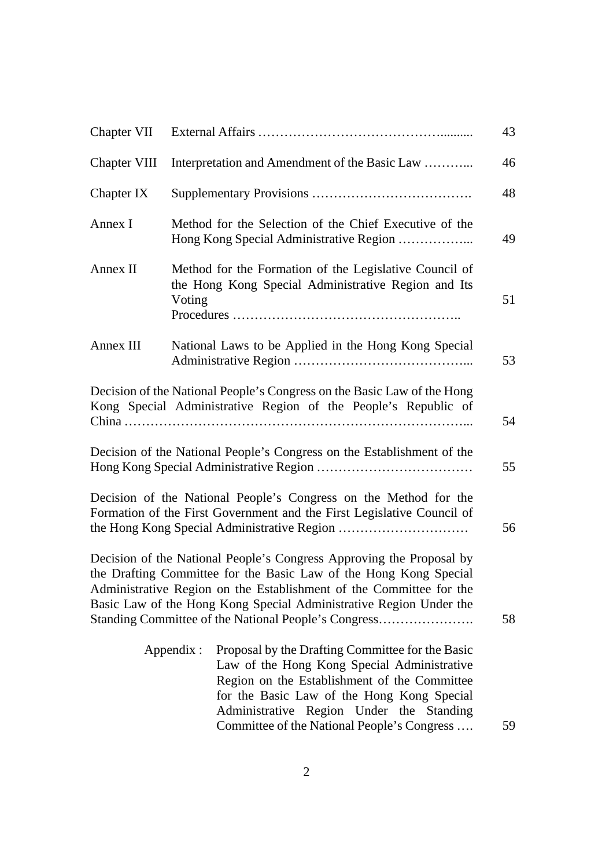| Chapter VII  |                                                                                                                                                                                                                                                                                                                                                | 43 |
|--------------|------------------------------------------------------------------------------------------------------------------------------------------------------------------------------------------------------------------------------------------------------------------------------------------------------------------------------------------------|----|
| Chapter VIII | Interpretation and Amendment of the Basic Law                                                                                                                                                                                                                                                                                                  | 46 |
| Chapter IX   |                                                                                                                                                                                                                                                                                                                                                | 48 |
| Annex I      | Method for the Selection of the Chief Executive of the<br>Hong Kong Special Administrative Region                                                                                                                                                                                                                                              | 49 |
| Annex II     | Method for the Formation of the Legislative Council of<br>the Hong Kong Special Administrative Region and Its<br>Voting                                                                                                                                                                                                                        | 51 |
| Annex III    | National Laws to be Applied in the Hong Kong Special                                                                                                                                                                                                                                                                                           | 53 |
|              | Decision of the National People's Congress on the Basic Law of the Hong<br>Kong Special Administrative Region of the People's Republic of                                                                                                                                                                                                      | 54 |
|              | Decision of the National People's Congress on the Establishment of the                                                                                                                                                                                                                                                                         | 55 |
|              | Decision of the National People's Congress on the Method for the<br>Formation of the First Government and the First Legislative Council of                                                                                                                                                                                                     | 56 |
|              | Decision of the National People's Congress Approving the Proposal by<br>the Drafting Committee for the Basic Law of the Hong Kong Special<br>Administrative Region on the Establishment of the Committee for the<br>Basic Law of the Hong Kong Special Administrative Region Under the<br>Standing Committee of the National People's Congress | 58 |
|              | Proposal by the Drafting Committee for the Basic<br>Appendix :<br>Law of the Hong Kong Special Administrative<br>Region on the Establishment of the Committee<br>for the Basic Law of the Hong Kong Special<br>Administrative Region Under the Standing<br>Committee of the National People's Congress                                         | 59 |

2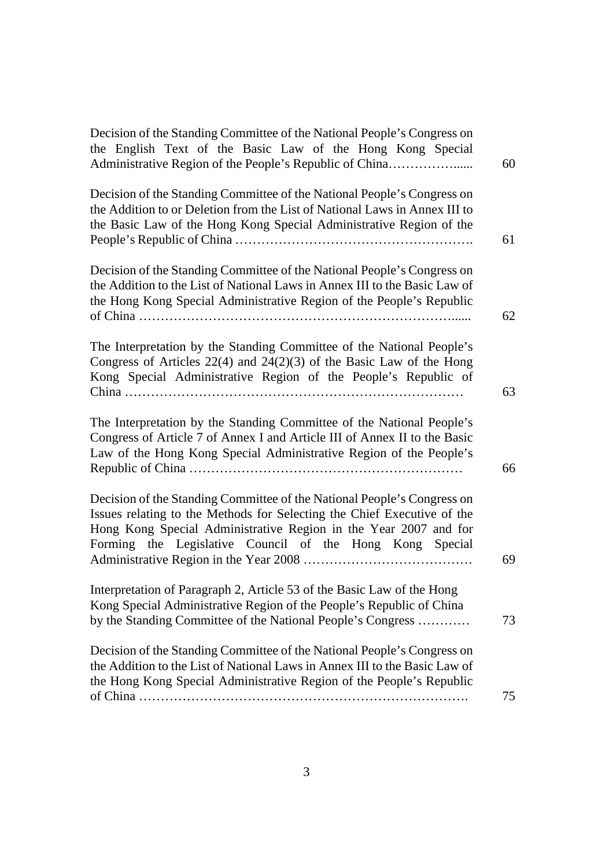| Decision of the Standing Committee of the National People's Congress on<br>the English Text of the Basic Law of the Hong Kong Special                                                                                                                                              |    |
|------------------------------------------------------------------------------------------------------------------------------------------------------------------------------------------------------------------------------------------------------------------------------------|----|
| Administrative Region of the People's Republic of China                                                                                                                                                                                                                            | 60 |
| Decision of the Standing Committee of the National People's Congress on<br>the Addition to or Deletion from the List of National Laws in Annex III to<br>the Basic Law of the Hong Kong Special Administrative Region of the                                                       | 61 |
| Decision of the Standing Committee of the National People's Congress on<br>the Addition to the List of National Laws in Annex III to the Basic Law of<br>the Hong Kong Special Administrative Region of the People's Republic                                                      | 62 |
| The Interpretation by the Standing Committee of the National People's<br>Congress of Articles $22(4)$ and $24(2)(3)$ of the Basic Law of the Hong<br>Kong Special Administrative Region of the People's Republic of                                                                | 63 |
| The Interpretation by the Standing Committee of the National People's<br>Congress of Article 7 of Annex I and Article III of Annex II to the Basic<br>Law of the Hong Kong Special Administrative Region of the People's                                                           | 66 |
| Decision of the Standing Committee of the National People's Congress on<br>Issues relating to the Methods for Selecting the Chief Executive of the<br>Hong Kong Special Administrative Region in the Year 2007 and for<br>Forming the Legislative Council of the Hong Kong Special | 69 |
| Interpretation of Paragraph 2, Article 53 of the Basic Law of the Hong<br>Kong Special Administrative Region of the People's Republic of China<br>by the Standing Committee of the National People's Congress                                                                      | 73 |
| Decision of the Standing Committee of the National People's Congress on<br>the Addition to the List of National Laws in Annex III to the Basic Law of<br>the Hong Kong Special Administrative Region of the People's Republic                                                      | 75 |
|                                                                                                                                                                                                                                                                                    |    |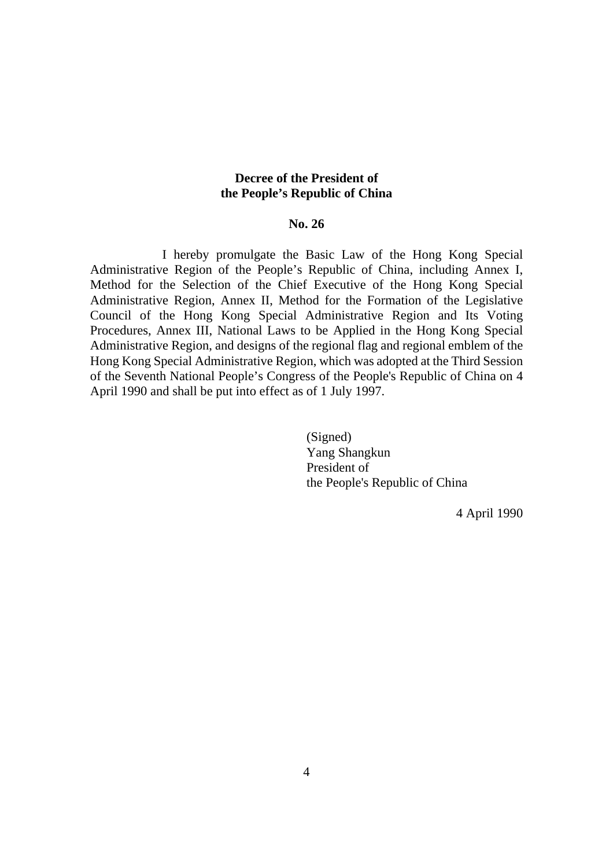### **Decree of the President of the People's Republic of China**

#### **No. 26**

I hereby promulgate the Basic Law of the Hong Kong Special Administrative Region of the People's Republic of China, including Annex I, Method for the Selection of the Chief Executive of the Hong Kong Special Administrative Region, Annex II, Method for the Formation of the Legislative Council of the Hong Kong Special Administrative Region and Its Voting Procedures, Annex III, National Laws to be Applied in the Hong Kong Special Administrative Region, and designs of the regional flag and regional emblem of the Hong Kong Special Administrative Region, which was adopted at the Third Session of the Seventh National People's Congress of the People's Republic of China on 4 April 1990 and shall be put into effect as of 1 July 1997.

 President of the People's Republic of China (Signed) Yang Shangkun

4 April 1990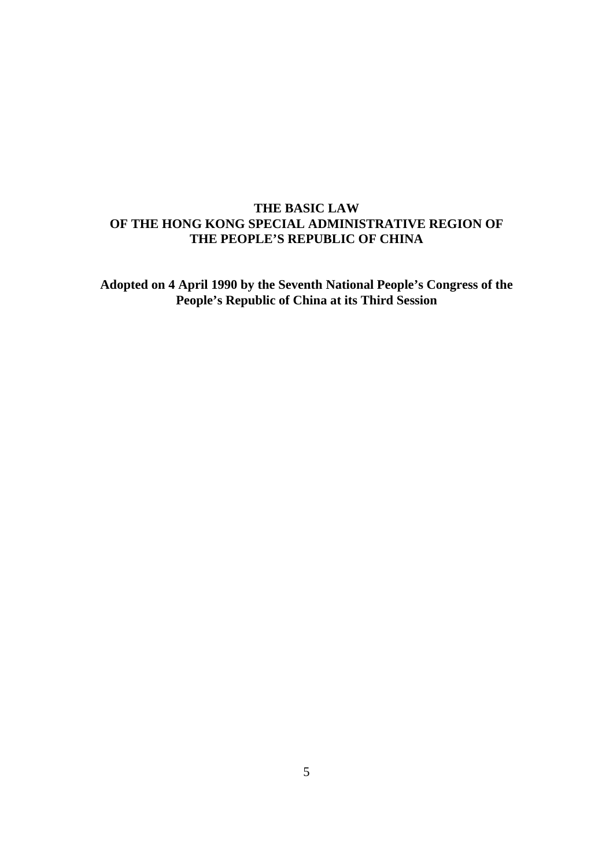# **THE BASIC LAW OF THE HONG KONG SPECIAL ADMINISTRATIVE REGION OF THE PEOPLE'S REPUBLIC OF CHINA**

**Adopted on 4 April 1990 by the Seventh National People's Congress of the People's Republic of China at its Third Session**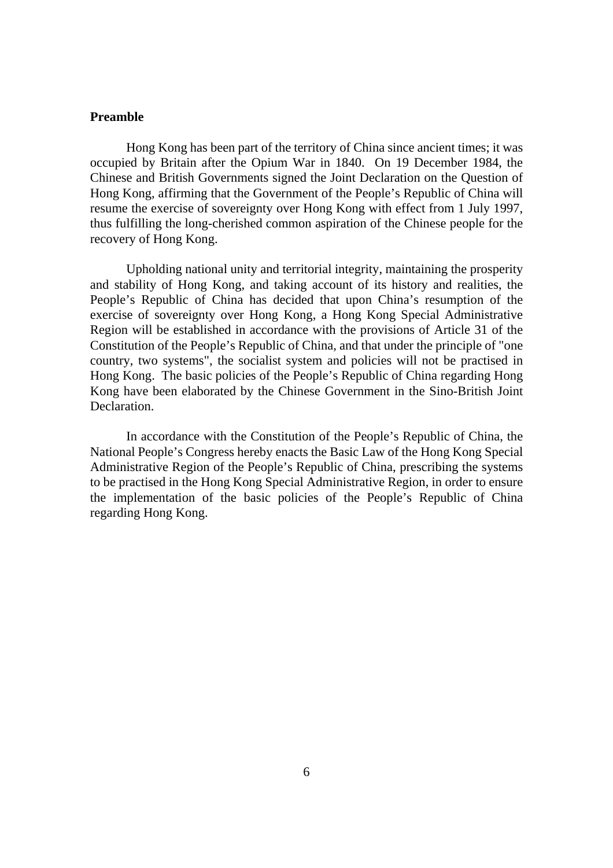#### <span id="page-6-0"></span>**Preamble**

Hong Kong has been part of the territory of China since ancient times; it was occupied by Britain after the Opium War in 1840. On 19 December 1984, the Chinese and British Governments signed the Joint Declaration on the Question of Hong Kong, affirming that the Government of the People's Republic of China will resume the exercise of sovereignty over Hong Kong with effect from 1 July 1997, thus fulfilling the long-cherished common aspiration of the Chinese people for the recovery of Hong Kong.

Upholding national unity and territorial integrity, maintaining the prosperity and stability of Hong Kong, and taking account of its history and realities, the People's Republic of China has decided that upon China's resumption of the exercise of sovereignty over Hong Kong, a Hong Kong Special Administrative Region will be established in accordance with the provisions of Article 31 of the Constitution of the People's Republic of China, and that under the principle of "one country, two systems", the socialist system and policies will not be practised in Hong Kong. The basic policies of the People's Republic of China regarding Hong Kong have been elaborated by the Chinese Government in the Sino-British Joint Declaration.

In accordance with the Constitution of the People's Republic of China, the National People's Congress hereby enacts the Basic Law of the Hong Kong Special Administrative Region of the People's Republic of China, prescribing the systems to be practised in the Hong Kong Special Administrative Region, in order to ensure the implementation of the basic policies of the People's Republic of China regarding Hong Kong.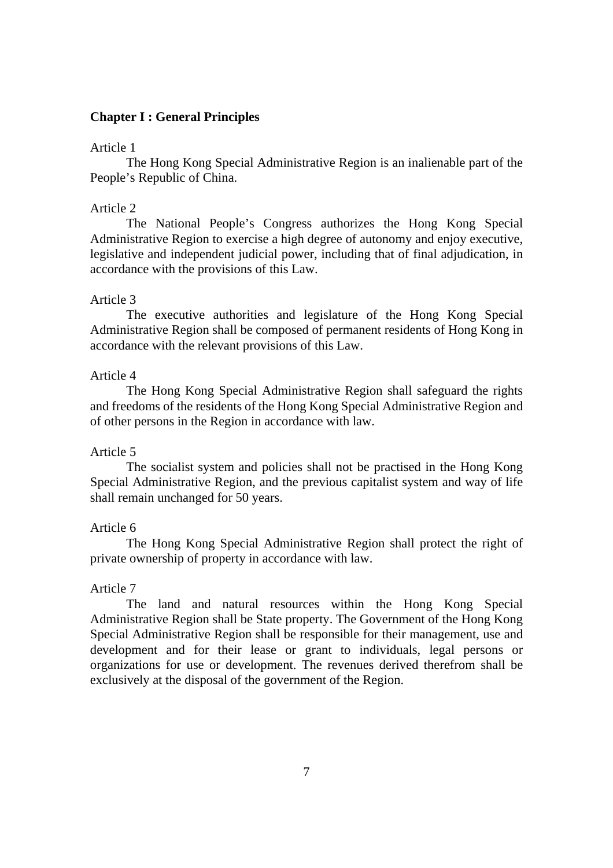#### <span id="page-7-0"></span>**Chapter I : General Principles**

#### Article 1

The Hong Kong Special Administrative Region is an inalienable part of the People's Republic of China.

#### Article 2

The National People's Congress authorizes the Hong Kong Special Administrative Region to exercise a high degree of autonomy and enjoy executive, legislative and independent judicial power, including that of final adjudication, in accordance with the provisions of this Law.

#### Article 3

The executive authorities and legislature of the Hong Kong Special Administrative Region shall be composed of permanent residents of Hong Kong in accordance with the relevant provisions of this Law.

#### Article 4

The Hong Kong Special Administrative Region shall safeguard the rights and freedoms of the residents of the Hong Kong Special Administrative Region and of other persons in the Region in accordance with law.

#### Article 5

The socialist system and policies shall not be practised in the Hong Kong Special Administrative Region, and the previous capitalist system and way of life shall remain unchanged for 50 years.

#### Article 6

The Hong Kong Special Administrative Region shall protect the right of private ownership of property in accordance with law.

#### Article 7

The land and natural resources within the Hong Kong Special Administrative Region shall be State property. The Government of the Hong Kong Special Administrative Region shall be responsible for their management, use and development and for their lease or grant to individuals, legal persons or organizations for use or development. The revenues derived therefrom shall be exclusively at the disposal of the government of the Region.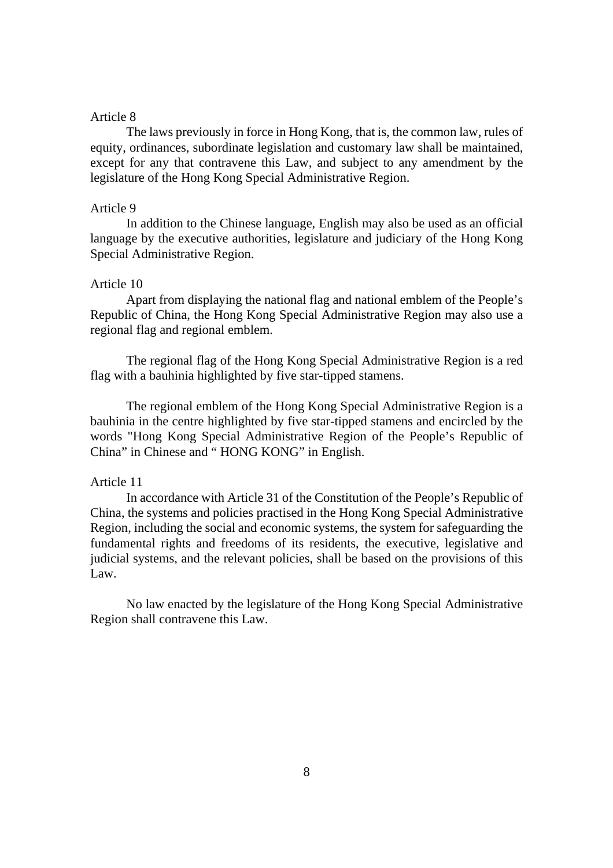The laws previously in force in Hong Kong, that is, the common law, rules of equity, ordinances, subordinate legislation and customary law shall be maintained, except for any that contravene this Law, and subject to any amendment by the legislature of the Hong Kong Special Administrative Region.

#### Article 9

In addition to the Chinese language, English may also be used as an official language by the executive authorities, legislature and judiciary of the Hong Kong Special Administrative Region.

#### Article 10

Apart from displaying the national flag and national emblem of the People's Republic of China, the Hong Kong Special Administrative Region may also use a regional flag and regional emblem.

The regional flag of the Hong Kong Special Administrative Region is a red flag with a bauhinia highlighted by five star-tipped stamens.

The regional emblem of the Hong Kong Special Administrative Region is a bauhinia in the centre highlighted by five star-tipped stamens and encircled by the words "Hong Kong Special Administrative Region of the People's Republic of China" in Chinese and " HONG KONG" in English.

#### Article 11

In accordance with Article 31 of the Constitution of the People's Republic of China, the systems and policies practised in the Hong Kong Special Administrative Region, including the social and economic systems, the system for safeguarding the fundamental rights and freedoms of its residents, the executive, legislative and judicial systems, and the relevant policies, shall be based on the provisions of this Law.

No law enacted by the legislature of the Hong Kong Special Administrative Region shall contravene this Law.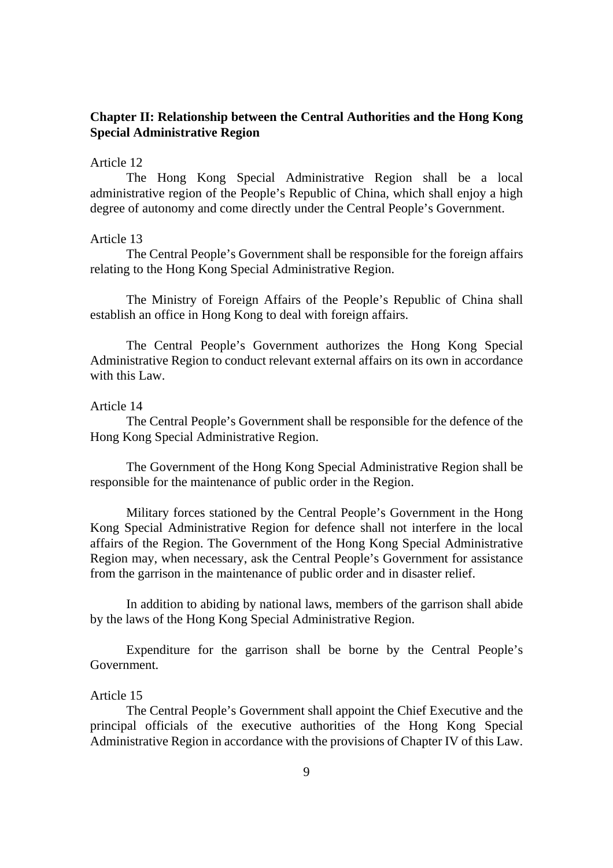## <span id="page-9-0"></span>**Chapter II: Relationship between the Central Authorities and the Hong Kong Special Administrative Region**

#### Article 12

The Hong Kong Special Administrative Region shall be a local administrative region of the People's Republic of China, which shall enjoy a high degree of autonomy and come directly under the Central People's Government.

#### Article 13

The Central People's Government shall be responsible for the foreign affairs relating to the Hong Kong Special Administrative Region.

The Ministry of Foreign Affairs of the People's Republic of China shall establish an office in Hong Kong to deal with foreign affairs.

The Central People's Government authorizes the Hong Kong Special Administrative Region to conduct relevant external affairs on its own in accordance with this Law.

#### Article 14

The Central People's Government shall be responsible for the defence of the Hong Kong Special Administrative Region.

The Government of the Hong Kong Special Administrative Region shall be responsible for the maintenance of public order in the Region.

Military forces stationed by the Central People's Government in the Hong Kong Special Administrative Region for defence shall not interfere in the local affairs of the Region. The Government of the Hong Kong Special Administrative Region may, when necessary, ask the Central People's Government for assistance from the garrison in the maintenance of public order and in disaster relief.

by the laws of the Hong Kong Special Administrative Region. In addition to abiding by national laws, members of the garrison shall abide

Expenditure for the garrison shall be borne by the Central People's Government.

#### Article 15

The Central People's Government shall appoint the Chief Executive and the principal officials of the executive authorities of the Hong Kong Special Administrative Region in accordance with the provisions of Chapter IV of this Law.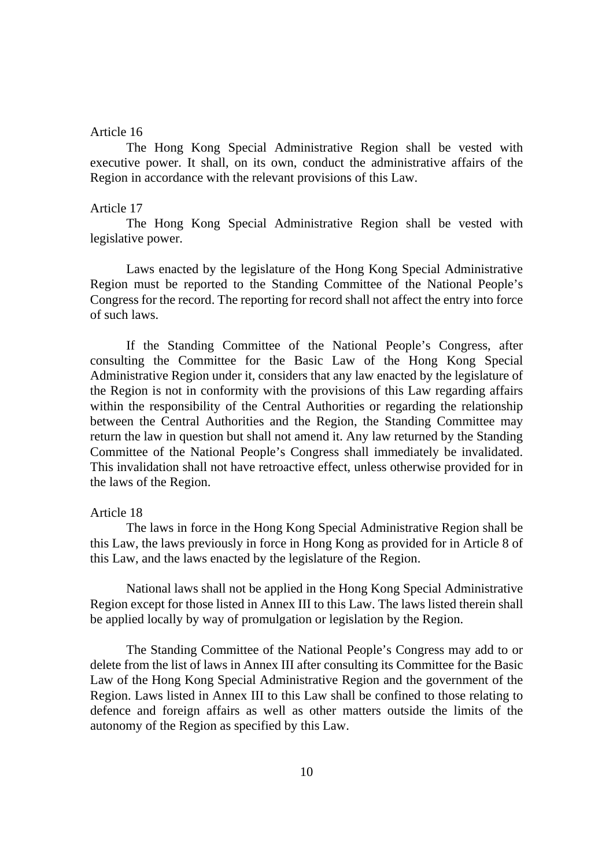Region in accordance with the relevant provisions of this Law.<br>Article 17 The Hong Kong Special Administrative Region shall be vested with executive power. It shall, on its own, conduct the administrative affairs of the

The Hong Kong Special Administrative Region shall be vested with legislative power.

Laws enacted by the legislature of the Hong Kong Special Administrative Region must be reported to the Standing Committee of the National People's Congress for the record. The reporting for record shall not affect the entry into force of such laws.

If the Standing Committee of the National People's Congress, after consulting the Committee for the Basic Law of the Hong Kong Special Administrative Region under it, considers that any law enacted by the legislature of the Region is not in conformity with the provisions of this Law regarding affairs within the responsibility of the Central Authorities or regarding the relationship between the Central Authorities and the Region, the Standing Committee may return the law in question but shall not amend it. Any law returned by the Standing Committee of the National People's Congress shall immediately be invalidated. This invalidation shall not have retroactive effect, unless otherwise provided for in the laws of the Region.

#### Article 18

The laws in force in the Hong Kong Special Administrative Region shall be this Law, the laws previously in force in Hong Kong as provided for in Article 8 of this Law, and the laws enacted by the legislature of the Region.

National laws shall not be applied in the Hong Kong Special Administrative Region except for those listed in Annex III to this Law. The laws listed therein shall be applied locally by way of promulgation or legislation by the Region.

The Standing Committee of the National People's Congress may add to or delete from the list of laws in Annex III after consulting its Committee for the Basic Law of the Hong Kong Special Administrative Region and the government of the Region. Laws listed in Annex III to this Law shall be confined to those relating to defence and foreign affairs as well as other matters outside the limits of the autonomy of the Region as specified by this Law.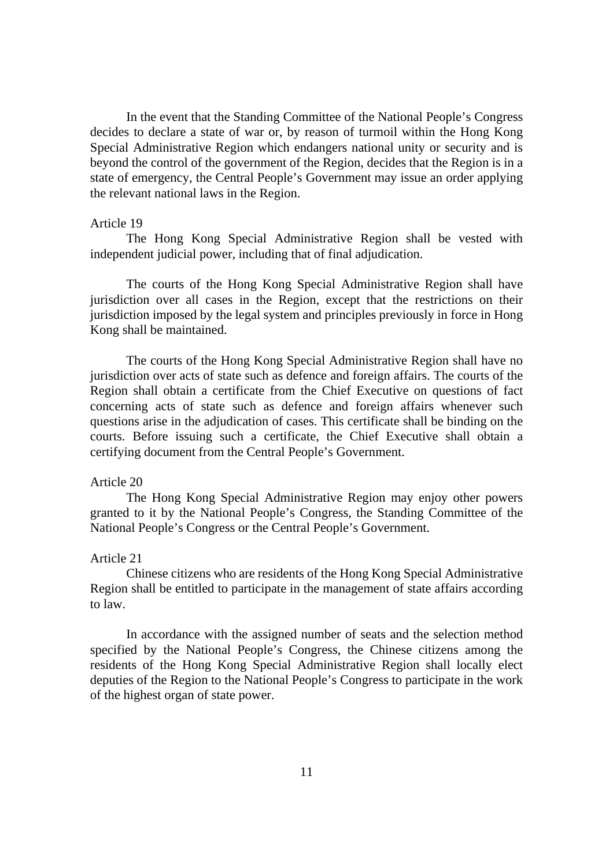In the event that the Standing Committee of the National People's Congress decides to declare a state of war or, by reason of turmoil within the Hong Kong Special Administrative Region which endangers national unity or security and is beyond the control of the government of the Region, decides that the Region is in a state of emergency, the Central People's Government may issue an order applying the relevant national laws in the Region.

#### Article 19

 independent judicial power, including that of final adjudication. The Hong Kong Special Administrative Region shall be vested with

Kong shall be maintained. The courts of the Hong Kong Special Administrative Region shall have jurisdiction over all cases in the Region, except that the restrictions on their jurisdiction imposed by the legal system and principles previously in force in Hong

The courts of the Hong Kong Special Administrative Region shall have no jurisdiction over acts of state such as defence and foreign affairs. The courts of the Region shall obtain a certificate from the Chief Executive on questions of fact concerning acts of state such as defence and foreign affairs whenever such questions arise in the adjudication of cases. This certificate shall be binding on the courts. Before issuing such a certificate, the Chief Executive shall obtain a certifying document from the Central People's Government.

#### Article 20

The Hong Kong Special Administrative Region may enjoy other powers granted to it by the National People's Congress, the Standing Committee of the National People's Congress or the Central People's Government.

### Article 21

to law. Chinese citizens who are residents of the Hong Kong Special Administrative Region shall be entitled to participate in the management of state affairs according

In accordance with the assigned number of seats and the selection method specified by the National People's Congress, the Chinese citizens among the residents of the Hong Kong Special Administrative Region shall locally elect deputies of the Region to the National People's Congress to participate in the work of the highest organ of state power.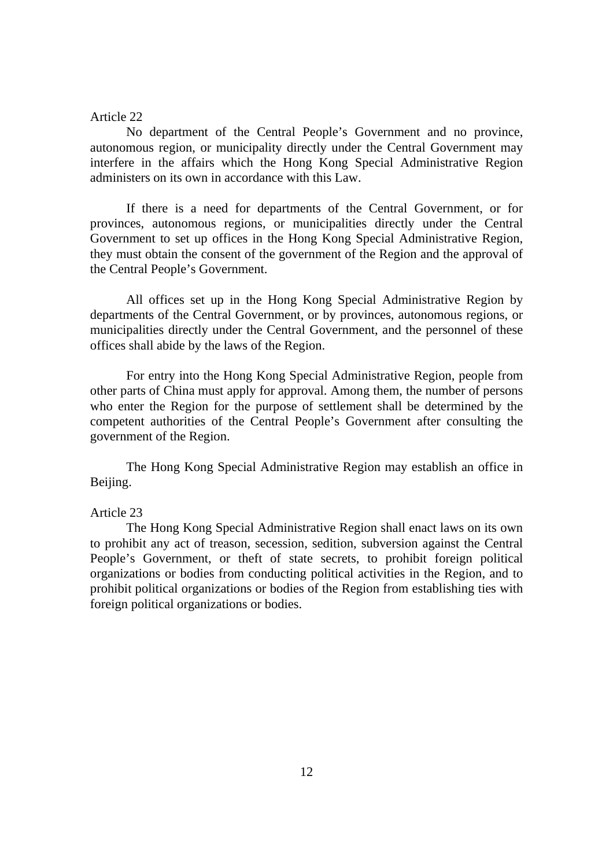No department of the Central People's Government and no province, autonomous region, or municipality directly under the Central Government may interfere in the affairs which the Hong Kong Special Administrative Region administers on its own in accordance with this Law.

If there is a need for departments of the Central Government, or for provinces, autonomous regions, or municipalities directly under the Central Government to set up offices in the Hong Kong Special Administrative Region, they must obtain the consent of the government of the Region and the approval of the Central People's Government.

offices shall abide by the laws of the Region. All offices set up in the Hong Kong Special Administrative Region by departments of the Central Government, or by provinces, autonomous regions, or municipalities directly under the Central Government, and the personnel of these

For entry into the Hong Kong Special Administrative Region, people from other parts of China must apply for approval. Among them, the number of persons who enter the Region for the purpose of settlement shall be determined by the competent authorities of the Central People's Government after consulting the government of the Region.

The Hong Kong Special Administrative Region may establish an office in Beijing.

#### Article 23

 People's Government, or theft of state secrets, to prohibit foreign political The Hong Kong Special Administrative Region shall enact laws on its own to prohibit any act of treason, secession, sedition, subversion against the Central organizations or bodies from conducting political activities in the Region, and to prohibit political organizations or bodies of the Region from establishing ties with foreign political organizations or bodies.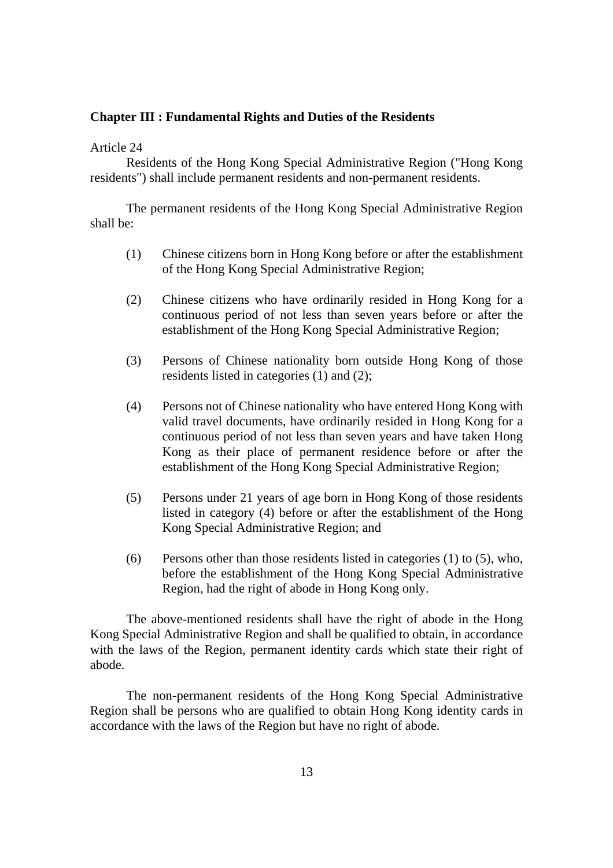#### <span id="page-13-0"></span>**Chapter III : Fundamental Rights and Duties of the Residents**

#### Article 24

Residents of the Hong Kong Special Administrative Region ("Hong Kong residents") shall include permanent residents and non-permanent residents.

The permanent residents of the Hong Kong Special Administrative Region shall be:

- (1) Chinese citizens born in Hong Kong before or after the establishment of the Hong Kong Special Administrative Region;
- (2) Chinese citizens who have ordinarily resided in Hong Kong for a continuous period of not less than seven years before or after the establishment of the Hong Kong Special Administrative Region;
- (3) Persons of Chinese nationality born outside Hong Kong of those residents listed in categories (1) and (2);
- (4) Persons not of Chinese nationality who have entered Hong Kong with valid travel documents, have ordinarily resided in Hong Kong for a continuous period of not less than seven years and have taken Hong Kong as their place of permanent residence before or after the establishment of the Hong Kong Special Administrative Region;
- (5) Persons under 21 years of age born in Hong Kong of those residents listed in category (4) before or after the establishment of the Hong Kong Special Administrative Region; and
- (6) Persons other than those residents listed in categories (1) to (5), who, before the establishment of the Hong Kong Special Administrative Region, had the right of abode in Hong Kong only.

The above-mentioned residents shall have the right of abode in the Hong Kong Special Administrative Region and shall be qualified to obtain, in accordance with the laws of the Region, permanent identity cards which state their right of abode.

The non-permanent residents of the Hong Kong Special Administrative Region shall be persons who are qualified to obtain Hong Kong identity cards in accordance with the laws of the Region but have no right of abode.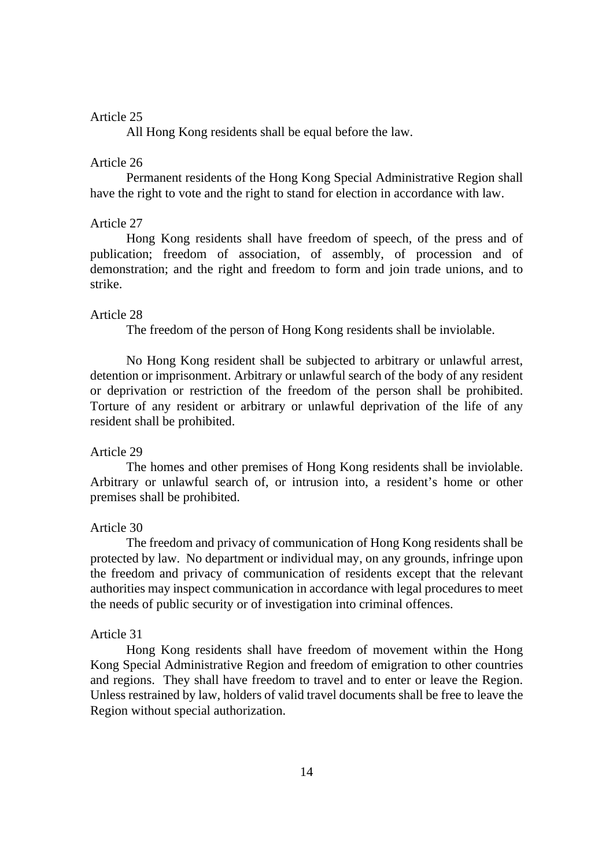All Hong Kong residents shall be equal before the law. Article 26

 have the right to vote and the right to stand for election in accordance with law. Article 27 Permanent residents of the Hong Kong Special Administrative Region shall

Hong Kong residents shall have freedom of speech, of the press and of publication; freedom of association, of assembly, of procession and of demonstration; and the right and freedom to form and join trade unions, and to strike.

#### Article 28

The freedom of the person of Hong Kong residents shall be inviolable.

No Hong Kong resident shall be subjected to arbitrary or unlawful arrest, detention or imprisonment. Arbitrary or unlawful search of the body of any resident or deprivation or restriction of the freedom of the person shall be prohibited. Torture of any resident or arbitrary or unlawful deprivation of the life of any resident shall be prohibited.

#### Article 29

The homes and other premises of Hong Kong residents shall be inviolable. Arbitrary or unlawful search of, or intrusion into, a resident's home or other premises shall be prohibited.

#### Article 30

The freedom and privacy of communication of Hong Kong residents shall be protected by law. No department or individual may, on any grounds, infringe upon the freedom and privacy of communication of residents except that the relevant authorities may inspect communication in accordance with legal procedures to meet the needs of public security or of investigation into criminal offences.

#### Article 31

 and regions. They shall have freedom to travel and to enter or leave the Region. Hong Kong residents shall have freedom of movement within the Hong Kong Special Administrative Region and freedom of emigration to other countries Unless restrained by law, holders of valid travel documents shall be free to leave the Region without special authorization.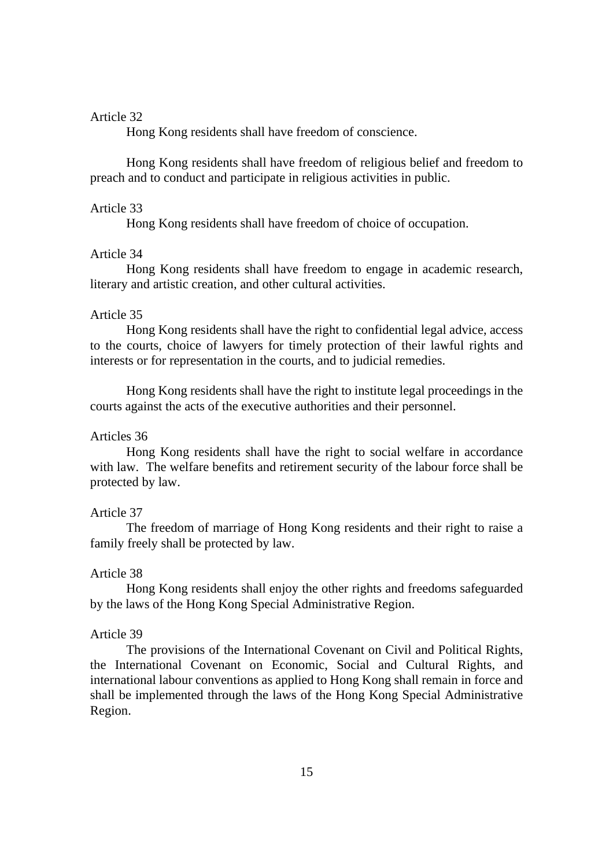Hong Kong residents shall have freedom of conscience.

Hong Kong residents shall have freedom of religious belief and freedom to preach and to conduct and participate in religious activities in public.

#### Article 33

Hong Kong residents shall have freedom of choice of occupation.

#### Article 34

Hong Kong residents shall have freedom to engage in academic research, literary and artistic creation, and other cultural activities.

#### Article 35

Hong Kong residents shall have the right to confidential legal advice, access to the courts, choice of lawyers for timely protection of their lawful rights and interests or for representation in the courts, and to judicial remedies.

Hong Kong residents shall have the right to institute legal proceedings in the courts against the acts of the executive authorities and their personnel.

#### Articles 36

Hong Kong residents shall have the right to social welfare in accordance with law. The welfare benefits and retirement security of the labour force shall be protected by law.

#### Article 37

The freedom of marriage of Hong Kong residents and their right to raise a family freely shall be protected by law.

#### Article 38

Hong Kong residents shall enjoy the other rights and freedoms safeguarded by the laws of the Hong Kong Special Administrative Region.

#### Article 39

The provisions of the International Covenant on Civil and Political Rights, the International Covenant on Economic, Social and Cultural Rights, and international labour conventions as applied to Hong Kong shall remain in force and shall be implemented through the laws of the Hong Kong Special Administrative Region.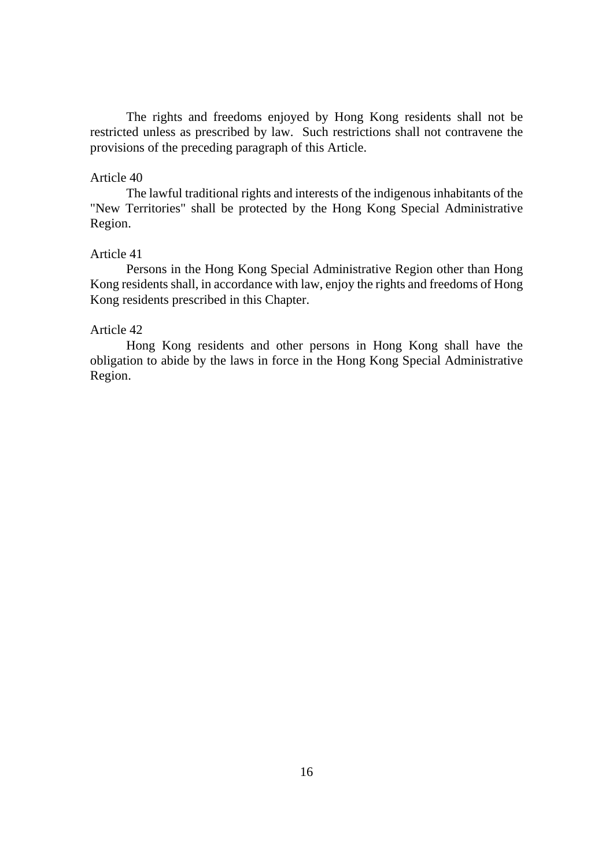The rights and freedoms enjoyed by Hong Kong residents shall not be restricted unless as prescribed by law. Such restrictions shall not contravene the provisions of the preceding paragraph of this Article.

#### Article 40

The lawful traditional rights and interests of the indigenous inhabitants of the "New Territories" shall be protected by the Hong Kong Special Administrative Region.

#### Article 41

Persons in the Hong Kong Special Administrative Region other than Hong Kong residents shall, in accordance with law, enjoy the rights and freedoms of Hong Kong residents prescribed in this Chapter.

#### Article 42

Hong Kong residents and other persons in Hong Kong shall have the obligation to abide by the laws in force in the Hong Kong Special Administrative Region.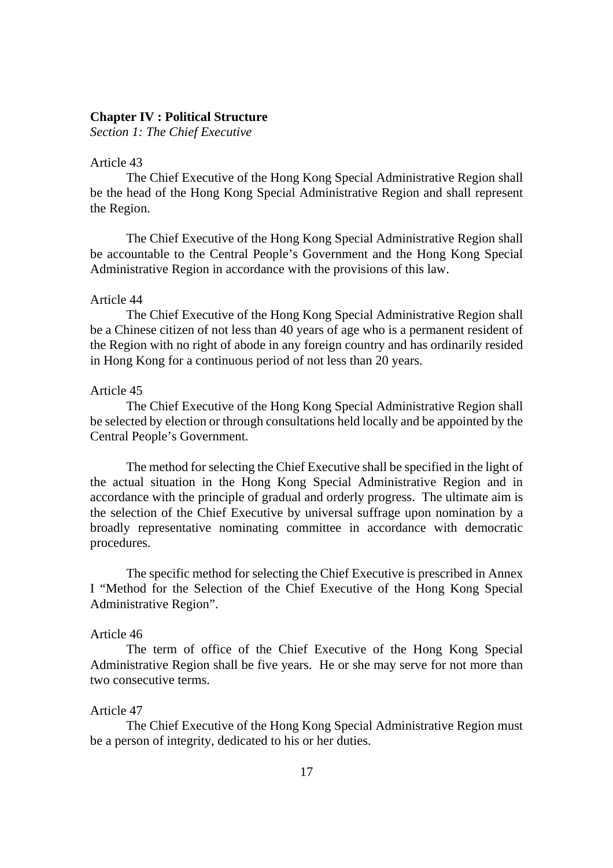#### <span id="page-17-0"></span>**Chapter IV : Political Structure**

*Section 1: The Chief Executive* 

#### Article 43

The Chief Executive of the Hong Kong Special Administrative Region shall be the head of the Hong Kong Special Administrative Region and shall represent the Region.

The Chief Executive of the Hong Kong Special Administrative Region shall be accountable to the Central People's Government and the Hong Kong Special Administrative Region in accordance with the provisions of this law.

#### Article 44

The Chief Executive of the Hong Kong Special Administrative Region shall be a Chinese citizen of not less than 40 years of age who is a permanent resident of the Region with no right of abode in any foreign country and has ordinarily resided in Hong Kong for a continuous period of not less than 20 years.

#### Article 45

The Chief Executive of the Hong Kong Special Administrative Region shall be selected by election or through consultations held locally and be appointed by the Central People's Government.

The method for selecting the Chief Executive shall be specified in the light of the actual situation in the Hong Kong Special Administrative Region and in accordance with the principle of gradual and orderly progress. The ultimate aim is the selection of the Chief Executive by universal suffrage upon nomination by a broadly representative nominating committee in accordance with democratic procedures.

The specific method for selecting the Chief Executive is prescribed in Annex I "Method for the Selection of the Chief Executive of the Hong Kong Special Administrative Region".

#### Article 46

The term of office of the Chief Executive of the Hong Kong Special Administrative Region shall be five years. He or she may serve for not more than two consecutive terms.

#### Article 47

The Chief Executive of the Hong Kong Special Administrative Region must be a person of integrity, dedicated to his or her duties.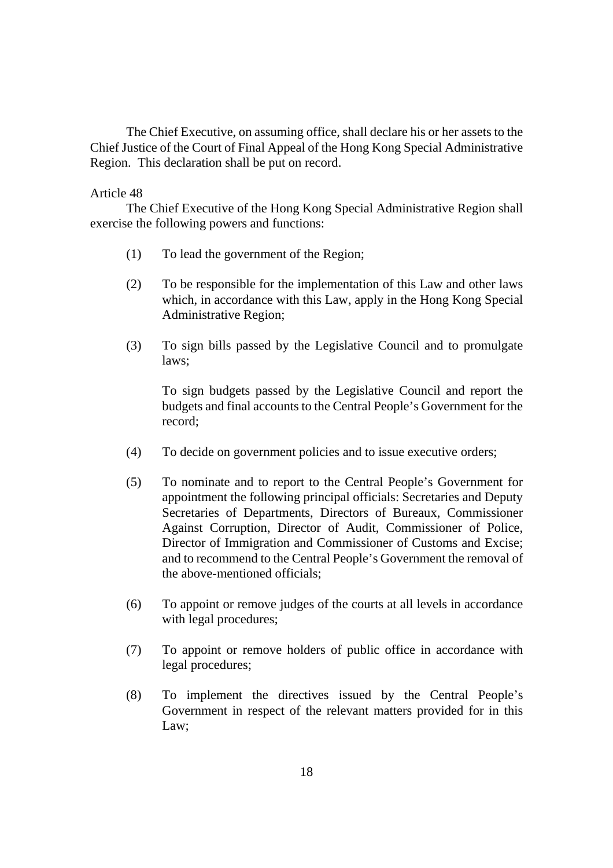The Chief Executive, on assuming office, shall declare his or her assets to the Chief Justice of the Court of Final Appeal of the Hong Kong Special Administrative Region. This declaration shall be put on record.

#### Article 48

The Chief Executive of the Hong Kong Special Administrative Region shall exercise the following powers and functions:

- (1) To lead the government of the Region;
- (2) To be responsible for the implementation of this Law and other laws which, in accordance with this Law, apply in the Hong Kong Special Administrative Region;
- (3) To sign bills passed by the Legislative Council and to promulgate laws;

To sign budgets passed by the Legislative Council and report the budgets and final accounts to the Central People's Government for the record;

- (4) To decide on government policies and to issue executive orders;
- (5) To nominate and to report to the Central People's Government for appointment the following principal officials: Secretaries and Deputy Secretaries of Departments, Directors of Bureaux, Commissioner Against Corruption, Director of Audit, Commissioner of Police, Director of Immigration and Commissioner of Customs and Excise; and to recommend to the Central People's Government the removal of the above-mentioned officials;
- (6) To appoint or remove judges of the courts at all levels in accordance with legal procedures;
- (7) To appoint or remove holders of public office in accordance with legal procedures;
- (8) To implement the directives issued by the Central People's Government in respect of the relevant matters provided for in this Law;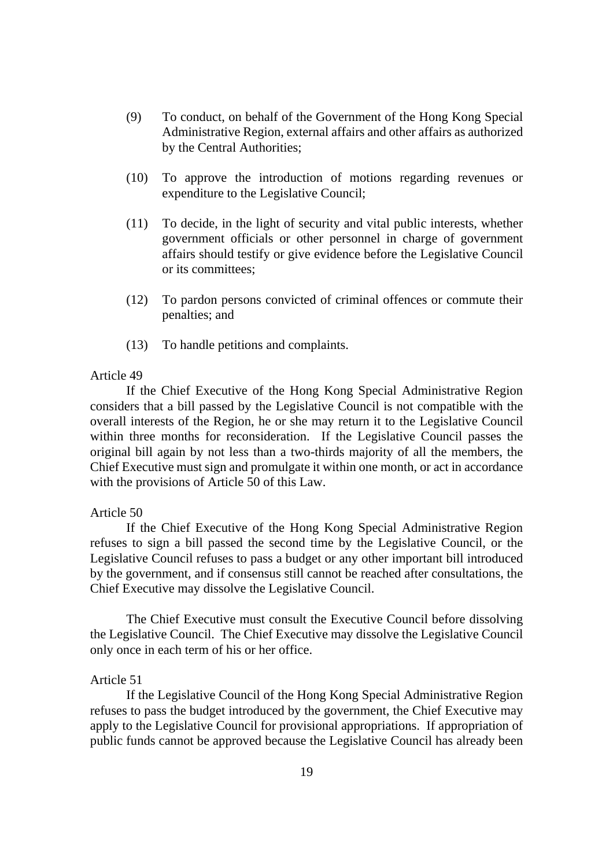- (9) To conduct, on behalf of the Government of the Hong Kong Special Administrative Region, external affairs and other affairs as authorized by the Central Authorities;
- (10) To approve the introduction of motions regarding revenues or expenditure to the Legislative Council;
- affairs should testify or give evidence before the Legislative Council (11) To decide, in the light of security and vital public interests, whether government officials or other personnel in charge of government or its committees;
- (12) To pardon persons convicted of criminal offences or commute their penalties; and
- (13) To handle petitions and complaints.

If the Chief Executive of the Hong Kong Special Administrative Region considers that a bill passed by the Legislative Council is not compatible with the overall interests of the Region, he or she may return it to the Legislative Council within three months for reconsideration. If the Legislative Council passes the original bill again by not less than a two-thirds majority of all the members, the Chief Executive must sign and promulgate it within one month, or act in accordance with the provisions of Article 50 of this Law.

#### Article 50

If the Chief Executive of the Hong Kong Special Administrative Region refuses to sign a bill passed the second time by the Legislative Council, or the Legislative Council refuses to pass a budget or any other important bill introduced by the government, and if consensus still cannot be reached after consultations, the Chief Executive may dissolve the Legislative Council.

The Chief Executive must consult the Executive Council before dissolving the Legislative Council. The Chief Executive may dissolve the Legislative Council only once in each term of his or her office.

#### Article 51

If the Legislative Council of the Hong Kong Special Administrative Region refuses to pass the budget introduced by the government, the Chief Executive may apply to the Legislative Council for provisional appropriations. If appropriation of public funds cannot be approved because the Legislative Council has already been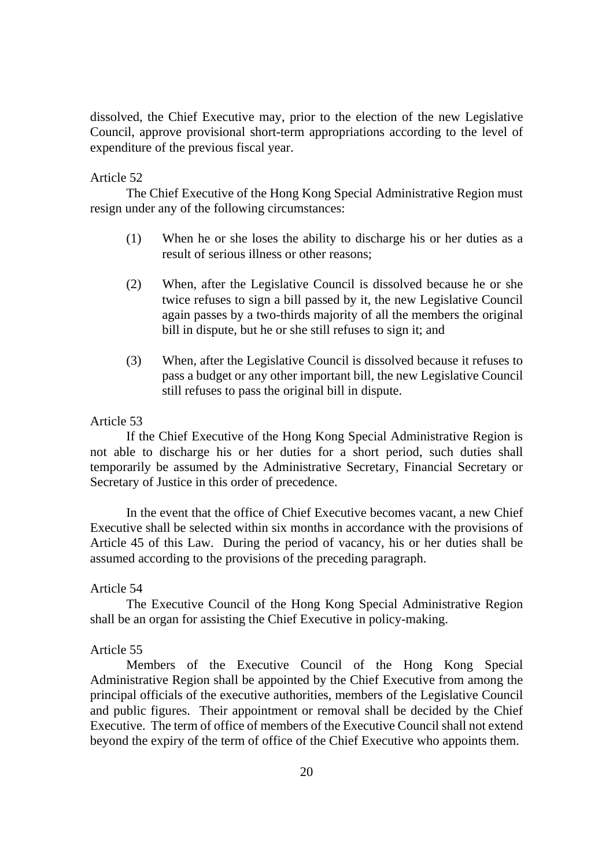dissolved, the Chief Executive may, prior to the election of the new Legislative Council, approve provisional short-term appropriations according to the level of expenditure of the previous fiscal year.

#### Article 52

The Chief Executive of the Hong Kong Special Administrative Region must resign under any of the following circumstances:

- (1) When he or she loses the ability to discharge his or her duties as a result of serious illness or other reasons;
- (2) When, after the Legislative Council is dissolved because he or she twice refuses to sign a bill passed by it, the new Legislative Council again passes by a two-thirds majority of all the members the original bill in dispute, but he or she still refuses to sign it; and
- (3) When, after the Legislative Council is dissolved because it refuses to pass a budget or any other important bill, the new Legislative Council still refuses to pass the original bill in dispute.

#### Article 53

If the Chief Executive of the Hong Kong Special Administrative Region is not able to discharge his or her duties for a short period, such duties shall temporarily be assumed by the Administrative Secretary, Financial Secretary or Secretary of Justice in this order of precedence.

In the event that the office of Chief Executive becomes vacant, a new Chief Executive shall be selected within six months in accordance with the provisions of Article 45 of this Law. During the period of vacancy, his or her duties shall be assumed according to the provisions of the preceding paragraph.

#### Article 54

The Executive Council of the Hong Kong Special Administrative Region shall be an organ for assisting the Chief Executive in policy-making.

#### Article 55

 principal officials of the executive authorities, members of the Legislative Council Members of the Executive Council of the Hong Kong Special Administrative Region shall be appointed by the Chief Executive from among the and public figures. Their appointment or removal shall be decided by the Chief Executive. The term of office of members of the Executive Council shall not extend beyond the expiry of the term of office of the Chief Executive who appoints them.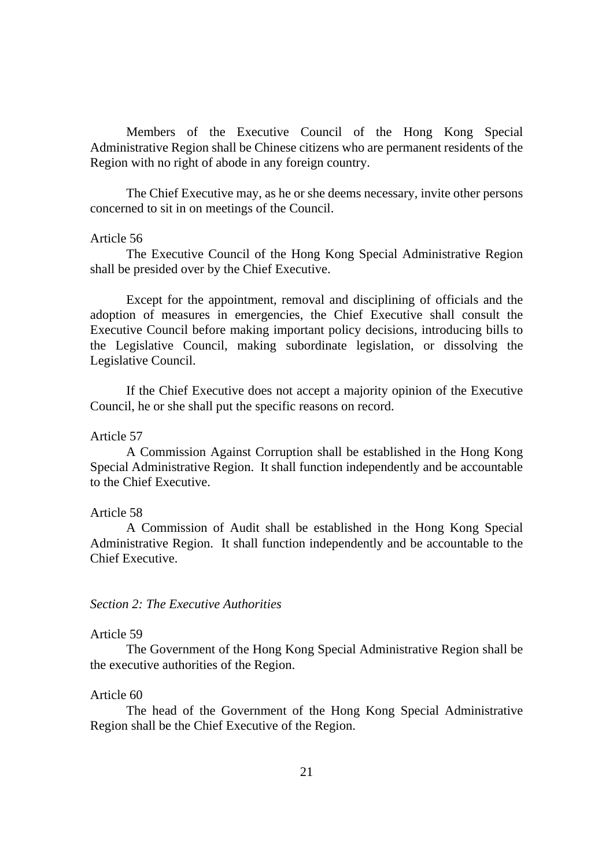<span id="page-21-0"></span>Members of the Executive Council of the Hong Kong Special Administrative Region shall be Chinese citizens who are permanent residents of the Region with no right of abode in any foreign country.

The Chief Executive may, as he or she deems necessary, invite other persons concerned to sit in on meetings of the Council.

#### Article 56

The Executive Council of the Hong Kong Special Administrative Region shall be presided over by the Chief Executive.

Except for the appointment, removal and disciplining of officials and the adoption of measures in emergencies, the Chief Executive shall consult the Executive Council before making important policy decisions, introducing bills to the Legislative Council, making subordinate legislation, or dissolving the Legislative Council.

If the Chief Executive does not accept a majority opinion of the Executive Council, he or she shall put the specific reasons on record.

### Article 57

A Commission Against Corruption shall be established in the Hong Kong Special Administrative Region. It shall function independently and be accountable to the Chief Executive.

#### Article 58

A Commission of Audit shall be established in the Hong Kong Special Administrative Region. It shall function independently and be accountable to the Chief Executive.

#### *Section 2: The Executive Authorities*

#### Article 59

The Government of the Hong Kong Special Administrative Region shall be the executive authorities of the Region.

#### Article 60

The head of the Government of the Hong Kong Special Administrative Region shall be the Chief Executive of the Region.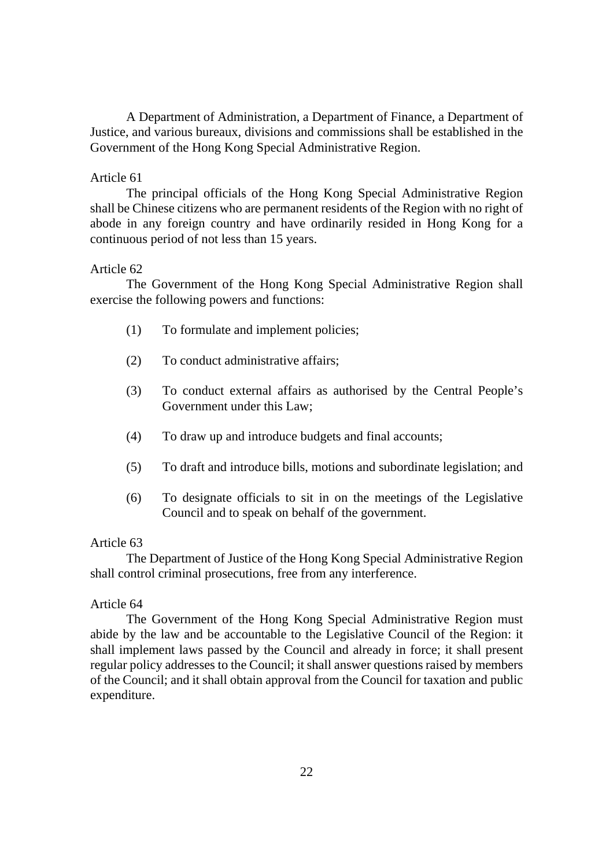A Department of Administration, a Department of Finance, a Department of Justice, and various bureaux, divisions and commissions shall be established in the Government of the Hong Kong Special Administrative Region.

#### Article 61

The principal officials of the Hong Kong Special Administrative Region shall be Chinese citizens who are permanent residents of the Region with no right of abode in any foreign country and have ordinarily resided in Hong Kong for a continuous period of not less than 15 years.

#### Article 62

The Government of the Hong Kong Special Administrative Region shall exercise the following powers and functions:

- (1) To formulate and implement policies;
- (2) To conduct administrative affairs;
- (3) To conduct external affairs as authorised by the Central People's Government under this Law;
- (4) To draw up and introduce budgets and final accounts;
- (5) To draft and introduce bills, motions and subordinate legislation; and
- (6) To designate officials to sit in on the meetings of the Legislative Council and to speak on behalf of the government.

#### Article 63

The Department of Justice of the Hong Kong Special Administrative Region shall control criminal prosecutions, free from any interference.

#### Article 64

The Government of the Hong Kong Special Administrative Region must abide by the law and be accountable to the Legislative Council of the Region: it shall implement laws passed by the Council and already in force; it shall present regular policy addresses to the Council; it shall answer questions raised by members of the Council; and it shall obtain approval from the Council for taxation and public expenditure.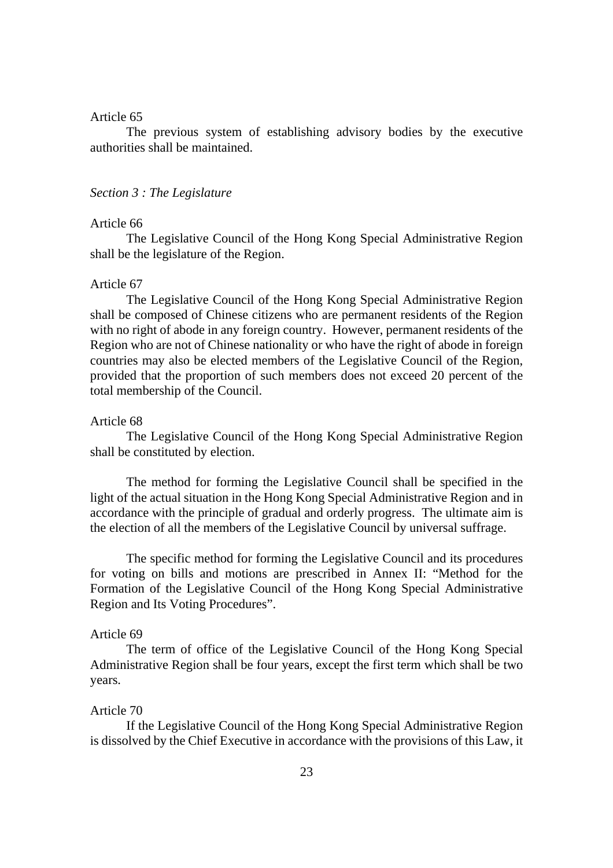<span id="page-23-0"></span>The previous system of establishing advisory bodies by the executive authorities shall be maintained.

#### *Section 3 : The Legislature*

#### Article 66

The Legislative Council of the Hong Kong Special Administrative Region shall be the legislature of the Region.

#### Article 67

The Legislative Council of the Hong Kong Special Administrative Region shall be composed of Chinese citizens who are permanent residents of the Region with no right of abode in any foreign country. However, permanent residents of the Region who are not of Chinese nationality or who have the right of abode in foreign countries may also be elected members of the Legislative Council of the Region, provided that the proportion of such members does not exceed 20 percent of the total membership of the Council.

#### Article 68

The Legislative Council of the Hong Kong Special Administrative Region shall be constituted by election.

The method for forming the Legislative Council shall be specified in the light of the actual situation in the Hong Kong Special Administrative Region and in accordance with the principle of gradual and orderly progress. The ultimate aim is the election of all the members of the Legislative Council by universal suffrage.

The specific method for forming the Legislative Council and its procedures for voting on bills and motions are prescribed in Annex II: "Method for the Formation of the Legislative Council of the Hong Kong Special Administrative Region and Its Voting Procedures".

#### Article 69

The term of office of the Legislative Council of the Hong Kong Special Administrative Region shall be four years, except the first term which shall be two years.

#### Article 70

If the Legislative Council of the Hong Kong Special Administrative Region is dissolved by the Chief Executive in accordance with the provisions of this Law, it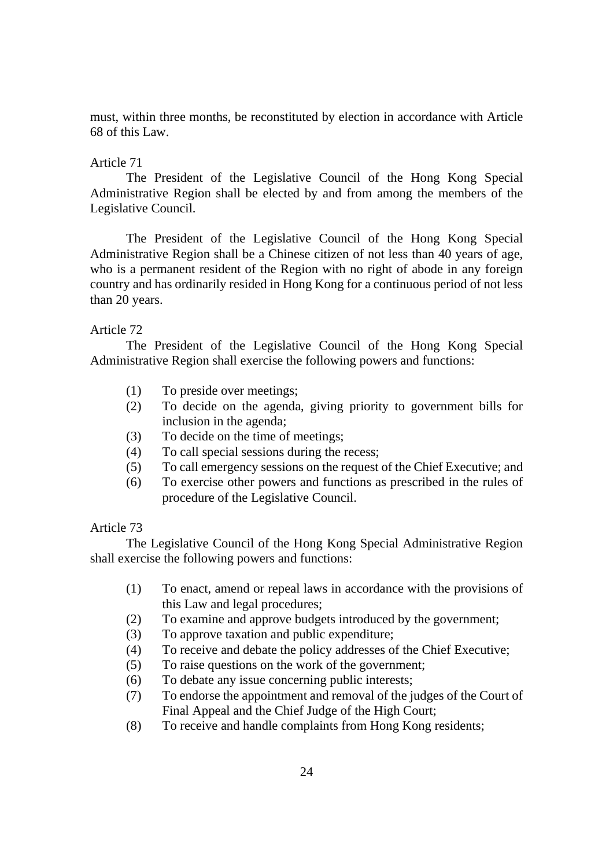must, within three months, be reconstituted by election in accordance with Article 68 of this Law.

#### Article 71

The President of the Legislative Council of the Hong Kong Special Administrative Region shall be elected by and from among the members of the Legislative Council.

 Administrative Region shall be a Chinese citizen of not less than 40 years of age, The President of the Legislative Council of the Hong Kong Special who is a permanent resident of the Region with no right of abode in any foreign country and has ordinarily resided in Hong Kong for a continuous period of not less than 20 years.

#### Article 72

The President of the Legislative Council of the Hong Kong Special Administrative Region shall exercise the following powers and functions:

- (1) To preside over meetings;
- (2) To decide on the agenda, giving priority to government bills for inclusion in the agenda;
- (3) To decide on the time of meetings;
- (4) To call special sessions during the recess;
- (5) To call emergency sessions on the request of the Chief Executive; and
- (6) To exercise other powers and functions as prescribed in the rules of procedure of the Legislative Council.

#### Article 73

The Legislative Council of the Hong Kong Special Administrative Region shall exercise the following powers and functions:

- (1) To enact, amend or repeal laws in accordance with the provisions of this Law and legal procedures;
- (2) To examine and approve budgets introduced by the government;
- (3) To approve taxation and public expenditure;
- (4) To receive and debate the policy addresses of the Chief Executive;
- (5) To raise questions on the work of the government;
- (6) To debate any issue concerning public interests;
- (7) To endorse the appointment and removal of the judges of the Court of Final Appeal and the Chief Judge of the High Court;
- (8) To receive and handle complaints from Hong Kong residents;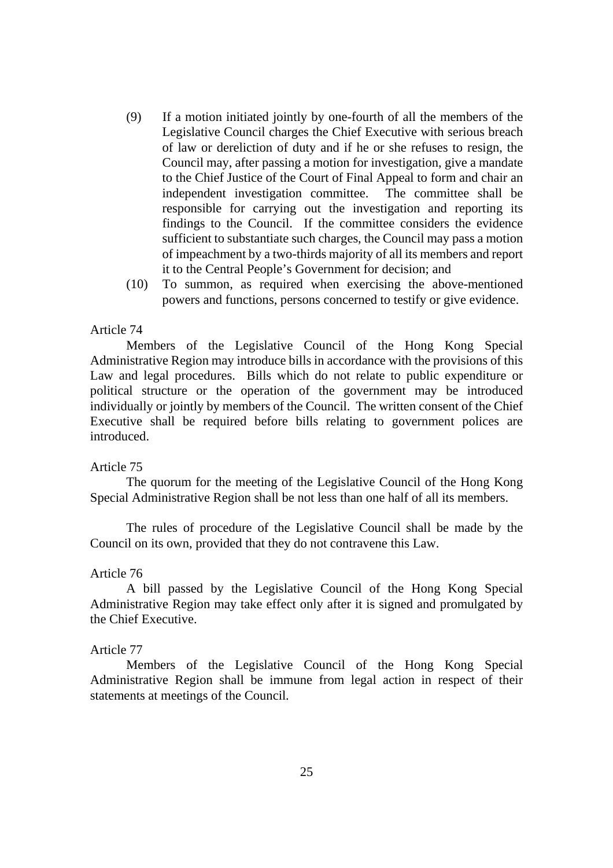- (9) If a motion initiated jointly by one-fourth of all the members of the Legislative Council charges the Chief Executive with serious breach of law or dereliction of duty and if he or she refuses to resign, the Council may, after passing a motion for investigation, give a mandate to the Chief Justice of the Court of Final Appeal to form and chair an independent investigation committee. The committee shall be responsible for carrying out the investigation and reporting its findings to the Council. If the committee considers the evidence sufficient to substantiate such charges, the Council may pass a motion of impeachment by a two-thirds majority of all its members and report it to the Central People's Government for decision; and
- (10) To summon, as required when exercising the above-mentioned powers and functions, persons concerned to testify or give evidence.

Members of the Legislative Council of the Hong Kong Special Administrative Region may introduce bills in accordance with the provisions of this Law and legal procedures. Bills which do not relate to public expenditure or political structure or the operation of the government may be introduced individually or jointly by members of the Council. The written consent of the Chief Executive shall be required before bills relating to government polices are **introduced** 

#### Article 75

The quorum for the meeting of the Legislative Council of the Hong Kong Special Administrative Region shall be not less than one half of all its members.

The rules of procedure of the Legislative Council shall be made by the Council on its own, provided that they do not contravene this Law.

#### Article 76

A bill passed by the Legislative Council of the Hong Kong Special Administrative Region may take effect only after it is signed and promulgated by the Chief Executive.

#### Article 77

Members of the Legislative Council of the Hong Kong Special Administrative Region shall be immune from legal action in respect of their statements at meetings of the Council.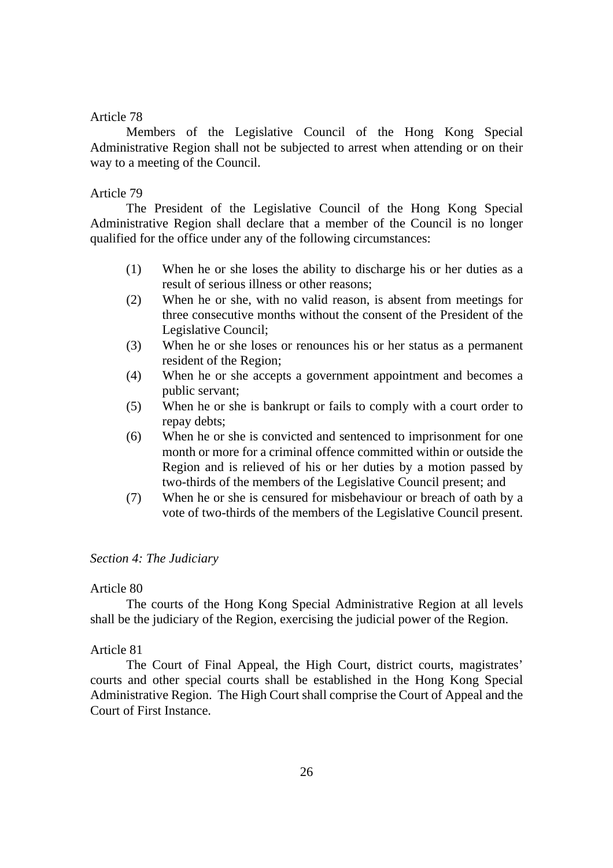<span id="page-26-0"></span>Members of the Legislative Council of the Hong Kong Special Administrative Region shall not be subjected to arrest when attending or on their way to a meeting of the Council.

#### Article 79

The President of the Legislative Council of the Hong Kong Special Administrative Region shall declare that a member of the Council is no longer qualified for the office under any of the following circumstances:

- (1) When he or she loses the ability to discharge his or her duties as a result of serious illness or other reasons;
- three consecutive months without the consent of the President of the (2) When he or she, with no valid reason, is absent from meetings for Legislative Council;
- (3) When he or she loses or renounces his or her status as a permanent resident of the Region;
- (4) When he or she accepts a government appointment and becomes a public servant;
- (5) When he or she is bankrupt or fails to comply with a court order to repay debts;
- (6) When he or she is convicted and sentenced to imprisonment for one month or more for a criminal offence committed within or outside the Region and is relieved of his or her duties by a motion passed by two-thirds of the members of the Legislative Council present; and
- (7) When he or she is censured for misbehaviour or breach of oath by a vote of two-thirds of the members of the Legislative Council present.

#### *Section 4: The Judiciary*

#### Article 80

The courts of the Hong Kong Special Administrative Region at all levels shall be the judiciary of the Region, exercising the judicial power of the Region.

#### Article 81

The Court of Final Appeal, the High Court, district courts, magistrates' courts and other special courts shall be established in the Hong Kong Special Administrative Region. The High Court shall comprise the Court of Appeal and the Court of First Instance.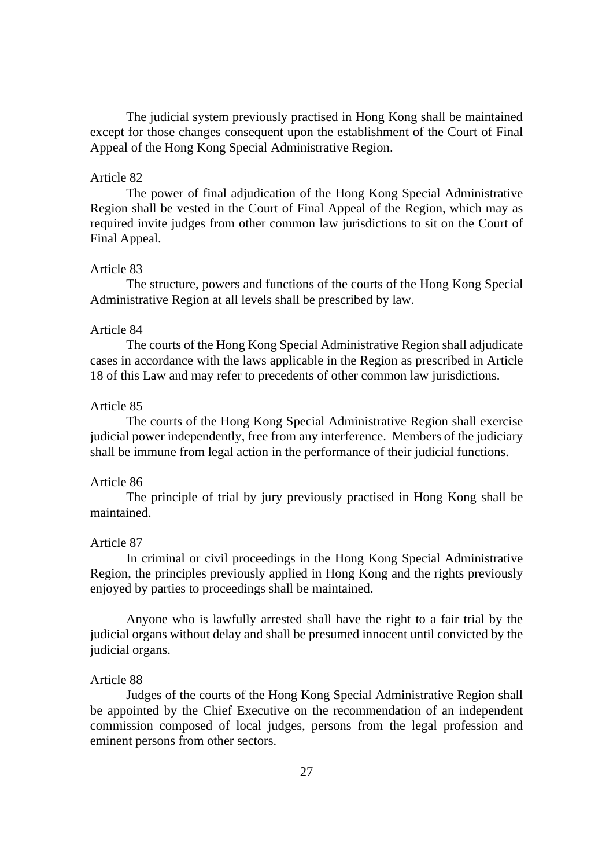The judicial system previously practised in Hong Kong shall be maintained except for those changes consequent upon the establishment of the Court of Final Appeal of the Hong Kong Special Administrative Region.

#### Article 82

The power of final adjudication of the Hong Kong Special Administrative Region shall be vested in the Court of Final Appeal of the Region, which may as required invite judges from other common law jurisdictions to sit on the Court of Final Appeal.

#### Article 83

The structure, powers and functions of the courts of the Hong Kong Special Administrative Region at all levels shall be prescribed by law.

#### Article 84

The courts of the Hong Kong Special Administrative Region shall adjudicate cases in accordance with the laws applicable in the Region as prescribed in Article 18 of this Law and may refer to precedents of other common law jurisdictions.

#### Article 85

The courts of the Hong Kong Special Administrative Region shall exercise judicial power independently, free from any interference. Members of the judiciary shall be immune from legal action in the performance of their judicial functions.

#### Article 86

The principle of trial by jury previously practised in Hong Kong shall be maintained.

#### Article 87

In criminal or civil proceedings in the Hong Kong Special Administrative Region, the principles previously applied in Hong Kong and the rights previously enjoyed by parties to proceedings shall be maintained.

Anyone who is lawfully arrested shall have the right to a fair trial by the judicial organs without delay and shall be presumed innocent until convicted by the judicial organs.

#### Article 88

Judges of the courts of the Hong Kong Special Administrative Region shall be appointed by the Chief Executive on the recommendation of an independent commission composed of local judges, persons from the legal profession and eminent persons from other sectors.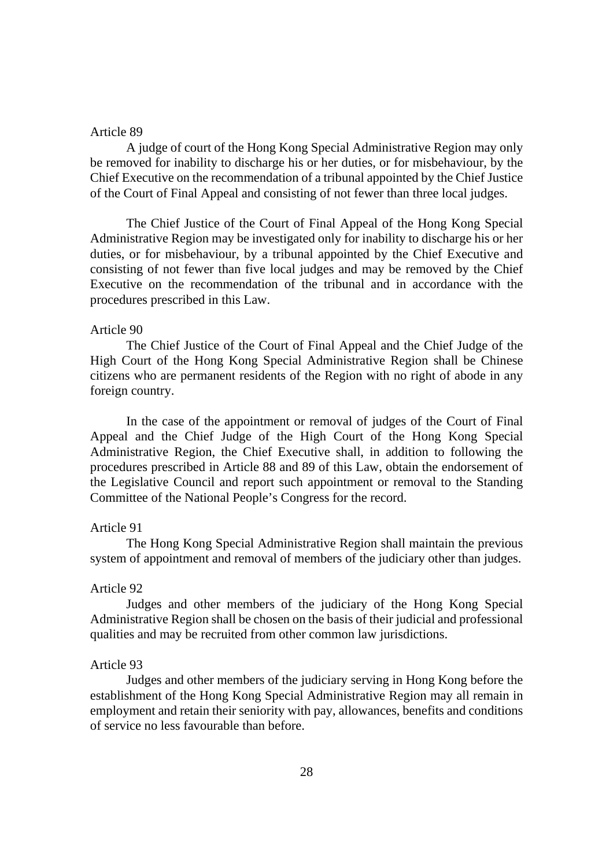A judge of court of the Hong Kong Special Administrative Region may only be removed for inability to discharge his or her duties, or for misbehaviour, by the Chief Executive on the recommendation of a tribunal appointed by the Chief Justice of the Court of Final Appeal and consisting of not fewer than three local judges.

The Chief Justice of the Court of Final Appeal of the Hong Kong Special Administrative Region may be investigated only for inability to discharge his or her duties, or for misbehaviour, by a tribunal appointed by the Chief Executive and consisting of not fewer than five local judges and may be removed by the Chief Executive on the recommendation of the tribunal and in accordance with the procedures prescribed in this Law.

#### Article 90

The Chief Justice of the Court of Final Appeal and the Chief Judge of the High Court of the Hong Kong Special Administrative Region shall be Chinese citizens who are permanent residents of the Region with no right of abode in any foreign country.

In the case of the appointment or removal of judges of the Court of Final Appeal and the Chief Judge of the High Court of the Hong Kong Special Administrative Region, the Chief Executive shall, in addition to following the procedures prescribed in Article 88 and 89 of this Law, obtain the endorsement of the Legislative Council and report such appointment or removal to the Standing Committee of the National People's Congress for the record.

#### Article 91

The Hong Kong Special Administrative Region shall maintain the previous system of appointment and removal of members of the judiciary other than judges.

#### Article 92

Judges and other members of the judiciary of the Hong Kong Special Administrative Region shall be chosen on the basis of their judicial and professional qualities and may be recruited from other common law jurisdictions.

#### Article 93

Judges and other members of the judiciary serving in Hong Kong before the establishment of the Hong Kong Special Administrative Region may all remain in employment and retain their seniority with pay, allowances, benefits and conditions of service no less favourable than before.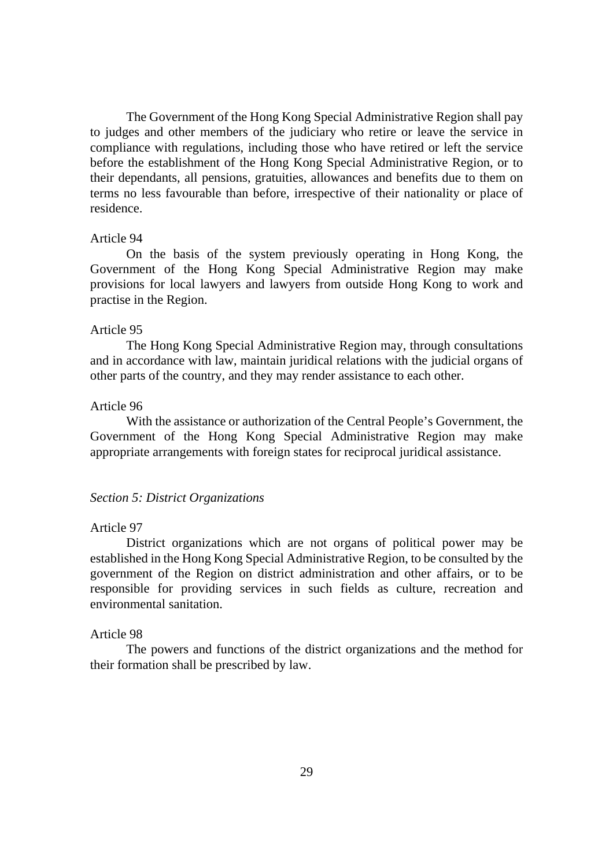<span id="page-29-0"></span>The Government of the Hong Kong Special Administrative Region shall pay to judges and other members of the judiciary who retire or leave the service in compliance with regulations, including those who have retired or left the service before the establishment of the Hong Kong Special Administrative Region, or to their dependants, all pensions, gratuities, allowances and benefits due to them on terms no less favourable than before, irrespective of their nationality or place of residence.

#### Article 94

On the basis of the system previously operating in Hong Kong, the Government of the Hong Kong Special Administrative Region may make provisions for local lawyers and lawyers from outside Hong Kong to work and practise in the Region.

#### Article 95

The Hong Kong Special Administrative Region may, through consultations and in accordance with law, maintain juridical relations with the judicial organs of other parts of the country, and they may render assistance to each other.

#### Article 96

With the assistance or authorization of the Central People's Government, the Government of the Hong Kong Special Administrative Region may make appropriate arrangements with foreign states for reciprocal juridical assistance.

#### *Section 5: District Organizations*

#### Article 97

District organizations which are not organs of political power may be established in the Hong Kong Special Administrative Region, to be consulted by the government of the Region on district administration and other affairs, or to be responsible for providing services in such fields as culture, recreation and environmental sanitation.

#### Article 98

The powers and functions of the district organizations and the method for their formation shall be prescribed by law.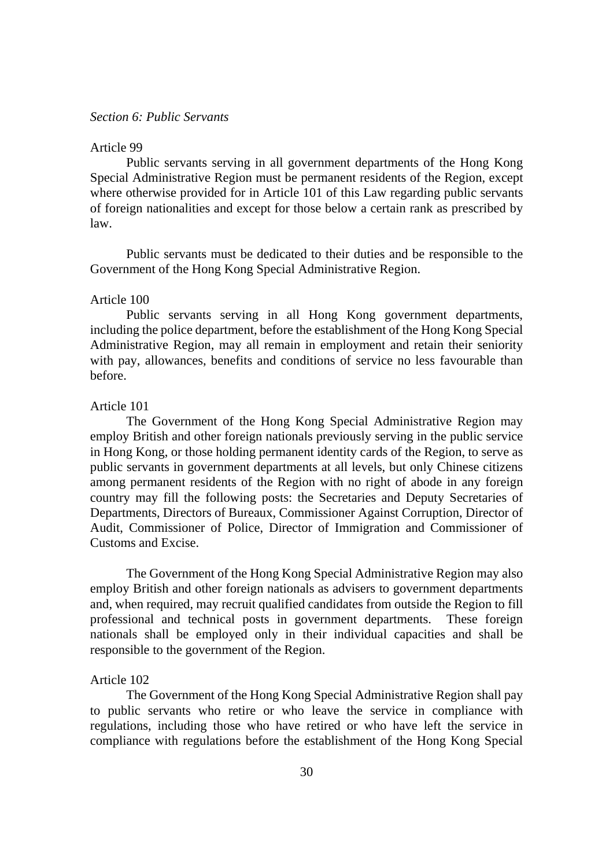#### <span id="page-30-0"></span>*Section 6: Public Servants*

#### Article 99

Public servants serving in all government departments of the Hong Kong Special Administrative Region must be permanent residents of the Region, except where otherwise provided for in Article 101 of this Law regarding public servants of foreign nationalities and except for those below a certain rank as prescribed by law.

Public servants must be dedicated to their duties and be responsible to the Government of the Hong Kong Special Administrative Region.

#### Article 100

Public servants serving in all Hong Kong government departments, including the police department, before the establishment of the Hong Kong Special Administrative Region, may all remain in employment and retain their seniority with pay, allowances, benefits and conditions of service no less favourable than before.

#### Article 101

The Government of the Hong Kong Special Administrative Region may employ British and other foreign nationals previously serving in the public service in Hong Kong, or those holding permanent identity cards of the Region, to serve as public servants in government departments at all levels, but only Chinese citizens among permanent residents of the Region with no right of abode in any foreign country may fill the following posts: the Secretaries and Deputy Secretaries of Departments, Directors of Bureaux, Commissioner Against Corruption, Director of Audit, Commissioner of Police, Director of Immigration and Commissioner of Customs and Excise.

The Government of the Hong Kong Special Administrative Region may also employ British and other foreign nationals as advisers to government departments and, when required, may recruit qualified candidates from outside the Region to fill professional and technical posts in government departments. These foreign nationals shall be employed only in their individual capacities and shall be responsible to the government of the Region.

#### Article 102

The Government of the Hong Kong Special Administrative Region shall pay to public servants who retire or who leave the service in compliance with regulations, including those who have retired or who have left the service in compliance with regulations before the establishment of the Hong Kong Special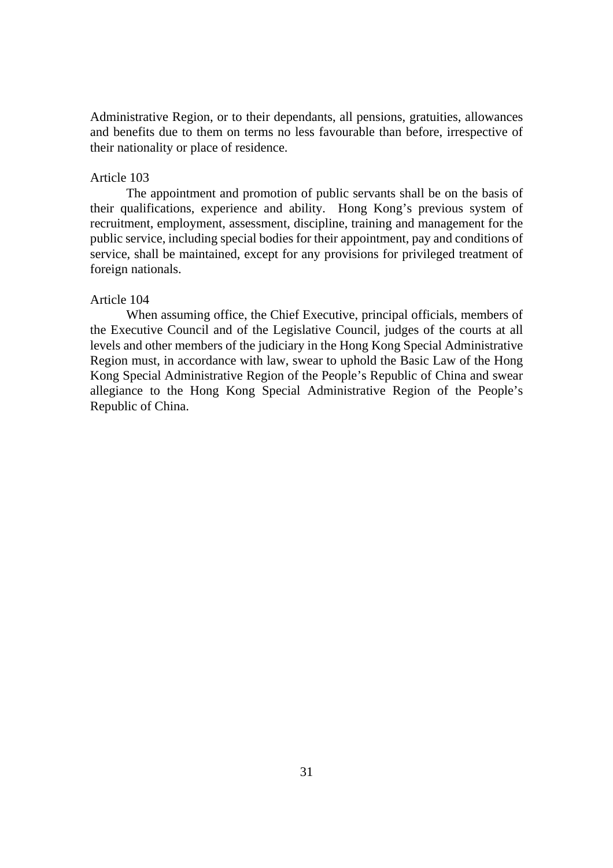Administrative Region, or to their dependants, all pensions, gratuities, allowances and benefits due to them on terms no less favourable than before, irrespective of their nationality or place of residence.

### Article 103

The appointment and promotion of public servants shall be on the basis of their qualifications, experience and ability. Hong Kong's previous system of recruitment, employment, assessment, discipline, training and management for the public service, including special bodies for their appointment, pay and conditions of service, shall be maintained, except for any provisions for privileged treatment of foreign nationals.

#### Article 104

When assuming office, the Chief Executive, principal officials, members of the Executive Council and of the Legislative Council, judges of the courts at all levels and other members of the judiciary in the Hong Kong Special Administrative Region must, in accordance with law, swear to uphold the Basic Law of the Hong Kong Special Administrative Region of the People's Republic of China and swear allegiance to the Hong Kong Special Administrative Region of the People's Republic of China.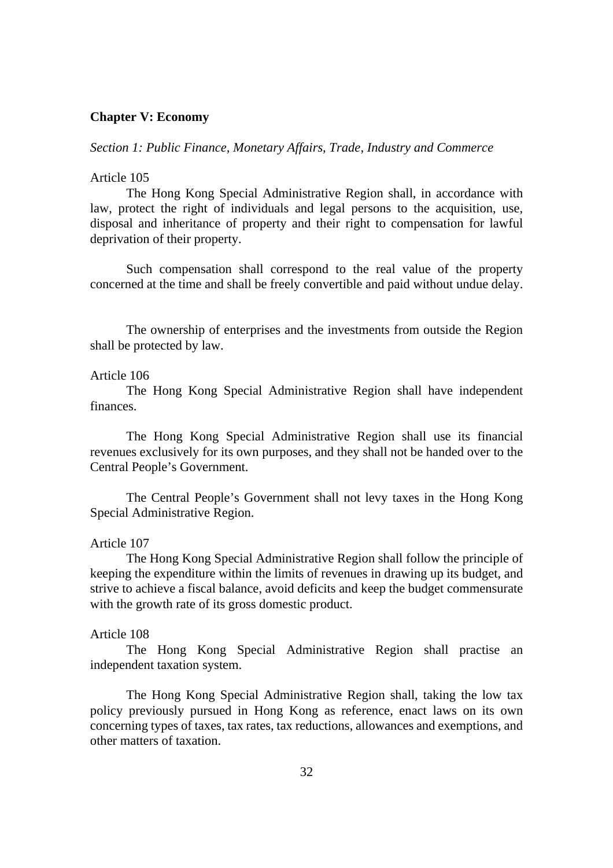#### <span id="page-32-0"></span>**Chapter V: Economy**

*Section 1: Public Finance, Monetary Affairs, Trade, Industry and Commerce* 

#### Article 105

The Hong Kong Special Administrative Region shall, in accordance with law, protect the right of individuals and legal persons to the acquisition, use, disposal and inheritance of property and their right to compensation for lawful deprivation of their property.

Such compensation shall correspond to the real value of the property concerned at the time and shall be freely convertible and paid without undue delay.

The ownership of enterprises and the investments from outside the Region shall be protected by law.

#### Article 106

The Hong Kong Special Administrative Region shall have independent finances.

The Hong Kong Special Administrative Region shall use its financial revenues exclusively for its own purposes, and they shall not be handed over to the Central People's Government.

The Central People's Government shall not levy taxes in the Hong Kong Special Administrative Region.

#### Article 107

The Hong Kong Special Administrative Region shall follow the principle of keeping the expenditure within the limits of revenues in drawing up its budget, and strive to achieve a fiscal balance, avoid deficits and keep the budget commensurate with the growth rate of its gross domestic product.

#### Article 108

The Hong Kong Special Administrative Region shall practise an independent taxation system.

The Hong Kong Special Administrative Region shall, taking the low tax policy previously pursued in Hong Kong as reference, enact laws on its own concerning types of taxes, tax rates, tax reductions, allowances and exemptions, and other matters of taxation.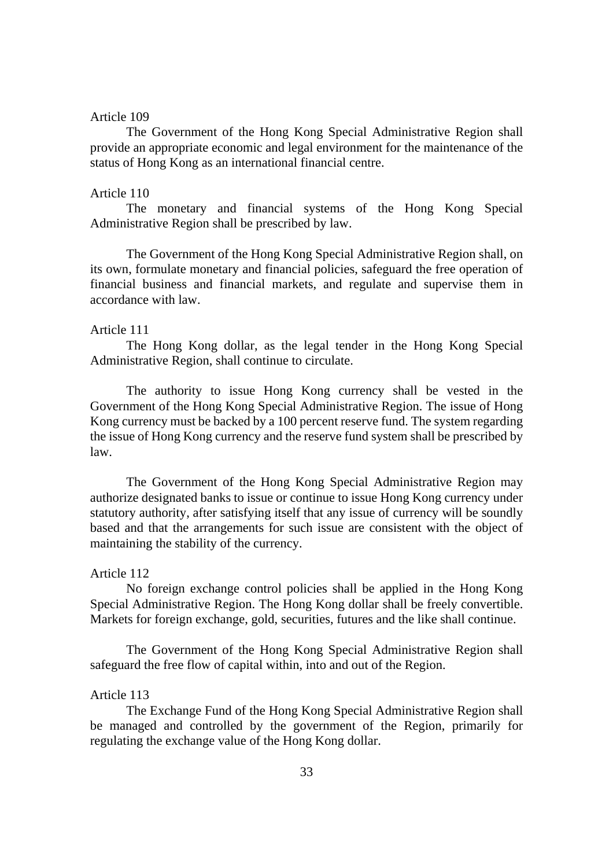The Government of the Hong Kong Special Administrative Region shall provide an appropriate economic and legal environment for the maintenance of the status of Hong Kong as an international financial centre.

#### Article 110

The monetary and financial systems of the Hong Kong Special Administrative Region shall be prescribed by law.

The Government of the Hong Kong Special Administrative Region shall, on its own, formulate monetary and financial policies, safeguard the free operation of financial business and financial markets, and regulate and supervise them in accordance with law.

#### Article 111

The Hong Kong dollar, as the legal tender in the Hong Kong Special Administrative Region, shall continue to circulate.

The authority to issue Hong Kong currency shall be vested in the Government of the Hong Kong Special Administrative Region. The issue of Hong Kong currency must be backed by a 100 percent reserve fund. The system regarding the issue of Hong Kong currency and the reserve fund system shall be prescribed by law.

The Government of the Hong Kong Special Administrative Region may authorize designated banks to issue or continue to issue Hong Kong currency under statutory authority, after satisfying itself that any issue of currency will be soundly based and that the arrangements for such issue are consistent with the object of maintaining the stability of the currency.

#### Article 112

No foreign exchange control policies shall be applied in the Hong Kong Special Administrative Region. The Hong Kong dollar shall be freely convertible. Markets for foreign exchange, gold, securities, futures and the like shall continue.

The Government of the Hong Kong Special Administrative Region shall safeguard the free flow of capital within, into and out of the Region.

#### Article 113

The Exchange Fund of the Hong Kong Special Administrative Region shall be managed and controlled by the government of the Region, primarily for regulating the exchange value of the Hong Kong dollar.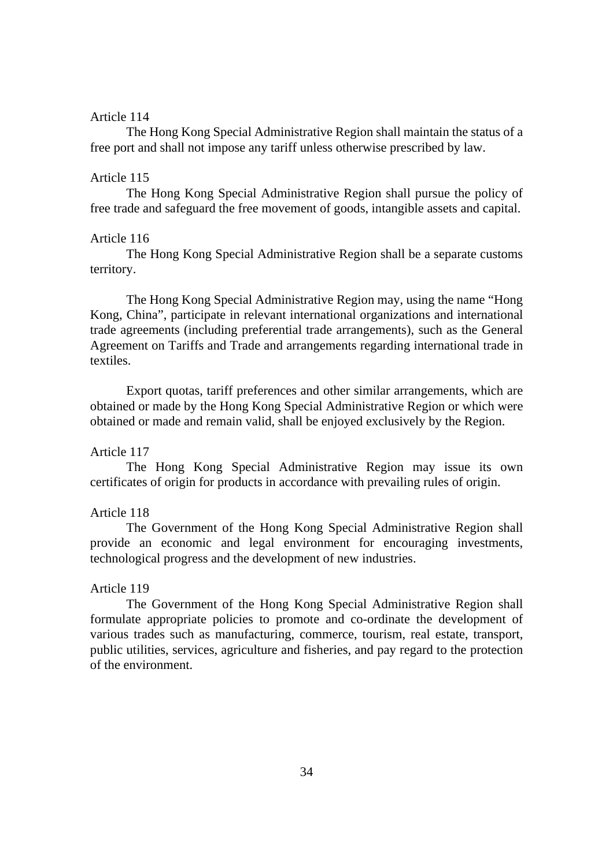The Hong Kong Special Administrative Region shall maintain the status of a free port and shall not impose any tariff unless otherwise prescribed by law.

#### Article 115

The Hong Kong Special Administrative Region shall pursue the policy of free trade and safeguard the free movement of goods, intangible assets and capital.

#### Article 116

The Hong Kong Special Administrative Region shall be a separate customs territory.

The Hong Kong Special Administrative Region may, using the name "Hong Kong, China", participate in relevant international organizations and international trade agreements (including preferential trade arrangements), such as the General Agreement on Tariffs and Trade and arrangements regarding international trade in textiles.

Export quotas, tariff preferences and other similar arrangements, which are obtained or made by the Hong Kong Special Administrative Region or which were obtained or made and remain valid, shall be enjoyed exclusively by the Region.

#### Article 117

The Hong Kong Special Administrative Region may issue its own certificates of origin for products in accordance with prevailing rules of origin.

#### Article 118

The Government of the Hong Kong Special Administrative Region shall provide an economic and legal environment for encouraging investments, technological progress and the development of new industries.

#### Article 119

The Government of the Hong Kong Special Administrative Region shall formulate appropriate policies to promote and co-ordinate the development of various trades such as manufacturing, commerce, tourism, real estate, transport, public utilities, services, agriculture and fisheries, and pay regard to the protection of the environment.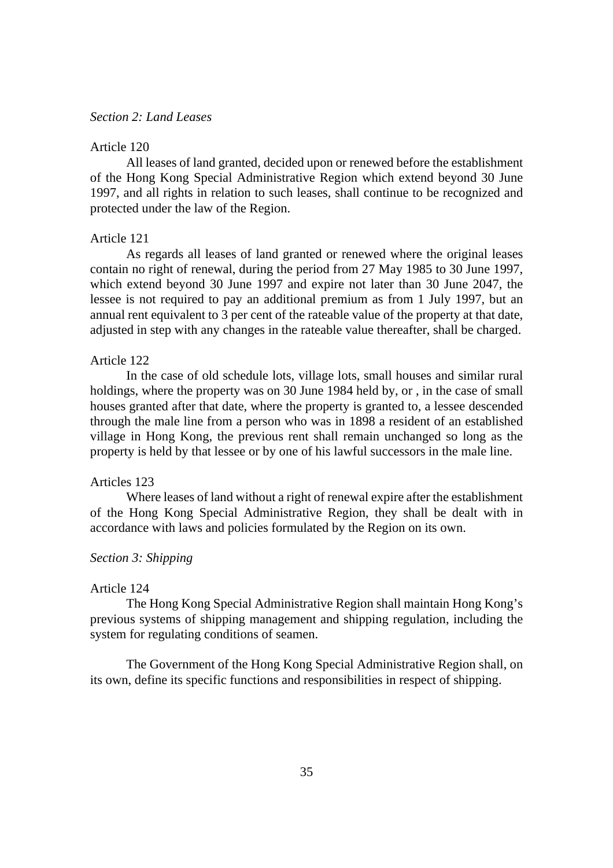#### <span id="page-35-0"></span>*Section 2: Land Leases*

#### Article 120

All leases of land granted, decided upon or renewed before the establishment of the Hong Kong Special Administrative Region which extend beyond 30 June 1997, and all rights in relation to such leases, shall continue to be recognized and protected under the law of the Region.

#### Article 121

As regards all leases of land granted or renewed where the original leases contain no right of renewal, during the period from 27 May 1985 to 30 June 1997, which extend beyond 30 June 1997 and expire not later than 30 June 2047, the lessee is not required to pay an additional premium as from 1 July 1997, but an annual rent equivalent to 3 per cent of the rateable value of the property at that date, adjusted in step with any changes in the rateable value thereafter, shall be charged.

#### Article 122

 houses granted after that date, where the property is granted to, a lessee descended In the case of old schedule lots, village lots, small houses and similar rural holdings, where the property was on 30 June 1984 held by, or , in the case of small through the male line from a person who was in 1898 a resident of an established village in Hong Kong, the previous rent shall remain unchanged so long as the property is held by that lessee or by one of his lawful successors in the male line.

#### Articles 123

Where leases of land without a right of renewal expire after the establishment of the Hong Kong Special Administrative Region, they shall be dealt with in accordance with laws and policies formulated by the Region on its own.

#### *Section 3: Shipping*

#### Article 124

The Hong Kong Special Administrative Region shall maintain Hong Kong's previous systems of shipping management and shipping regulation, including the system for regulating conditions of seamen.

The Government of the Hong Kong Special Administrative Region shall, on its own, define its specific functions and responsibilities in respect of shipping.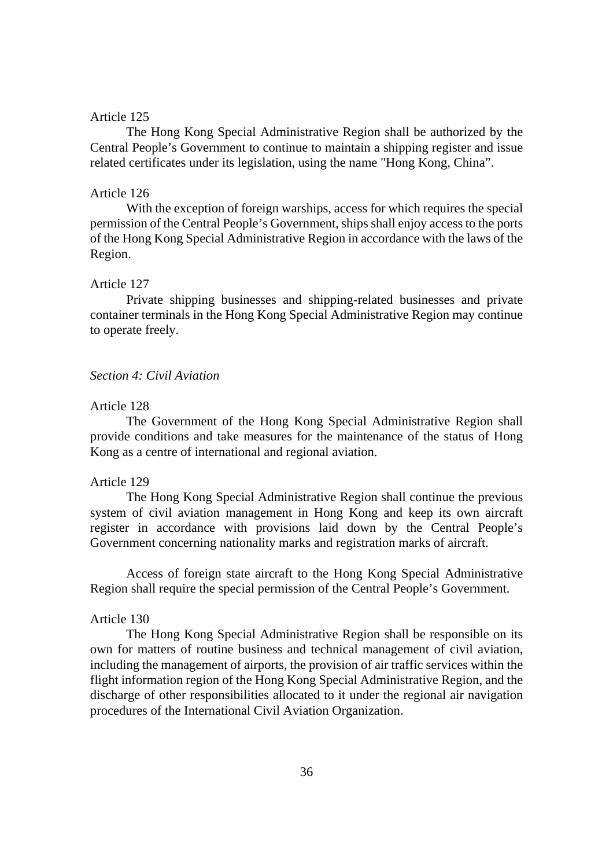#### Article 125

The Hong Kong Special Administrative Region shall be authorized by the Central People's Government to continue to maintain a shipping register and issue related certificates under its legislation, using the name "Hong Kong, China".

#### Article 126

With the exception of foreign warships, access for which requires the special permission of the Central People's Government, ships shall enjoy access to the ports of the Hong Kong Special Administrative Region in accordance with the laws of the Region.

#### Article 127

Private shipping businesses and shipping-related businesses and private container terminals in the Hong Kong Special Administrative Region may continue to operate freely.

#### *Section 4: Civil Aviation*

# Article 128

The Government of the Hong Kong Special Administrative Region shall provide conditions and take measures for the maintenance of the status of Hong Kong as a centre of international and regional aviation.

# Article 129

The Hong Kong Special Administrative Region shall continue the previous system of civil aviation management in Hong Kong and keep its own aircraft register in accordance with provisions laid down by the Central People's Government concerning nationality marks and registration marks of aircraft.

Access of foreign state aircraft to the Hong Kong Special Administrative Region shall require the special permission of the Central People's Government.

# Article 130

The Hong Kong Special Administrative Region shall be responsible on its own for matters of routine business and technical management of civil aviation, including the management of airports, the provision of air traffic services within the flight information region of the Hong Kong Special Administrative Region, and the discharge of other responsibilities allocated to it under the regional air navigation procedures of the International Civil Aviation Organization.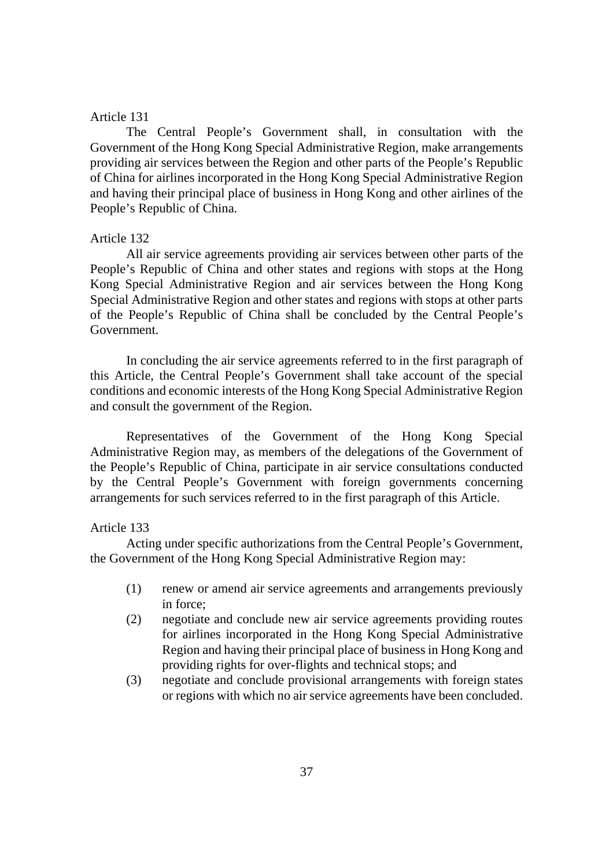#### Article 131

The Central People's Government shall, in consultation with the Government of the Hong Kong Special Administrative Region, make arrangements providing air services between the Region and other parts of the People's Republic of China for airlines incorporated in the Hong Kong Special Administrative Region and having their principal place of business in Hong Kong and other airlines of the People's Republic of China.

# Article 132

All air service agreements providing air services between other parts of the People's Republic of China and other states and regions with stops at the Hong Kong Special Administrative Region and air services between the Hong Kong Special Administrative Region and other states and regions with stops at other parts of the People's Republic of China shall be concluded by the Central People's Government.

In concluding the air service agreements referred to in the first paragraph of this Article, the Central People's Government shall take account of the special conditions and economic interests of the Hong Kong Special Administrative Region and consult the government of the Region.

 arrangements for such services referred to in the first paragraph of this Article. Article 133 Representatives of the Government of the Hong Kong Special Administrative Region may, as members of the delegations of the Government of the People's Republic of China, participate in air service consultations conducted by the Central People's Government with foreign governments concerning

Acting under specific authorizations from the Central People's Government, the Government of the Hong Kong Special Administrative Region may:

- (1) renew or amend air service agreements and arrangements previously in force;
- (2) negotiate and conclude new air service agreements providing routes for airlines incorporated in the Hong Kong Special Administrative Region and having their principal place of business in Hong Kong and providing rights for over-flights and technical stops; and
- (3) negotiate and conclude provisional arrangements with foreign states or regions with which no air service agreements have been concluded.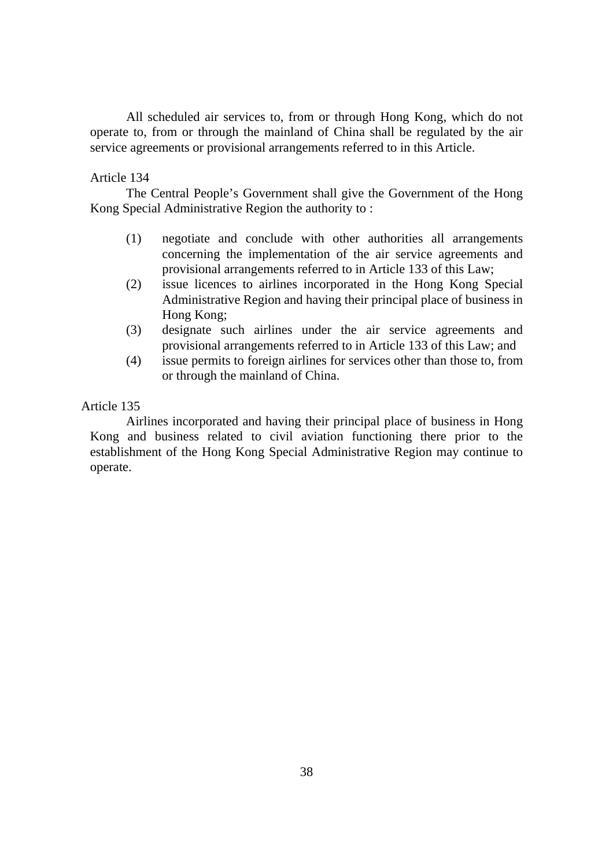All scheduled air services to, from or through Hong Kong, which do not operate to, from or through the mainland of China shall be regulated by the air service agreements or provisional arrangements referred to in this Article.

# Article 134

The Central People's Government shall give the Government of the Hong Kong Special Administrative Region the authority to :

- (1) negotiate and conclude with other authorities all arrangements concerning the implementation of the air service agreements and provisional arrangements referred to in Article 133 of this Law;
- (2) issue licences to airlines incorporated in the Hong Kong Special Administrative Region and having their principal place of business in Hong Kong;
- (3) designate such airlines under the air service agreements and provisional arrangements referred to in Article 133 of this Law; and
- (4) issue permits to foreign airlines for services other than those to, from or through the mainland of China.

# Article 135

Airlines incorporated and having their principal place of business in Hong Kong and business related to civil aviation functioning there prior to the establishment of the Hong Kong Special Administrative Region may continue to operate.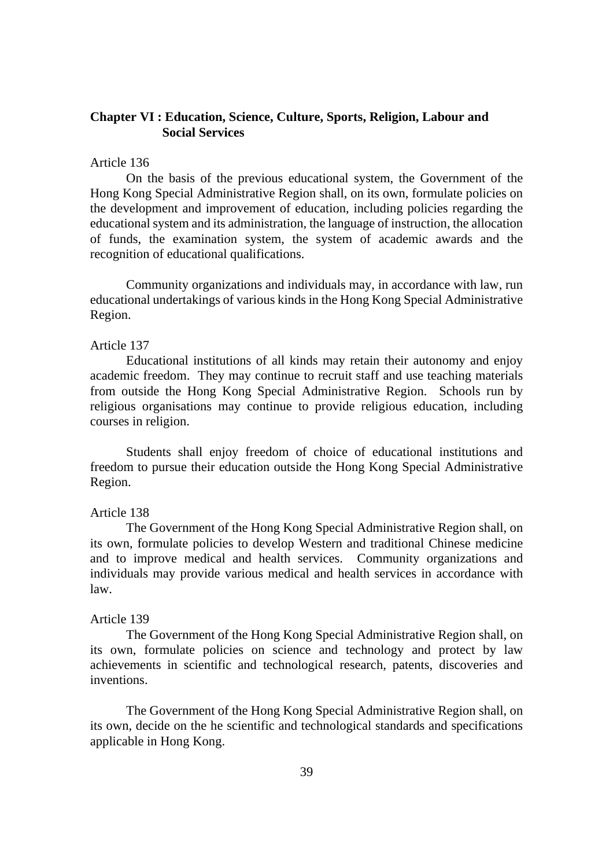# **Chapter VI : Education, Science, Culture, Sports, Religion, Labour and Social Services**

## Article 136

On the basis of the previous educational system, the Government of the Hong Kong Special Administrative Region shall, on its own, formulate policies on the development and improvement of education, including policies regarding the educational system and its administration, the language of instruction, the allocation of funds, the examination system, the system of academic awards and the recognition of educational qualifications.

 Community organizations and individuals may, in accordance with law, run educational undertakings of various kinds in the Hong Kong Special Administrative Region.

## Article 137

Educational institutions of all kinds may retain their autonomy and enjoy academic freedom. They may continue to recruit staff and use teaching materials from outside the Hong Kong Special Administrative Region. Schools run by religious organisations may continue to provide religious education, including courses in religion.

Students shall enjoy freedom of choice of educational institutions and freedom to pursue their education outside the Hong Kong Special Administrative Region.

## Article 138

The Government of the Hong Kong Special Administrative Region shall, on its own, formulate policies to develop Western and traditional Chinese medicine and to improve medical and health services. Community organizations and individuals may provide various medical and health services in accordance with law.

# Article 139

The Government of the Hong Kong Special Administrative Region shall, on its own, formulate policies on science and technology and protect by law achievements in scientific and technological research, patents, discoveries and inventions.

The Government of the Hong Kong Special Administrative Region shall, on its own, decide on the he scientific and technological standards and specifications applicable in Hong Kong.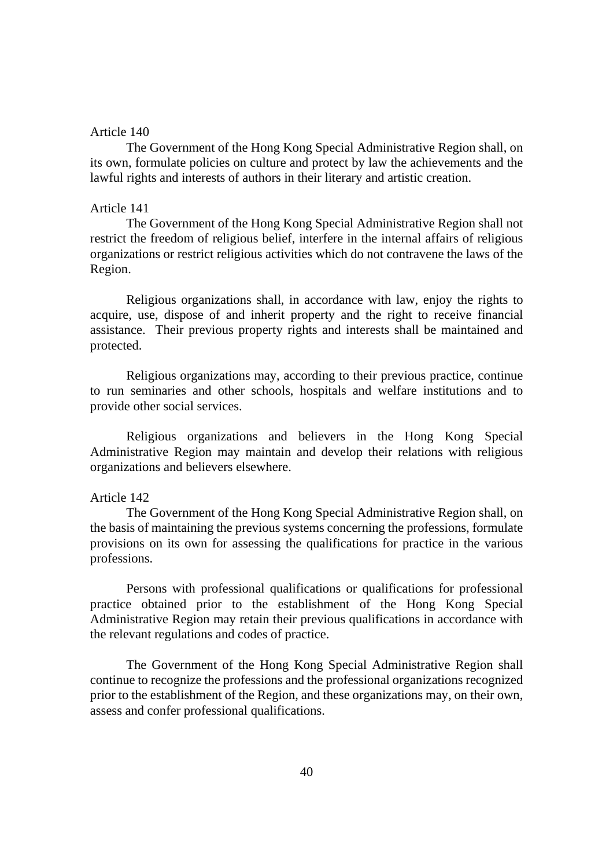### Article 140

The Government of the Hong Kong Special Administrative Region shall, on its own, formulate policies on culture and protect by law the achievements and the lawful rights and interests of authors in their literary and artistic creation.

## Article 141

The Government of the Hong Kong Special Administrative Region shall not restrict the freedom of religious belief, interfere in the internal affairs of religious organizations or restrict religious activities which do not contravene the laws of the Region.

Religious organizations shall, in accordance with law, enjoy the rights to acquire, use, dispose of and inherit property and the right to receive financial assistance. Their previous property rights and interests shall be maintained and protected.

Religious organizations may, according to their previous practice, continue to run seminaries and other schools, hospitals and welfare institutions and to provide other social services.

Religious organizations and believers in the Hong Kong Special Administrative Region may maintain and develop their relations with religious organizations and believers elsewhere.

## Article 142

The Government of the Hong Kong Special Administrative Region shall, on the basis of maintaining the previous systems concerning the professions, formulate provisions on its own for assessing the qualifications for practice in the various professions.

Persons with professional qualifications or qualifications for professional practice obtained prior to the establishment of the Hong Kong Special Administrative Region may retain their previous qualifications in accordance with the relevant regulations and codes of practice.

The Government of the Hong Kong Special Administrative Region shall continue to recognize the professions and the professional organizations recognized prior to the establishment of the Region, and these organizations may, on their own, assess and confer professional qualifications.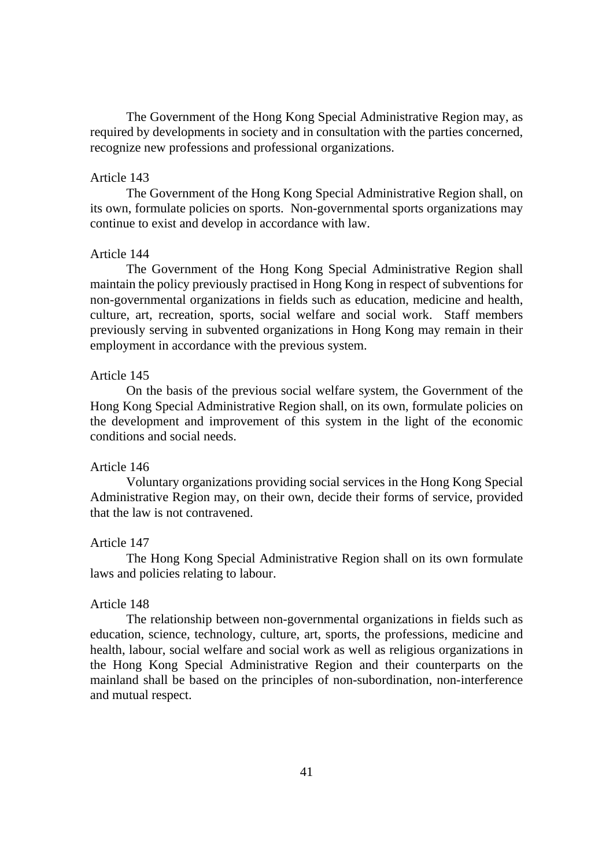required by developments in society and in consultation with the parties concerned, The Government of the Hong Kong Special Administrative Region may, as recognize new professions and professional organizations.

## Article 143

The Government of the Hong Kong Special Administrative Region shall, on its own, formulate policies on sports. Non-governmental sports organizations may continue to exist and develop in accordance with law.

# Article 144

The Government of the Hong Kong Special Administrative Region shall maintain the policy previously practised in Hong Kong in respect of subventions for non-governmental organizations in fields such as education, medicine and health, culture, art, recreation, sports, social welfare and social work. Staff members previously serving in subvented organizations in Hong Kong may remain in their employment in accordance with the previous system.

#### Article 145

On the basis of the previous social welfare system, the Government of the Hong Kong Special Administrative Region shall, on its own, formulate policies on the development and improvement of this system in the light of the economic conditions and social needs.

## Article 146

Voluntary organizations providing social services in the Hong Kong Special Administrative Region may, on their own, decide their forms of service, provided that the law is not contravened.

# Article 147

The Hong Kong Special Administrative Region shall on its own formulate laws and policies relating to labour.

## Article 148

The relationship between non-governmental organizations in fields such as education, science, technology, culture, art, sports, the professions, medicine and health, labour, social welfare and social work as well as religious organizations in the Hong Kong Special Administrative Region and their counterparts on the mainland shall be based on the principles of non-subordination, non-interference and mutual respect.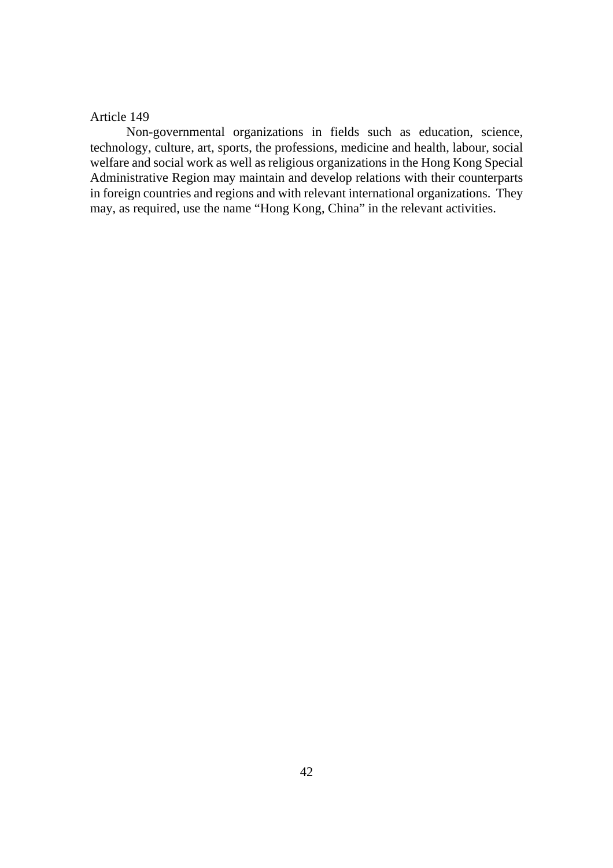# Article 149

Non-governmental organizations in fields such as education, science, technology, culture, art, sports, the professions, medicine and health, labour, social welfare and social work as well as religious organizations in the Hong Kong Special Administrative Region may maintain and develop relations with their counterparts in foreign countries and regions and with relevant international organizations. They may, as required, use the name "Hong Kong, China" in the relevant activities.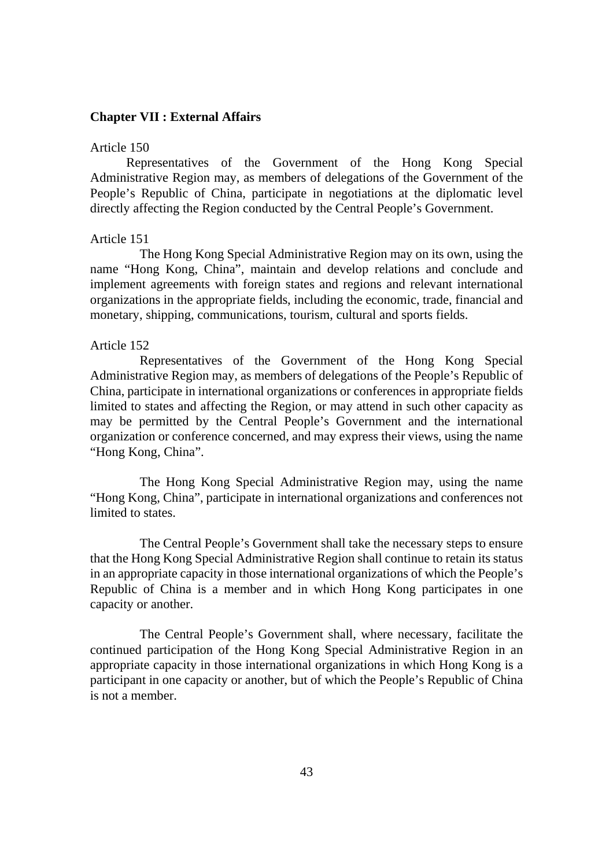#### **Chapter VII : External Affairs**

#### Article 150

Representatives of the Government of the Hong Kong Special Administrative Region may, as members of delegations of the Government of the People's Republic of China, participate in negotiations at the diplomatic level directly affecting the Region conducted by the Central People's Government.

## Article 151

The Hong Kong Special Administrative Region may on its own, using the name "Hong Kong, China", maintain and develop relations and conclude and implement agreements with foreign states and regions and relevant international organizations in the appropriate fields, including the economic, trade, financial and monetary, shipping, communications, tourism, cultural and sports fields.

## Article 152

Representatives of the Government of the Hong Kong Special Administrative Region may, as members of delegations of the People's Republic of China, participate in international organizations or conferences in appropriate fields limited to states and affecting the Region, or may attend in such other capacity as may be permitted by the Central People's Government and the international organization or conference concerned, and may express their views, using the name "Hong Kong, China".

The Hong Kong Special Administrative Region may, using the name "Hong Kong, China", participate in international organizations and conferences not limited to states.

The Central People's Government shall take the necessary steps to ensure that the Hong Kong Special Administrative Region shall continue to retain its status in an appropriate capacity in those international organizations of which the People's Republic of China is a member and in which Hong Kong participates in one capacity or another.

The Central People's Government shall, where necessary, facilitate the continued participation of the Hong Kong Special Administrative Region in an appropriate capacity in those international organizations in which Hong Kong is a participant in one capacity or another, but of which the People's Republic of China is not a member.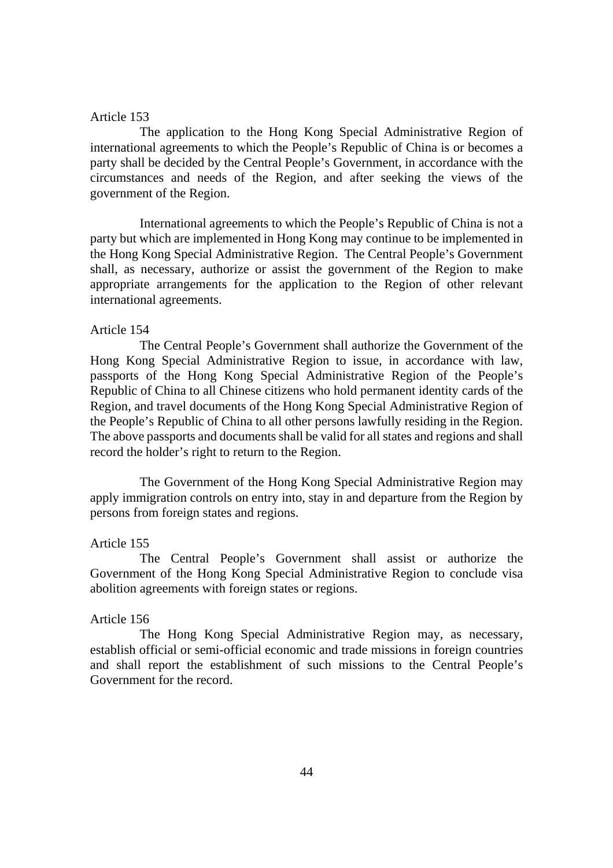#### Article 153

The application to the Hong Kong Special Administrative Region of international agreements to which the People's Republic of China is or becomes a party shall be decided by the Central People's Government, in accordance with the circumstances and needs of the Region, and after seeking the views of the government of the Region.

International agreements to which the People's Republic of China is not a party but which are implemented in Hong Kong may continue to be implemented in the Hong Kong Special Administrative Region. The Central People's Government shall, as necessary, authorize or assist the government of the Region to make appropriate arrangements for the application to the Region of other relevant international agreements.

#### Article 154

The Central People's Government shall authorize the Government of the Hong Kong Special Administrative Region to issue, in accordance with law, passports of the Hong Kong Special Administrative Region of the People's Republic of China to all Chinese citizens who hold permanent identity cards of the Region, and travel documents of the Hong Kong Special Administrative Region of the People's Republic of China to all other persons lawfully residing in the Region. The above passports and documents shall be valid for all states and regions and shall record the holder's right to return to the Region.

The Government of the Hong Kong Special Administrative Region may apply immigration controls on entry into, stay in and departure from the Region by persons from foreign states and regions.

#### Article 155

The Central People's Government shall assist or authorize the Government of the Hong Kong Special Administrative Region to conclude visa abolition agreements with foreign states or regions.

#### Article 156

The Hong Kong Special Administrative Region may, as necessary, establish official or semi-official economic and trade missions in foreign countries and shall report the establishment of such missions to the Central People's Government for the record.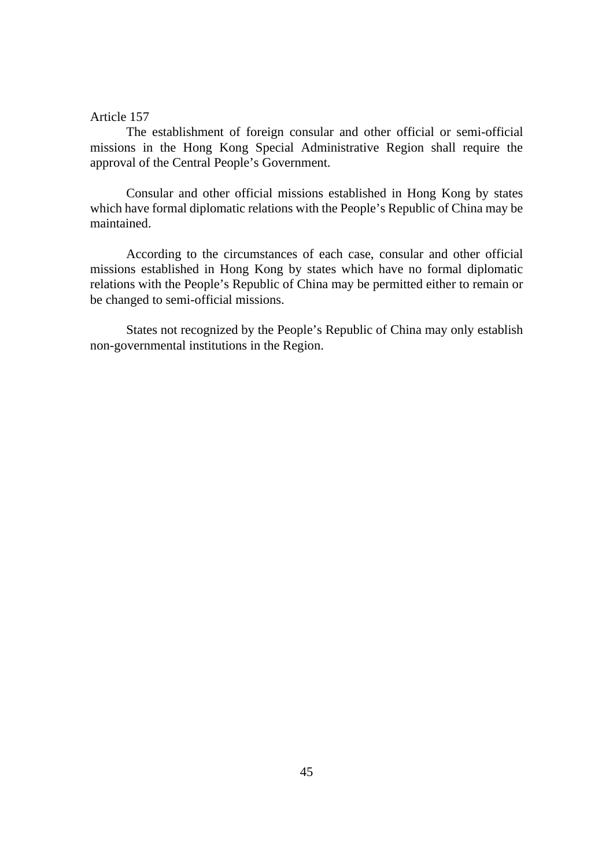## Article 157

The establishment of foreign consular and other official or semi-official missions in the Hong Kong Special Administrative Region shall require the approval of the Central People's Government.

Consular and other official missions established in Hong Kong by states which have formal diplomatic relations with the People's Republic of China may be maintained.

According to the circumstances of each case, consular and other official missions established in Hong Kong by states which have no formal diplomatic relations with the People's Republic of China may be permitted either to remain or be changed to semi-official missions.

States not recognized by the People's Republic of China may only establish non-governmental institutions in the Region.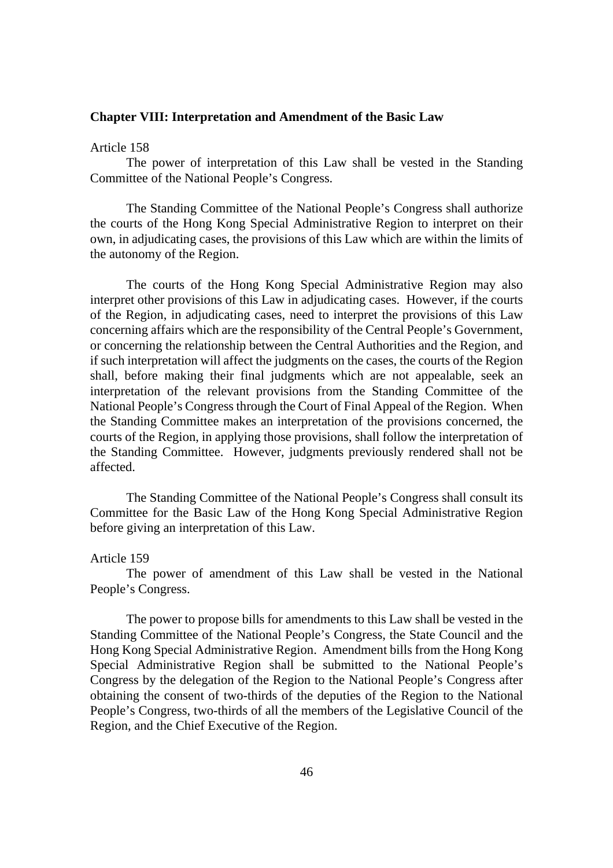## **Chapter VIII: Interpretation and Amendment of the Basic Law**

## Article 158

The power of interpretation of this Law shall be vested in the Standing Committee of the National People's Congress.

The Standing Committee of the National People's Congress shall authorize the courts of the Hong Kong Special Administrative Region to interpret on their own, in adjudicating cases, the provisions of this Law which are within the limits of the autonomy of the Region.

The courts of the Hong Kong Special Administrative Region may also interpret other provisions of this Law in adjudicating cases. However, if the courts of the Region, in adjudicating cases, need to interpret the provisions of this Law concerning affairs which are the responsibility of the Central People's Government, or concerning the relationship between the Central Authorities and the Region, and if such interpretation will affect the judgments on the cases, the courts of the Region shall, before making their final judgments which are not appealable, seek an interpretation of the relevant provisions from the Standing Committee of the National People's Congress through the Court of Final Appeal of the Region. When the Standing Committee makes an interpretation of the provisions concerned, the courts of the Region, in applying those provisions, shall follow the interpretation of the Standing Committee. However, judgments previously rendered shall not be affected.

The Standing Committee of the National People's Congress shall consult its Committee for the Basic Law of the Hong Kong Special Administrative Region before giving an interpretation of this Law.

## Article 159

The power of amendment of this Law shall be vested in the National People's Congress.

 Congress by the delegation of the Region to the National People's Congress after The power to propose bills for amendments to this Law shall be vested in the Standing Committee of the National People's Congress, the State Council and the Hong Kong Special Administrative Region. Amendment bills from the Hong Kong Special Administrative Region shall be submitted to the National People's obtaining the consent of two-thirds of the deputies of the Region to the National People's Congress, two-thirds of all the members of the Legislative Council of the Region, and the Chief Executive of the Region.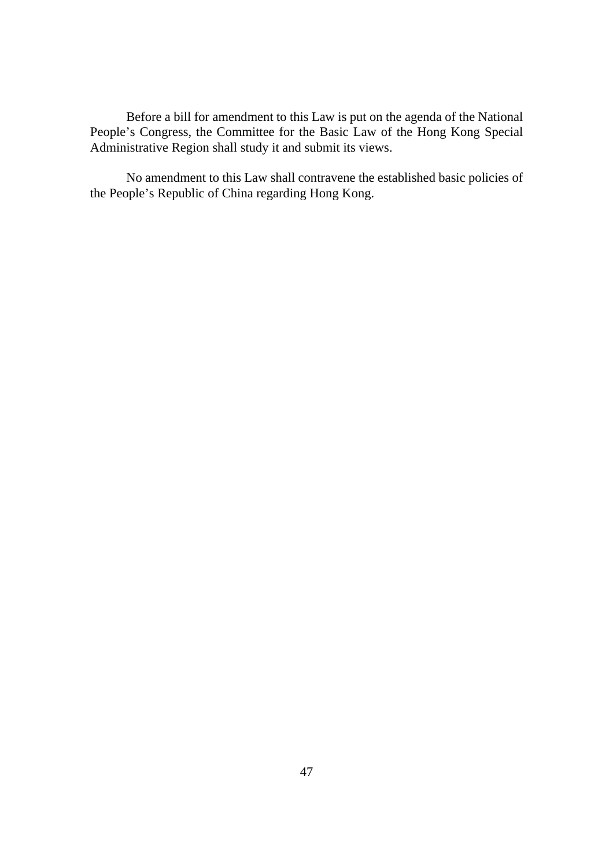Before a bill for amendment to this Law is put on the agenda of the National People's Congress, the Committee for the Basic Law of the Hong Kong Special Administrative Region shall study it and submit its views.

No amendment to this Law shall contravene the established basic policies of the People's Republic of China regarding Hong Kong.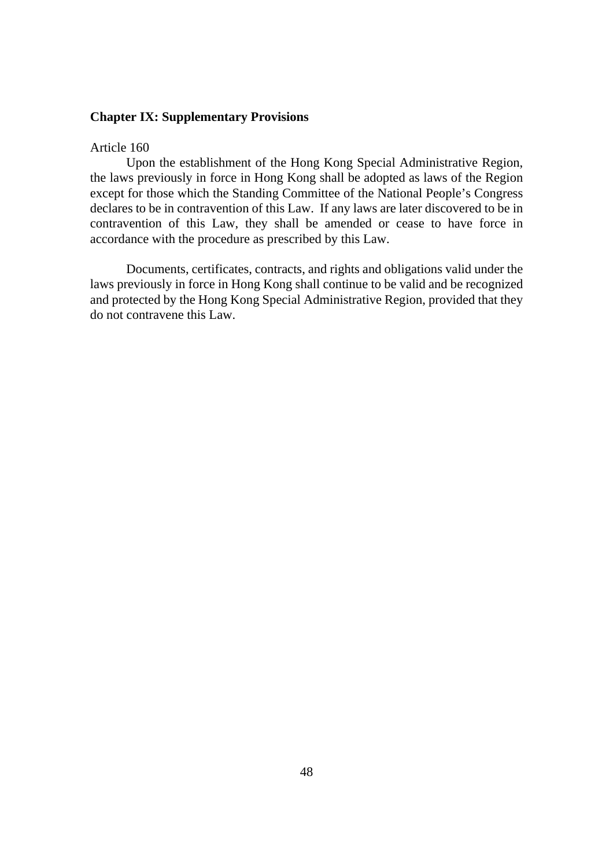# **Chapter IX: Supplementary Provisions**

## Article 160

Upon the establishment of the Hong Kong Special Administrative Region, the laws previously in force in Hong Kong shall be adopted as laws of the Region except for those which the Standing Committee of the National People's Congress declares to be in contravention of this Law. If any laws are later discovered to be in contravention of this Law, they shall be amended or cease to have force in accordance with the procedure as prescribed by this Law.

Documents, certificates, contracts, and rights and obligations valid under the laws previously in force in Hong Kong shall continue to be valid and be recognized and protected by the Hong Kong Special Administrative Region, provided that they do not contravene this Law.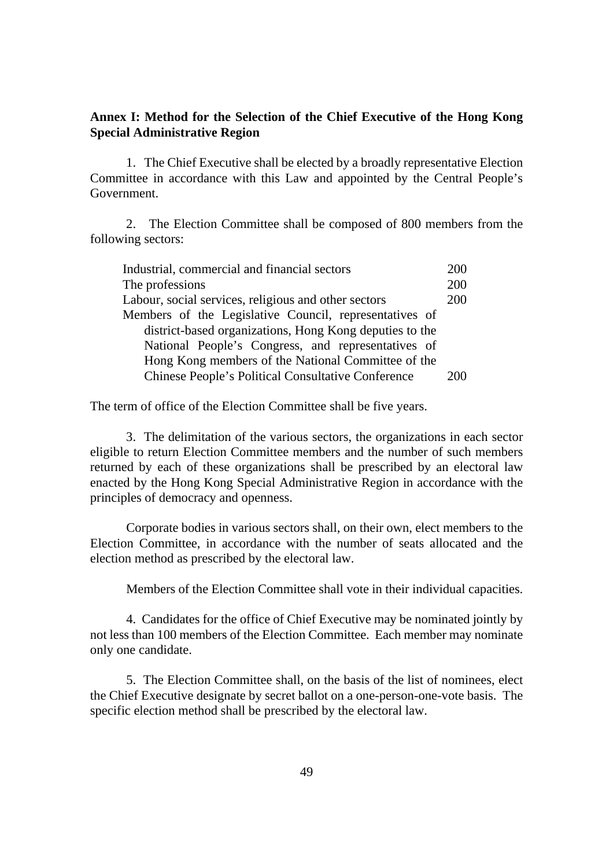# **Annex I: Method for the Selection of the Chief Executive of the Hong Kong Special Administrative Region**

 Committee in accordance with this Law and appointed by the Central People's 1. The Chief Executive shall be elected by a broadly representative Election Government.

2. The Election Committee shall be composed of 800 members from the following sectors:

| Industrial, commercial and financial sectors            | 200 |
|---------------------------------------------------------|-----|
| The professions                                         | 200 |
| Labour, social services, religious and other sectors    | 200 |
| Members of the Legislative Council, representatives of  |     |
| district-based organizations, Hong Kong deputies to the |     |
| National People's Congress, and representatives of      |     |
| Hong Kong members of the National Committee of the      |     |
| Chinese People's Political Consultative Conference      | 200 |
|                                                         |     |

The term of office of the Election Committee shall be five years.

3. The delimitation of the various sectors, the organizations in each sector eligible to return Election Committee members and the number of such members returned by each of these organizations shall be prescribed by an electoral law enacted by the Hong Kong Special Administrative Region in accordance with the principles of democracy and openness.

Corporate bodies in various sectors shall, on their own, elect members to the Election Committee, in accordance with the number of seats allocated and the election method as prescribed by the electoral law.

Members of the Election Committee shall vote in their individual capacities.

4. Candidates for the office of Chief Executive may be nominated jointly by not less than 100 members of the Election Committee. Each member may nominate only one candidate.

5. The Election Committee shall, on the basis of the list of nominees, elect the Chief Executive designate by secret ballot on a one-person-one-vote basis. The specific election method shall be prescribed by the electoral law.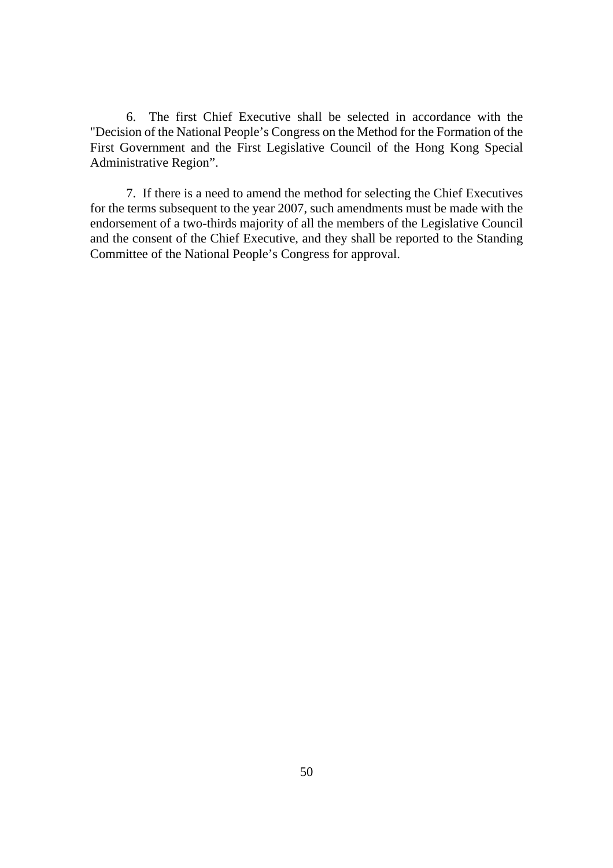First Government and the First Legislative Council of the Hong Kong Special 6. The first Chief Executive shall be selected in accordance with the "Decision of the National People's Congress on the Method for the Formation of the Administrative Region".

7. If there is a need to amend the method for selecting the Chief Executives for the terms subsequent to the year 2007, such amendments must be made with the endorsement of a two-thirds majority of all the members of the Legislative Council and the consent of the Chief Executive, and they shall be reported to the Standing Committee of the National People's Congress for approval.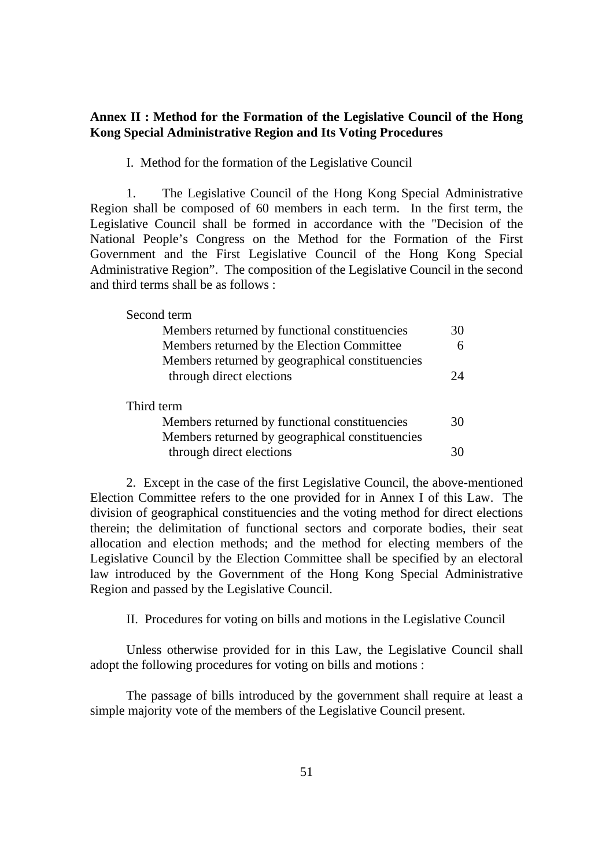# **Annex II : Method for the Formation of the Legislative Council of the Hong Kong Special Administrative Region and Its Voting Procedures**

I. Method for the formation of the Legislative Council

1. The Legislative Council of the Hong Kong Special Administrative Region shall be composed of 60 members in each term. In the first term, the Legislative Council shall be formed in accordance with the "Decision of the National People's Congress on the Method for the Formation of the First Government and the First Legislative Council of the Hong Kong Special Administrative Region". The composition of the Legislative Council in the second and third terms shall be as follows :

Second term

| Members returned by functional constituencies                                                                  | 30 |
|----------------------------------------------------------------------------------------------------------------|----|
| Members returned by the Election Committee                                                                     |    |
| Members returned by geographical constituencies<br>through direct elections                                    | 24 |
| Third term<br>Members returned by functional constituencies<br>Members returned by geographical constituencies | 30 |

through direct elections 30

2. Except in the case of the first Legislative Council, the above-mentioned Election Committee refers to the one provided for in Annex I of this Law. The division of geographical constituencies and the voting method for direct elections therein; the delimitation of functional sectors and corporate bodies, their seat allocation and election methods; and the method for electing members of the Legislative Council by the Election Committee shall be specified by an electoral law introduced by the Government of the Hong Kong Special Administrative Region and passed by the Legislative Council.

II. Procedures for voting on bills and motions in the Legislative Council

Unless otherwise provided for in this Law, the Legislative Council shall adopt the following procedures for voting on bills and motions :

The passage of bills introduced by the government shall require at least a simple majority vote of the members of the Legislative Council present.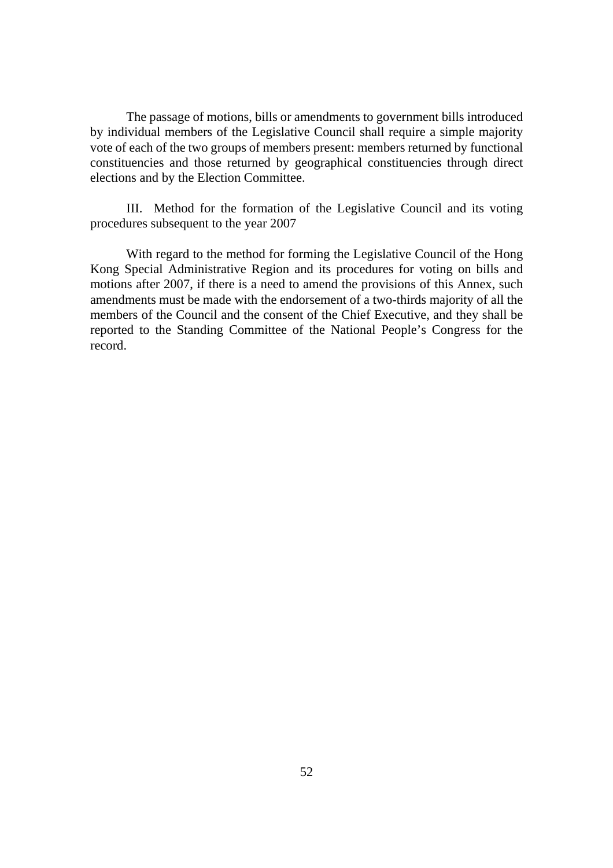The passage of motions, bills or amendments to government bills introduced by individual members of the Legislative Council shall require a simple majority vote of each of the two groups of members present: members returned by functional constituencies and those returned by geographical constituencies through direct elections and by the Election Committee.

III. Method for the formation of the Legislative Council and its voting procedures subsequent to the year 2007

 amendments must be made with the endorsement of a two-thirds majority of all the With regard to the method for forming the Legislative Council of the Hong Kong Special Administrative Region and its procedures for voting on bills and motions after 2007, if there is a need to amend the provisions of this Annex, such members of the Council and the consent of the Chief Executive, and they shall be reported to the Standing Committee of the National People's Congress for the record.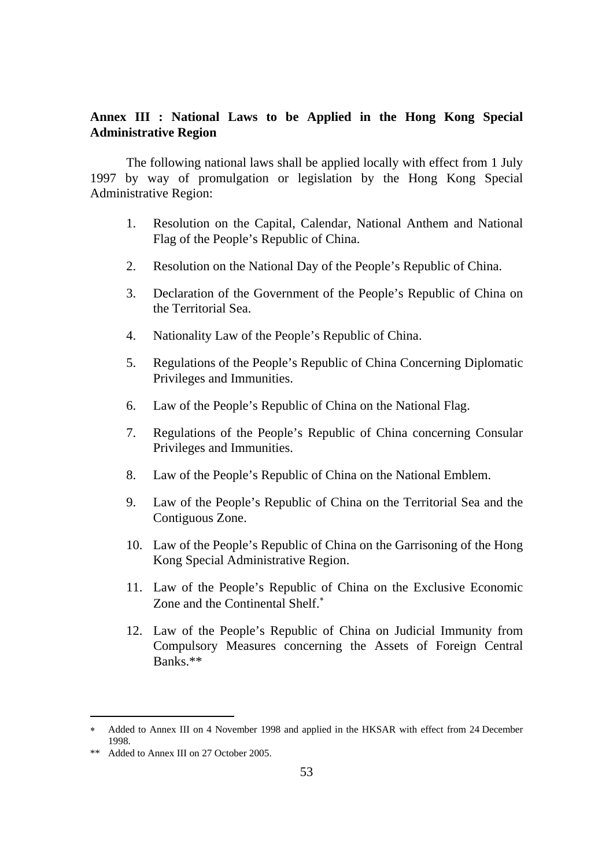# **Annex III : National Laws to be Applied in the Hong Kong Special Administrative Region**

The following national laws shall be applied locally with effect from 1 July 1997 by way of promulgation or legislation by the Hong Kong Special Administrative Region:

- 1. Resolution on the Capital, Calendar, National Anthem and National Flag of the People's Republic of China.
- 2. Resolution on the National Day of the People's Republic of China.
- 3. Declaration of the Government of the People's Republic of China on the Territorial Sea.
- 4. Nationality Law of the People's Republic of China.
- 5. Regulations of the People's Republic of China Concerning Diplomatic Privileges and Immunities.
- 6. Law of the People's Republic of China on the National Flag.
- 7. Regulations of the People's Republic of China concerning Consular Privileges and Immunities.
- 8. Law of the People's Republic of China on the National Emblem.
- 9. Law of the People's Republic of China on the Territorial Sea and the Contiguous Zone.
- 10. Law of the People's Republic of China on the Garrisoning of the Hong Kong Special Administrative Region.
- 11. Law of the People's Republic of China on the Exclusive Economic Zone and the Continental Shelf.<sup>\*</sup>
- 12. Law of the People's Republic of China on Judicial Immunity from Compulsory Measures concerning the Assets of Foreign Central Banks.\*\*

<sup>∗</sup> Added to Annex III on 4 November 1998 and applied in the HKSAR with effect from 24 December 1998.

<sup>\*\*</sup> Added to Annex III on 27 October 2005.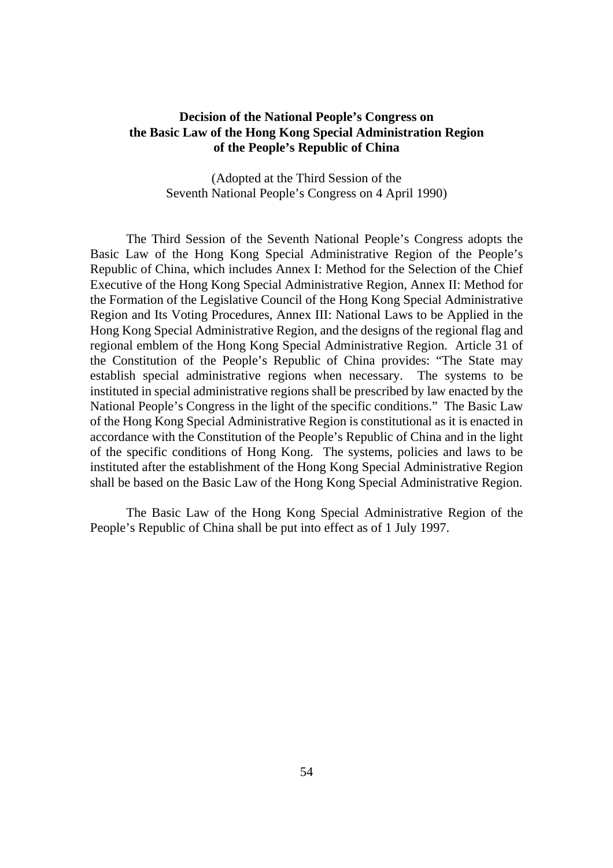# **Decision of the National People's Congress on the Basic Law of the Hong Kong Special Administration Region of the People's Republic of China**

(Adopted at the Third Session of the Seventh National People's Congress on 4 April 1990)

The Third Session of the Seventh National People's Congress adopts the Basic Law of the Hong Kong Special Administrative Region of the People's Republic of China, which includes Annex I: Method for the Selection of the Chief Executive of the Hong Kong Special Administrative Region, Annex II: Method for the Formation of the Legislative Council of the Hong Kong Special Administrative Region and Its Voting Procedures, Annex III: National Laws to be Applied in the Hong Kong Special Administrative Region, and the designs of the regional flag and regional emblem of the Hong Kong Special Administrative Region. Article 31 of the Constitution of the People's Republic of China provides: "The State may establish special administrative regions when necessary. The systems to be instituted in special administrative regions shall be prescribed by law enacted by the National People's Congress in the light of the specific conditions." The Basic Law of the Hong Kong Special Administrative Region is constitutional as it is enacted in accordance with the Constitution of the People's Republic of China and in the light of the specific conditions of Hong Kong. The systems, policies and laws to be instituted after the establishment of the Hong Kong Special Administrative Region shall be based on the Basic Law of the Hong Kong Special Administrative Region.

The Basic Law of the Hong Kong Special Administrative Region of the People's Republic of China shall be put into effect as of 1 July 1997.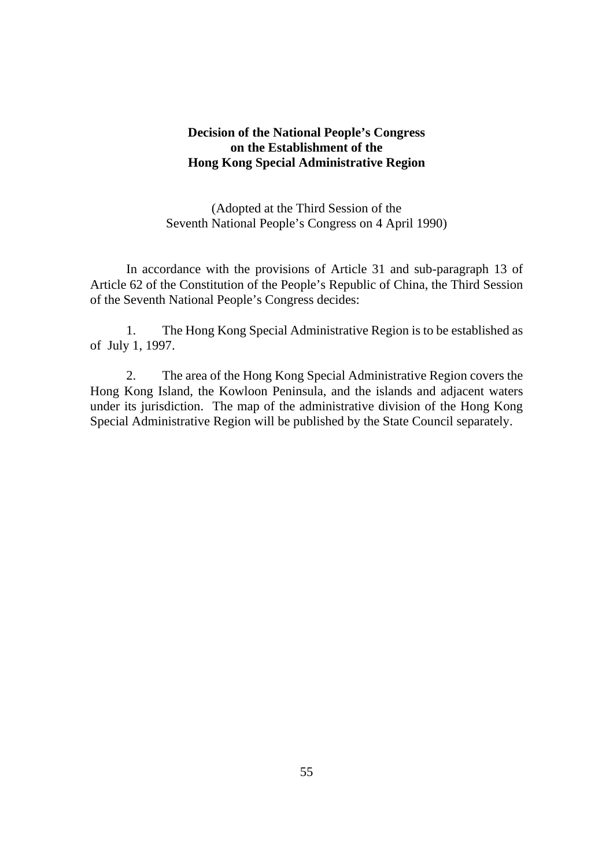# **Decision of the National People's Congress on the Establishment of the Hong Kong Special Administrative Region**

(Adopted at the Third Session of the Seventh National People's Congress on 4 April 1990)

In accordance with the provisions of Article 31 and sub-paragraph 13 of Article 62 of the Constitution of the People's Republic of China, the Third Session of the Seventh National People's Congress decides:

1. The Hong Kong Special Administrative Region is to be established as of July 1, 1997.

2. The area of the Hong Kong Special Administrative Region covers the Hong Kong Island, the Kowloon Peninsula, and the islands and adjacent waters under its jurisdiction. The map of the administrative division of the Hong Kong Special Administrative Region will be published by the State Council separately.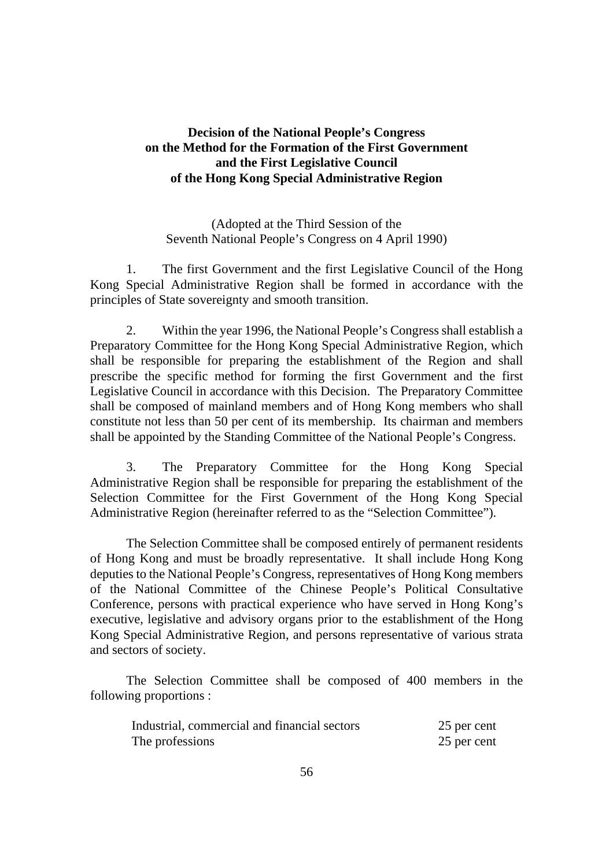# **Decision of the National People's Congress on the Method for the Formation of the First Government and the First Legislative Council of the Hong Kong Special Administrative Region**

(Adopted at the Third Session of the Seventh National People's Congress on 4 April 1990)

1. The first Government and the first Legislative Council of the Hong Kong Special Administrative Region shall be formed in accordance with the principles of State sovereignty and smooth transition.

 constitute not less than 50 per cent of its membership. Its chairman and members 2. Within the year 1996, the National People's Congress shall establish a Preparatory Committee for the Hong Kong Special Administrative Region, which shall be responsible for preparing the establishment of the Region and shall prescribe the specific method for forming the first Government and the first Legislative Council in accordance with this Decision. The Preparatory Committee shall be composed of mainland members and of Hong Kong members who shall shall be appointed by the Standing Committee of the National People's Congress.

3. The Preparatory Committee for the Hong Kong Special Administrative Region shall be responsible for preparing the establishment of the Selection Committee for the First Government of the Hong Kong Special Administrative Region (hereinafter referred to as the "Selection Committee").

The Selection Committee shall be composed entirely of permanent residents of Hong Kong and must be broadly representative. It shall include Hong Kong deputies to the National People's Congress, representatives of Hong Kong members of the National Committee of the Chinese People's Political Consultative Conference, persons with practical experience who have served in Hong Kong's executive, legislative and advisory organs prior to the establishment of the Hong Kong Special Administrative Region, and persons representative of various strata and sectors of society.

The Selection Committee shall be composed of 400 members in the following proportions :

| Industrial, commercial and financial sectors | 25 per cent |
|----------------------------------------------|-------------|
| The professions                              | 25 per cent |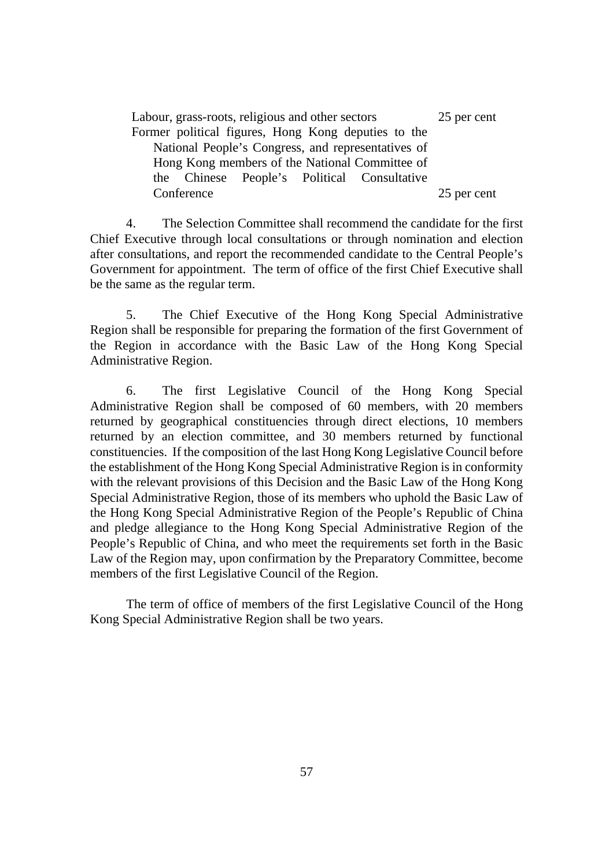| Labour, grass-roots, religious and other sectors    | 25 per cent |
|-----------------------------------------------------|-------------|
| Former political figures, Hong Kong deputies to the |             |
| National People's Congress, and representatives of  |             |
| Hong Kong members of the National Committee of      |             |
| the Chinese People's Political Consultative         |             |
| Conference                                          | 25 per cent |

4. The Selection Committee shall recommend the candidate for the first Chief Executive through local consultations or through nomination and election after consultations, and report the recommended candidate to the Central People's Government for appointment. The term of office of the first Chief Executive shall be the same as the regular term.

5. The Chief Executive of the Hong Kong Special Administrative Region shall be responsible for preparing the formation of the first Government of the Region in accordance with the Basic Law of the Hong Kong Special Administrative Region.

 6. The first Legislative Council of the Hong Kong Special Special Administrative Region, those of its members who uphold the Basic Law of Administrative Region shall be composed of 60 members, with 20 members returned by geographical constituencies through direct elections, 10 members returned by an election committee, and 30 members returned by functional constituencies. If the composition of the last Hong Kong Legislative Council before the establishment of the Hong Kong Special Administrative Region is in conformity with the relevant provisions of this Decision and the Basic Law of the Hong Kong the Hong Kong Special Administrative Region of the People's Republic of China and pledge allegiance to the Hong Kong Special Administrative Region of the People's Republic of China, and who meet the requirements set forth in the Basic Law of the Region may, upon confirmation by the Preparatory Committee, become members of the first Legislative Council of the Region.

The term of office of members of the first Legislative Council of the Hong Kong Special Administrative Region shall be two years.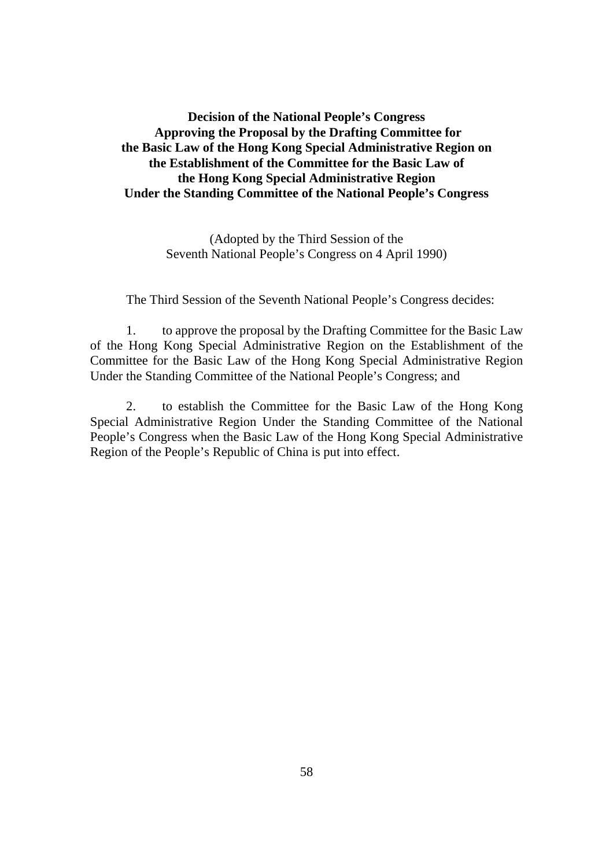**the Establishment of the Committee for the Basic Law of Decision of the National People's Congress Approving the Proposal by the Drafting Committee for the Basic Law of the Hong Kong Special Administrative Region on the Hong Kong Special Administrative Region Under the Standing Committee of the National People's Congress**

> (Adopted by the Third Session of the Seventh National People's Congress on 4 April 1990)

The Third Session of the Seventh National People's Congress decides:

1. to approve the proposal by the Drafting Committee for the Basic Law of the Hong Kong Special Administrative Region on the Establishment of the Committee for the Basic Law of the Hong Kong Special Administrative Region Under the Standing Committee of the National People's Congress; and

2. to establish the Committee for the Basic Law of the Hong Kong Special Administrative Region Under the Standing Committee of the National People's Congress when the Basic Law of the Hong Kong Special Administrative Region of the People's Republic of China is put into effect.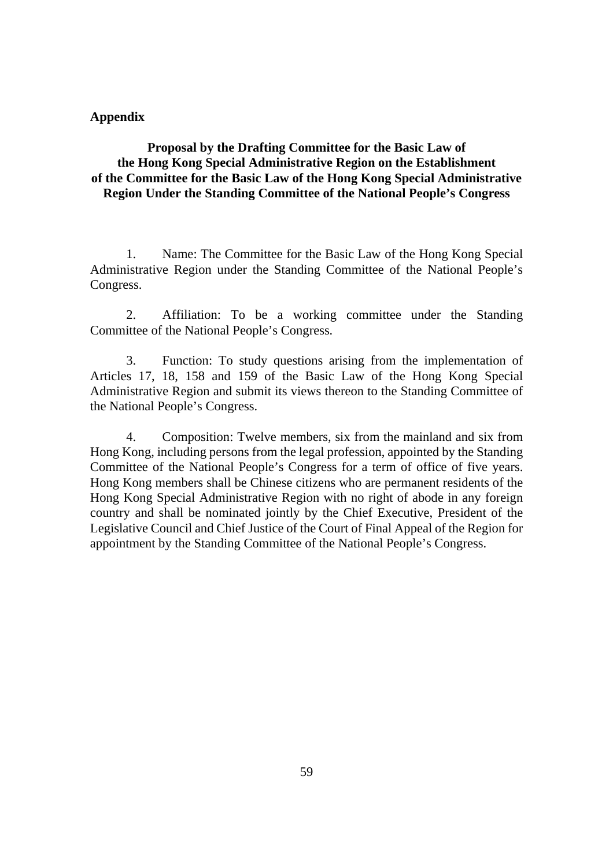# **Appendix**

# **Proposal by the Drafting Committee for the Basic Law of the Hong Kong Special Administrative Region on the Establishment of the Committee for the Basic Law of the Hong Kong Special Administrative Region Under the Standing Committee of the National People's Congress**

1. Name: The Committee for the Basic Law of the Hong Kong Special Administrative Region under the Standing Committee of the National People's Congress.

2. Affiliation: To be a working committee under the Standing Committee of the National People's Congress.

3. Function: To study questions arising from the implementation of Articles 17, 18, 158 and 159 of the Basic Law of the Hong Kong Special Administrative Region and submit its views thereon to the Standing Committee of the National People's Congress.

Committee of the National People's Congress for a term of office of five years. 4. Composition: Twelve members, six from the mainland and six from Hong Kong, including persons from the legal profession, appointed by the Standing Hong Kong members shall be Chinese citizens who are permanent residents of the Hong Kong Special Administrative Region with no right of abode in any foreign country and shall be nominated jointly by the Chief Executive, President of the Legislative Council and Chief Justice of the Court of Final Appeal of the Region for appointment by the Standing Committee of the National People's Congress.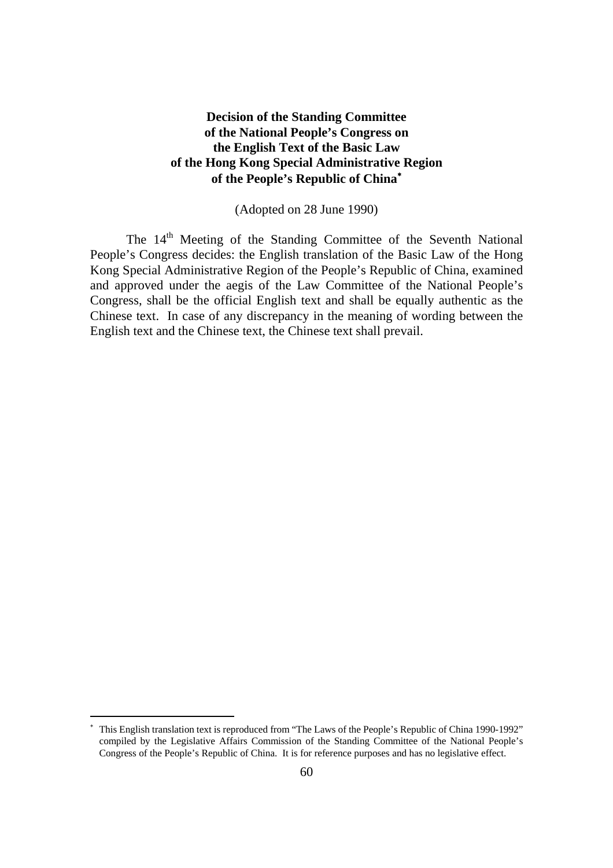# **Decision of the Standing Committee of the National People's Congress on the English Text of the Basic Law of the Hong Kong Special Administrative Region of the People's Republic of China**<sup>∗</sup>

(Adopted on 28 June 1990)

The 14<sup>th</sup> Meeting of the Standing Committee of the Seventh National People's Congress decides: the English translation of the Basic Law of the Hong Kong Special Administrative Region of the People's Republic of China, examined and approved under the aegis of the Law Committee of the National People's Congress, shall be the official English text and shall be equally authentic as the Chinese text. In case of any discrepancy in the meaning of wording between the English text and the Chinese text, the Chinese text shall prevail.

 compiled by the Legislative Affairs Commission of the Standing Committee of the National People's This English translation text is reproduced from "The Laws of the People's Republic of China 1990-1992" Congress of the People's Republic of China. It is for reference purposes and has no legislative effect.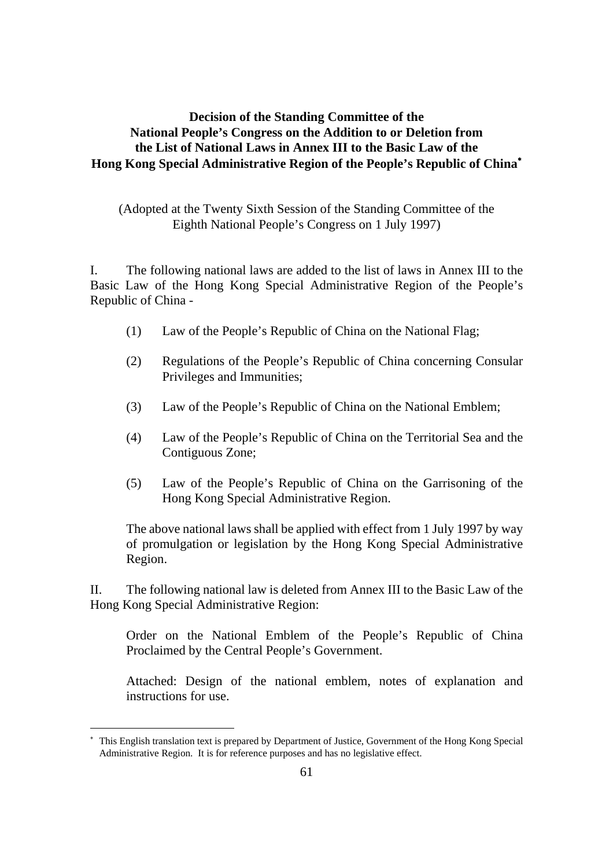# **Decision of the Standing Committee of the National People's Congress on the Addition to or Deletion from the List of National Laws in Annex III to the Basic Law of the Hong Kong Special Administrative Region of the People's Republic of China**<sup>∗</sup>

# (Adopted at the Twenty Sixth Session of the Standing Committee of the Eighth National People's Congress on 1 July 1997)

I. The following national laws are added to the list of laws in Annex III to the Basic Law of the Hong Kong Special Administrative Region of the People's Republic of China -

- (1) Law of the People's Republic of China on the National Flag;
- (2) Regulations of the People's Republic of China concerning Consular Privileges and Immunities;
- (3) Law of the People's Republic of China on the National Emblem;
- (4) Law of the People's Republic of China on the Territorial Sea and the Contiguous Zone;
- (5) Law of the People's Republic of China on the Garrisoning of the Hong Kong Special Administrative Region.

The above national laws shall be applied with effect from 1 July 1997 by way of promulgation or legislation by the Hong Kong Special Administrative Region.

II. The following national law is deleted from Annex III to the Basic Law of the Hong Kong Special Administrative Region:

Order on the National Emblem of the People's Republic of China Proclaimed by the Central People's Government.

Attached: Design of the national emblem, notes of explanation and instructions for use.

This English translation text is prepared by Department of Justice, Government of the Hong Kong Special Administrative Region. It is for reference purposes and has no legislative effect.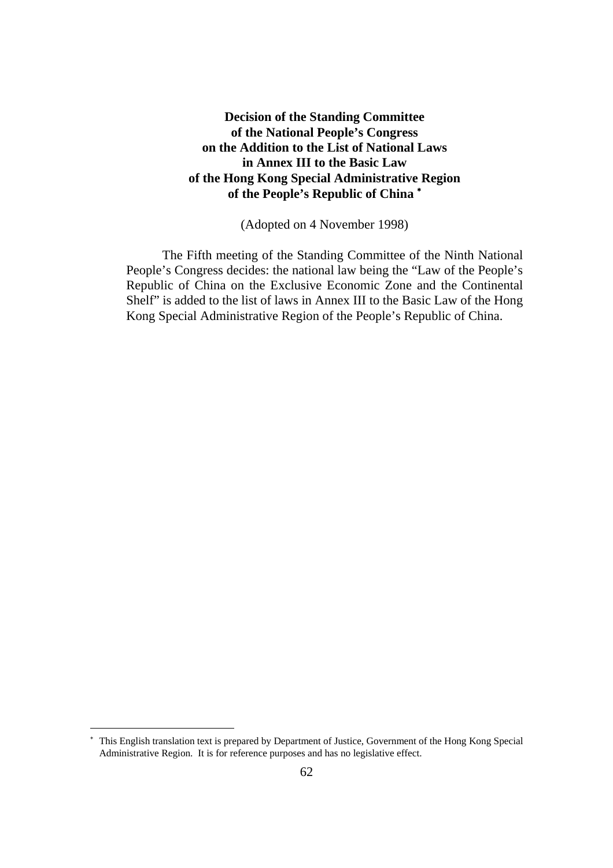**Decision of the Standing Committee of the National People's Congress on the Addition to the List of National Laws in Annex III to the Basic Law of the Hong Kong Special Administrative Region of the People's Republic of China** <sup>∗</sup>

(Adopted on 4 November 1998)

The Fifth meeting of the Standing Committee of the Ninth National People's Congress decides: the national law being the "Law of the People's Republic of China on the Exclusive Economic Zone and the Continental Shelf" is added to the list of laws in Annex III to the Basic Law of the Hong Kong Special Administrative Region of the People's Republic of China.

This English translation text is prepared by Department of Justice, Government of the Hong Kong Special Administrative Region. It is for reference purposes and has no legislative effect.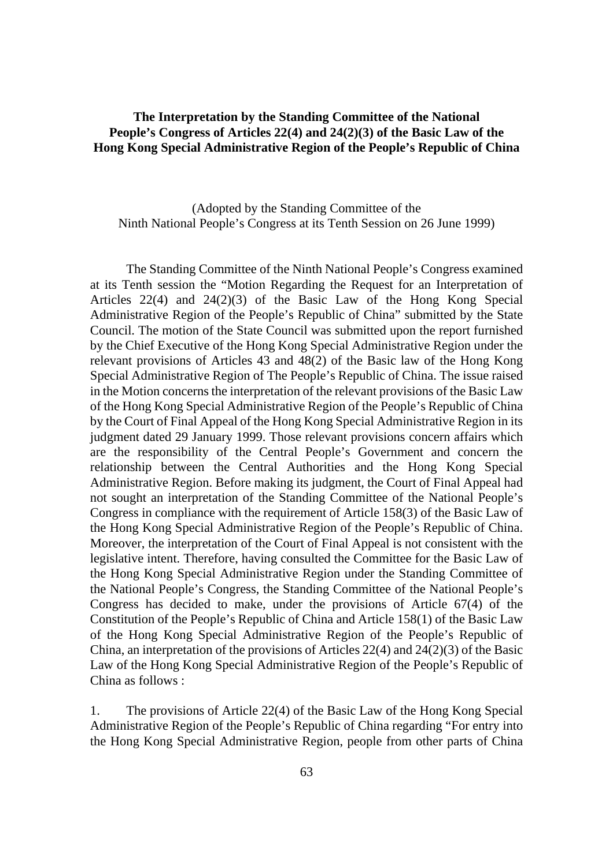# **The Interpretation by the Standing Committee of the National People's Congress of Articles 22(4) and 24(2)(3) of the Basic Law of the Hong Kong Special Administrative Region of the People's Republic of China**

# (Adopted by the Standing Committee of the Ninth National People's Congress at its Tenth Session on 26 June 1999)

The Standing Committee of the Ninth National People's Congress examined at its Tenth session the "Motion Regarding the Request for an Interpretation of Articles 22(4) and 24(2)(3) of the Basic Law of the Hong Kong Special Administrative Region of the People's Republic of China" submitted by the State Council. The motion of the State Council was submitted upon the report furnished by the Chief Executive of the Hong Kong Special Administrative Region under the relevant provisions of Articles 43 and 48(2) of the Basic law of the Hong Kong Special Administrative Region of The People's Republic of China. The issue raised in the Motion concerns the interpretation of the relevant provisions of the Basic Law of the Hong Kong Special Administrative Region of the People's Republic of China by the Court of Final Appeal of the Hong Kong Special Administrative Region in its judgment dated 29 January 1999. Those relevant provisions concern affairs which are the responsibility of the Central People's Government and concern the relationship between the Central Authorities and the Hong Kong Special Administrative Region. Before making its judgment, the Court of Final Appeal had not sought an interpretation of the Standing Committee of the National People's Congress in compliance with the requirement of Article 158(3) of the Basic Law of the Hong Kong Special Administrative Region of the People's Republic of China. Moreover, the interpretation of the Court of Final Appeal is not consistent with the legislative intent. Therefore, having consulted the Committee for the Basic Law of the Hong Kong Special Administrative Region under the Standing Committee of the National People's Congress, the Standing Committee of the National People's Congress has decided to make, under the provisions of Article 67(4) of the Constitution of the People's Republic of China and Article 158(1) of the Basic Law of the Hong Kong Special Administrative Region of the People's Republic of China, an interpretation of the provisions of Articles 22(4) and 24(2)(3) of the Basic Law of the Hong Kong Special Administrative Region of the People's Republic of China as follows :

1. The provisions of Article 22(4) of the Basic Law of the Hong Kong Special Administrative Region of the People's Republic of China regarding "For entry into the Hong Kong Special Administrative Region, people from other parts of China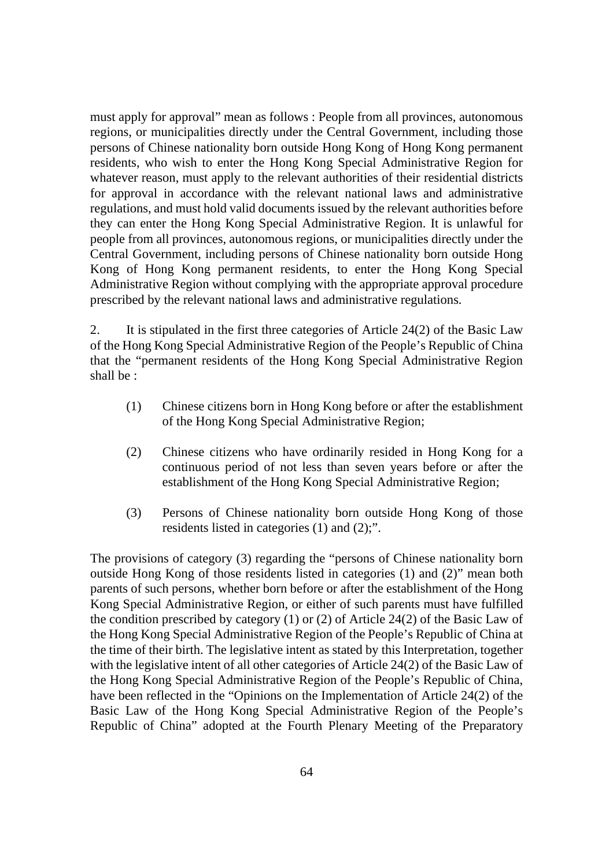must apply for approval" mean as follows : People from all provinces, autonomous regions, or municipalities directly under the Central Government, including those persons of Chinese nationality born outside Hong Kong of Hong Kong permanent residents, who wish to enter the Hong Kong Special Administrative Region for whatever reason, must apply to the relevant authorities of their residential districts for approval in accordance with the relevant national laws and administrative regulations, and must hold valid documents issued by the relevant authorities before they can enter the Hong Kong Special Administrative Region. It is unlawful for people from all provinces, autonomous regions, or municipalities directly under the Central Government, including persons of Chinese nationality born outside Hong Kong of Hong Kong permanent residents, to enter the Hong Kong Special Administrative Region without complying with the appropriate approval procedure prescribed by the relevant national laws and administrative regulations.

2. It is stipulated in the first three categories of Article 24(2) of the Basic Law of the Hong Kong Special Administrative Region of the People's Republic of China that the "permanent residents of the Hong Kong Special Administrative Region shall be :

- (1) Chinese citizens born in Hong Kong before or after the establishment of the Hong Kong Special Administrative Region;
- (2) Chinese citizens who have ordinarily resided in Hong Kong for a continuous period of not less than seven years before or after the establishment of the Hong Kong Special Administrative Region;
- (3) Persons of Chinese nationality born outside Hong Kong of those residents listed in categories (1) and (2);".

The provisions of category (3) regarding the "persons of Chinese nationality born outside Hong Kong of those residents listed in categories (1) and (2)" mean both parents of such persons, whether born before or after the establishment of the Hong Kong Special Administrative Region, or either of such parents must have fulfilled the condition prescribed by category (1) or (2) of Article 24(2) of the Basic Law of the Hong Kong Special Administrative Region of the People's Republic of China at the time of their birth. The legislative intent as stated by this Interpretation, together with the legislative intent of all other categories of Article 24(2) of the Basic Law of the Hong Kong Special Administrative Region of the People's Republic of China, have been reflected in the "Opinions on the Implementation of Article 24(2) of the Basic Law of the Hong Kong Special Administrative Region of the People's Republic of China" adopted at the Fourth Plenary Meeting of the Preparatory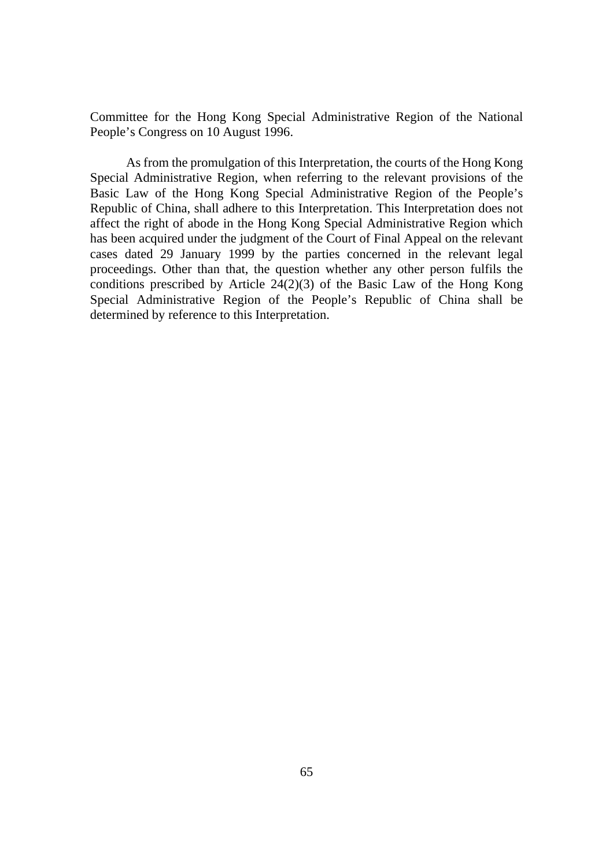Committee for the Hong Kong Special Administrative Region of the National People's Congress on 10 August 1996.

As from the promulgation of this Interpretation, the courts of the Hong Kong Special Administrative Region, when referring to the relevant provisions of the Basic Law of the Hong Kong Special Administrative Region of the People's Republic of China, shall adhere to this Interpretation. This Interpretation does not affect the right of abode in the Hong Kong Special Administrative Region which has been acquired under the judgment of the Court of Final Appeal on the relevant cases dated 29 January 1999 by the parties concerned in the relevant legal proceedings. Other than that, the question whether any other person fulfils the conditions prescribed by Article 24(2)(3) of the Basic Law of the Hong Kong Special Administrative Region of the People's Republic of China shall be determined by reference to this Interpretation.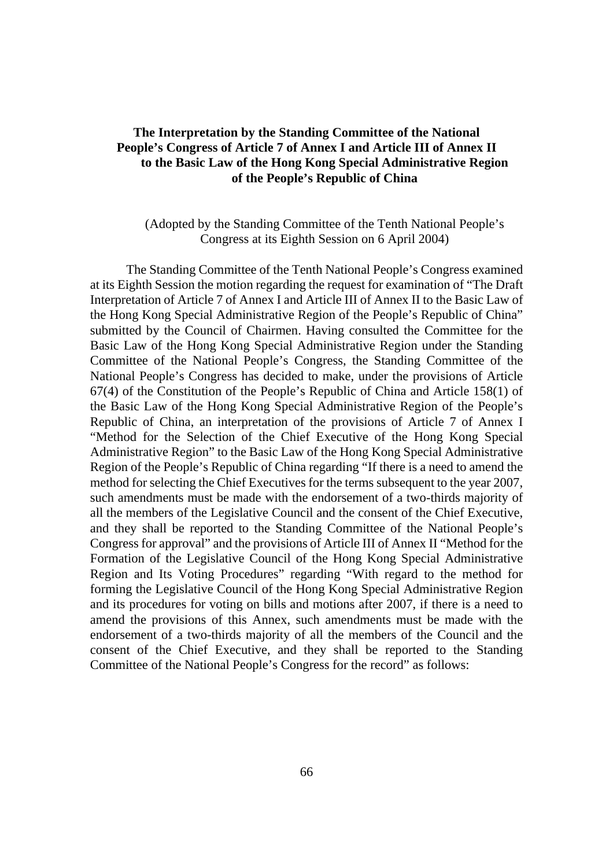# **The Interpretation by the Standing Committee of the National People's Congress of Article 7 of Annex I and Article III of Annex II to the Basic Law of the Hong Kong Special Administrative Region of the People's Republic of China**

# (Adopted by the Standing Committee of the Tenth National People's Congress at its Eighth Session on 6 April 2004)

 all the members of the Legislative Council and the consent of the Chief Executive, Committee of the National People's Congress for the record" as follows: The Standing Committee of the Tenth National People's Congress examined at its Eighth Session the motion regarding the request for examination of "The Draft Interpretation of Article 7 of Annex I and Article III of Annex II to the Basic Law of the Hong Kong Special Administrative Region of the People's Republic of China" submitted by the Council of Chairmen. Having consulted the Committee for the Basic Law of the Hong Kong Special Administrative Region under the Standing Committee of the National People's Congress, the Standing Committee of the National People's Congress has decided to make, under the provisions of Article 67(4) of the Constitution of the People's Republic of China and Article 158(1) of the Basic Law of the Hong Kong Special Administrative Region of the People's Republic of China, an interpretation of the provisions of Article 7 of Annex I "Method for the Selection of the Chief Executive of the Hong Kong Special Administrative Region" to the Basic Law of the Hong Kong Special Administrative Region of the People's Republic of China regarding "If there is a need to amend the method for selecting the Chief Executives for the terms subsequent to the year 2007, such amendments must be made with the endorsement of a two-thirds majority of and they shall be reported to the Standing Committee of the National People's Congress for approval" and the provisions of Article III of Annex II "Method for the Formation of the Legislative Council of the Hong Kong Special Administrative Region and Its Voting Procedures" regarding "With regard to the method for forming the Legislative Council of the Hong Kong Special Administrative Region and its procedures for voting on bills and motions after 2007, if there is a need to amend the provisions of this Annex, such amendments must be made with the endorsement of a two-thirds majority of all the members of the Council and the consent of the Chief Executive, and they shall be reported to the Standing Committee of the National People's Congress for the record" as follows: 66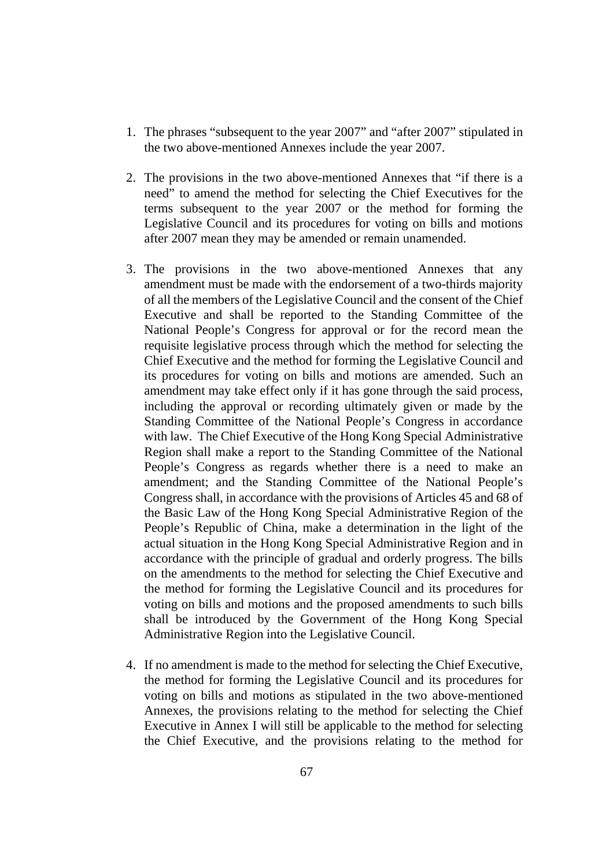- 1. The phrases "subsequent to the year 2007" and "after 2007" stipulated in the two above-mentioned Annexes include the year 2007.
- 2. The provisions in the two above-mentioned Annexes that "if there is a need" to amend the method for selecting the Chief Executives for the terms subsequent to the year 2007 or the method for forming the Legislative Council and its procedures for voting on bills and motions after 2007 mean they may be amended or remain unamended.
- Administrative Region into the Legislative Council. 3. The provisions in the two above-mentioned Annexes that any amendment must be made with the endorsement of a two-thirds majority of all the members of the Legislative Council and the consent of the Chief Executive and shall be reported to the Standing Committee of the National People's Congress for approval or for the record mean the requisite legislative process through which the method for selecting the Chief Executive and the method for forming the Legislative Council and its procedures for voting on bills and motions are amended. Such an amendment may take effect only if it has gone through the said process, including the approval or recording ultimately given or made by the Standing Committee of the National People's Congress in accordance with law. The Chief Executive of the Hong Kong Special Administrative Region shall make a report to the Standing Committee of the National People's Congress as regards whether there is a need to make an amendment; and the Standing Committee of the National People's Congress shall, in accordance with the provisions of Articles 45 and 68 of the Basic Law of the Hong Kong Special Administrative Region of the People's Republic of China, make a determination in the light of the actual situation in the Hong Kong Special Administrative Region and in accordance with the principle of gradual and orderly progress. The bills on the amendments to the method for selecting the Chief Executive and the method for forming the Legislative Council and its procedures for voting on bills and motions and the proposed amendments to such bills shall be introduced by the Government of the Hong Kong Special
- 4. If no amendment is made to the method for selecting the Chief Executive, the method for forming the Legislative Council and its procedures for voting on bills and motions as stipulated in the two above-mentioned Annexes, the provisions relating to the method for selecting the Chief Executive in Annex I will still be applicable to the method for selecting the Chief Executive, and the provisions relating to the method for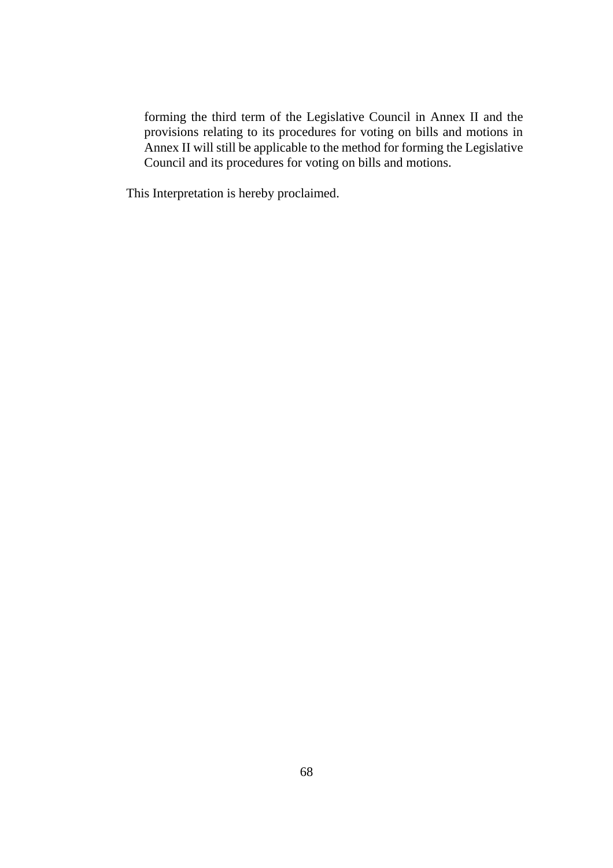forming the third term of the Legislative Council in Annex II and the provisions relating to its procedures for voting on bills and motions in Annex II will still be applicable to the method for forming the Legislative Council and its procedures for voting on bills and motions.

This Interpretation is hereby proclaimed.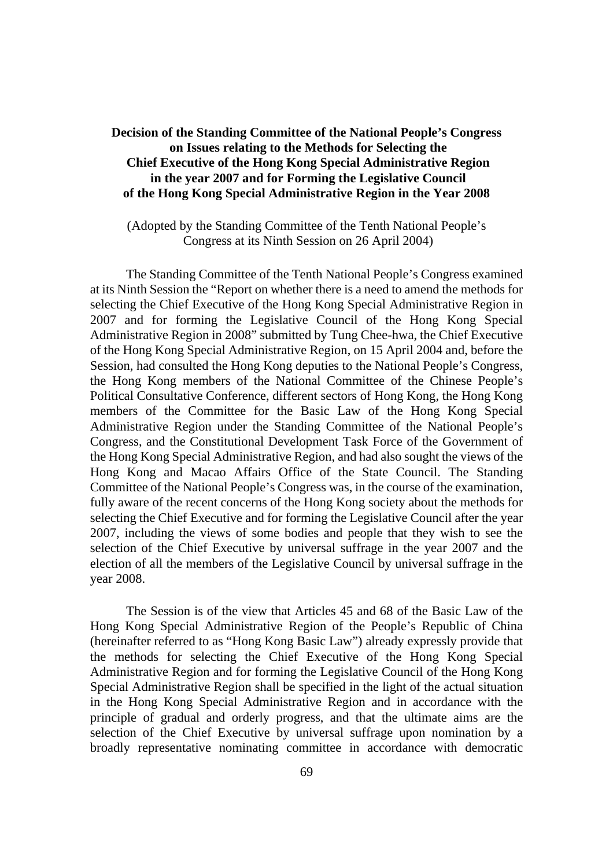# **in the year 2007 and for Forming the Legislative Council Decision of the Standing Committee of the National People's Congress on Issues relating to the Methods for Selecting the Chief Executive of the Hong Kong Special Administrative Region of the Hong Kong Special Administrative Region in the Year 2008**

# (Adopted by the Standing Committee of the Tenth National People's Congress at its Ninth Session on 26 April 2004)

 Political Consultative Conference, different sectors of Hong Kong, the Hong Kong The Standing Committee of the Tenth National People's Congress examined at its Ninth Session the "Report on whether there is a need to amend the methods for selecting the Chief Executive of the Hong Kong Special Administrative Region in 2007 and for forming the Legislative Council of the Hong Kong Special Administrative Region in 2008" submitted by Tung Chee-hwa, the Chief Executive of the Hong Kong Special Administrative Region, on 15 April 2004 and, before the Session, had consulted the Hong Kong deputies to the National People's Congress, the Hong Kong members of the National Committee of the Chinese People's members of the Committee for the Basic Law of the Hong Kong Special Administrative Region under the Standing Committee of the National People's Congress, and the Constitutional Development Task Force of the Government of the Hong Kong Special Administrative Region, and had also sought the views of the Hong Kong and Macao Affairs Office of the State Council. The Standing Committee of the National People's Congress was, in the course of the examination, fully aware of the recent concerns of the Hong Kong society about the methods for selecting the Chief Executive and for forming the Legislative Council after the year 2007, including the views of some bodies and people that they wish to see the selection of the Chief Executive by universal suffrage in the year 2007 and the election of all the members of the Legislative Council by universal suffrage in the year 2008.

 (hereinafter referred to as "Hong Kong Basic Law") already expressly provide that the methods for selecting the Chief Executive of the Hong Kong Special The Session is of the view that Articles 45 and 68 of the Basic Law of the Hong Kong Special Administrative Region of the People's Republic of China Administrative Region and for forming the Legislative Council of the Hong Kong Special Administrative Region shall be specified in the light of the actual situation in the Hong Kong Special Administrative Region and in accordance with the principle of gradual and orderly progress, and that the ultimate aims are the selection of the Chief Executive by universal suffrage upon nomination by a broadly representative nominating committee in accordance with democratic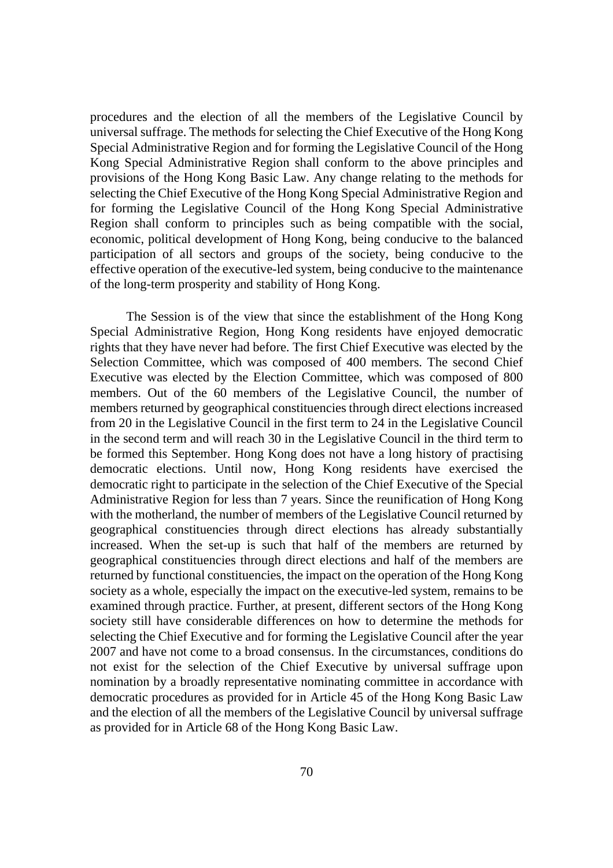procedures and the election of all the members of the Legislative Council by universal suffrage. The methods for selecting the Chief Executive of the Hong Kong Special Administrative Region and for forming the Legislative Council of the Hong Kong Special Administrative Region shall conform to the above principles and provisions of the Hong Kong Basic Law. Any change relating to the methods for selecting the Chief Executive of the Hong Kong Special Administrative Region and for forming the Legislative Council of the Hong Kong Special Administrative Region shall conform to principles such as being compatible with the social, economic, political development of Hong Kong, being conducive to the balanced participation of all sectors and groups of the society, being conducive to the effective operation of the executive-led system, being conducive to the maintenance of the long-term prosperity and stability of Hong Kong.

The Session is of the view that since the establishment of the Hong Kong Special Administrative Region, Hong Kong residents have enjoyed democratic rights that they have never had before. The first Chief Executive was elected by the Selection Committee, which was composed of 400 members. The second Chief Executive was elected by the Election Committee, which was composed of 800 members. Out of the 60 members of the Legislative Council, the number of members returned by geographical constituencies through direct elections increased from 20 in the Legislative Council in the first term to 24 in the Legislative Council in the second term and will reach 30 in the Legislative Council in the third term to be formed this September. Hong Kong does not have a long history of practising democratic elections. Until now, Hong Kong residents have exercised the democratic right to participate in the selection of the Chief Executive of the Special Administrative Region for less than 7 years. Since the reunification of Hong Kong with the motherland, the number of members of the Legislative Council returned by geographical constituencies through direct elections has already substantially increased. When the set-up is such that half of the members are returned by geographical constituencies through direct elections and half of the members are returned by functional constituencies, the impact on the operation of the Hong Kong society as a whole, especially the impact on the executive-led system, remains to be examined through practice. Further, at present, different sectors of the Hong Kong society still have considerable differences on how to determine the methods for selecting the Chief Executive and for forming the Legislative Council after the year 2007 and have not come to a broad consensus. In the circumstances, conditions do not exist for the selection of the Chief Executive by universal suffrage upon nomination by a broadly representative nominating committee in accordance with democratic procedures as provided for in Article 45 of the Hong Kong Basic Law and the election of all the members of the Legislative Council by universal suffrage as provided for in Article 68 of the Hong Kong Basic Law.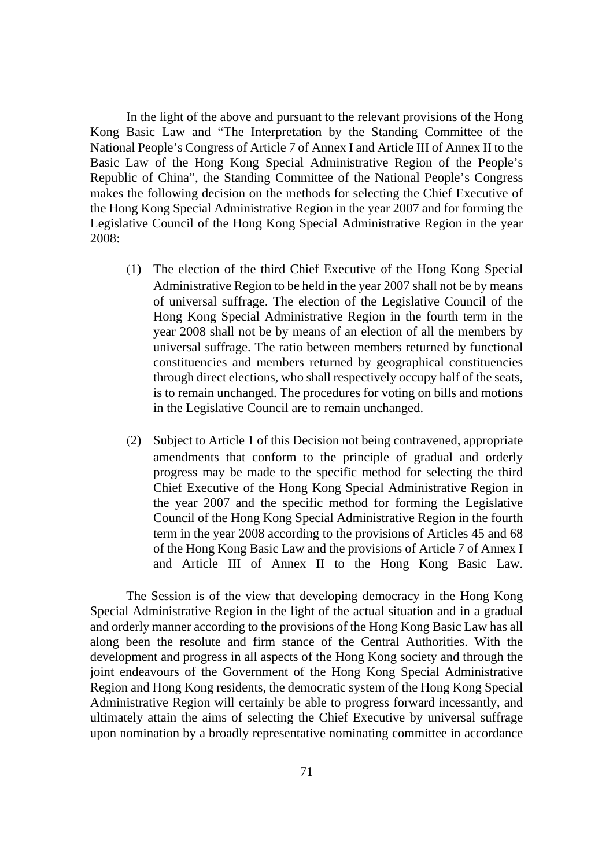2008: In the light of the above and pursuant to the relevant provisions of the Hong Kong Basic Law and "The Interpretation by the Standing Committee of the National People's Congress of Article 7 of Annex I and Article III of Annex II to the Basic Law of the Hong Kong Special Administrative Region of the People's Republic of China", the Standing Committee of the National People's Congress makes the following decision on the methods for selecting the Chief Executive of the Hong Kong Special Administrative Region in the year 2007 and for forming the Legislative Council of the Hong Kong Special Administrative Region in the year

- in the Legislative Council are to remain unchanged. (1) The election of the third Chief Executive of the Hong Kong Special Administrative Region to be held in the year 2007 shall not be by means of universal suffrage. The election of the Legislative Council of the Hong Kong Special Administrative Region in the fourth term in the year 2008 shall not be by means of an election of all the members by universal suffrage. The ratio between members returned by functional constituencies and members returned by geographical constituencies through direct elections, who shall respectively occupy half of the seats, is to remain unchanged. The procedures for voting on bills and motions
- (2) Subject to Article 1 of this Decision not being contravened, appropriate amendments that conform to the principle of gradual and orderly progress may be made to the specific method for selecting the third Chief Executive of the Hong Kong Special Administrative Region in the year 2007 and the specific method for forming the Legislative Council of the Hong Kong Special Administrative Region in the fourth term in the year 2008 according to the provisions of Articles 45 and 68 of the Hong Kong Basic Law and the provisions of Article 7 of Annex I and Article III of Annex II to the Hong Kong Basic Law.

The Session is of the view that developing democracy in the Hong Kong Special Administrative Region in the light of the actual situation and in a gradual and orderly manner according to the provisions of the Hong Kong Basic Law has all along been the resolute and firm stance of the Central Authorities. With the development and progress in all aspects of the Hong Kong society and through the joint endeavours of the Government of the Hong Kong Special Administrative Region and Hong Kong residents, the democratic system of the Hong Kong Special Administrative Region will certainly be able to progress forward incessantly, and ultimately attain the aims of selecting the Chief Executive by universal suffrage upon nomination by a broadly representative nominating committee in accordance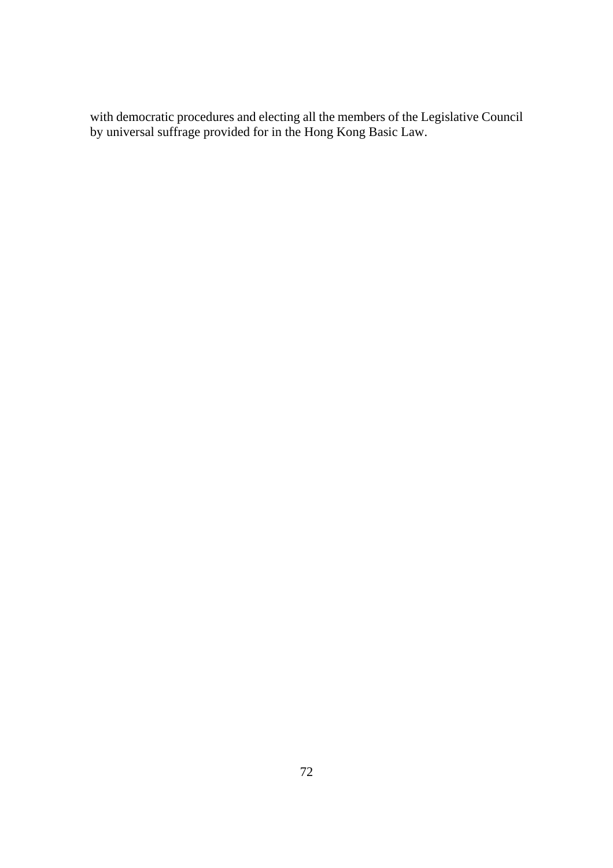with democratic procedures and electing all the members of the Legislative Council by universal suffrage provided for in the Hong Kong Basic Law.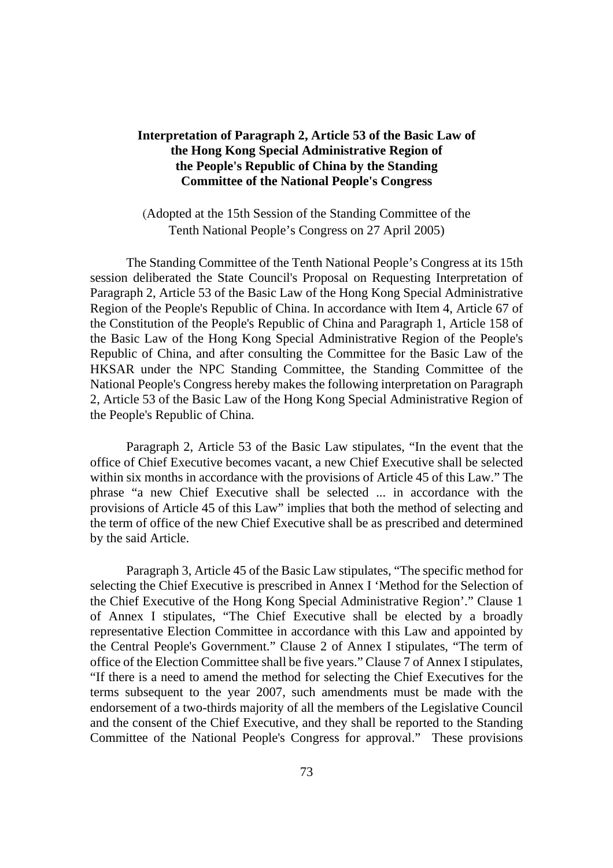## **Interpretation of Paragraph 2, Article 53 of the Basic Law of the Hong Kong Special Administrative Region of the People's Republic of China by the Standing Committee of the National People's Congress**

(Adopted at the 15th Session of the Standing Committee of the Tenth National People's Congress on 27 April 2005)

The Standing Committee of the Tenth National People's Congress at its 15th session deliberated the State Council's Proposal on Requesting Interpretation of Paragraph 2, Article 53 of the Basic Law of the Hong Kong Special Administrative Region of the People's Republic of China. In accordance with Item 4, Article 67 of the Constitution of the People's Republic of China and Paragraph 1, Article 158 of the Basic Law of the Hong Kong Special Administrative Region of the People's Republic of China, and after consulting the Committee for the Basic Law of the HKSAR under the NPC Standing Committee, the Standing Committee of the National People's Congress hereby makes the following interpretation on Paragraph 2, Article 53 of the Basic Law of the Hong Kong Special Administrative Region of the People's Republic of China.

Paragraph 2, Article 53 of the Basic Law stipulates, "In the event that the office of Chief Executive becomes vacant, a new Chief Executive shall be selected within six months in accordance with the provisions of Article 45 of this Law." The phrase "a new Chief Executive shall be selected ... in accordance with the provisions of Article 45 of this Law" implies that both the method of selecting and the term of office of the new Chief Executive shall be as prescribed and determined by the said Article.

Paragraph 3, Article 45 of the Basic Law stipulates, "The specific method for selecting the Chief Executive is prescribed in Annex I 'Method for the Selection of the Chief Executive of the Hong Kong Special Administrative Region'." Clause 1 of Annex I stipulates, "The Chief Executive shall be elected by a broadly representative Election Committee in accordance with this Law and appointed by the Central People's Government." Clause 2 of Annex I stipulates, "The term of office of the Election Committee shall be five years." Clause 7 of Annex I stipulates, "If there is a need to amend the method for selecting the Chief Executives for the terms subsequent to the year 2007, such amendments must be made with the endorsement of a two-thirds majority of all the members of the Legislative Council and the consent of the Chief Executive, and they shall be reported to the Standing Committee of the National People's Congress for approval." These provisions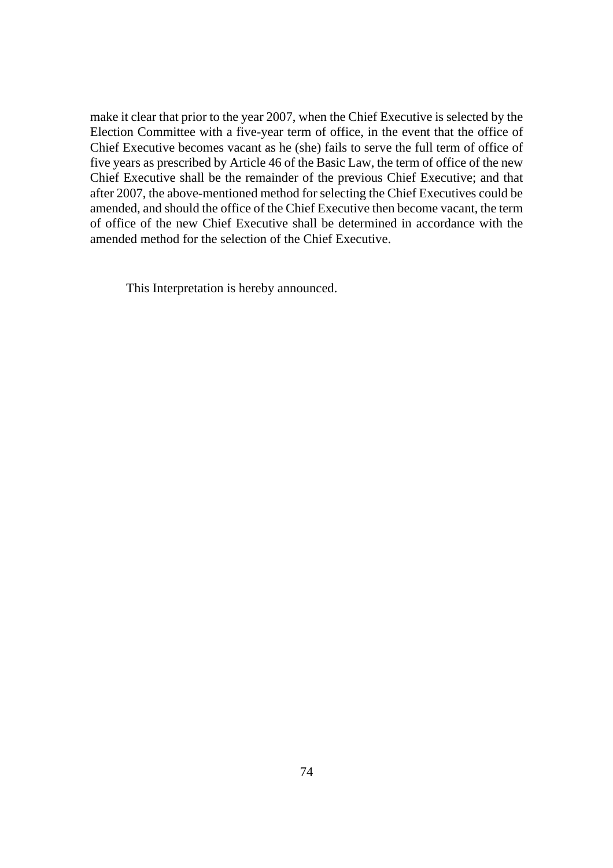make it clear that prior to the year 2007, when the Chief Executive is selected by the Election Committee with a five-year term of office, in the event that the office of Chief Executive becomes vacant as he (she) fails to serve the full term of office of five years as prescribed by Article 46 of the Basic Law, the term of office of the new Chief Executive shall be the remainder of the previous Chief Executive; and that after 2007, the above-mentioned method for selecting the Chief Executives could be amended, and should the office of the Chief Executive then become vacant, the term of office of the new Chief Executive shall be determined in accordance with the amended method for the selection of the Chief Executive.

This Interpretation is hereby announced.